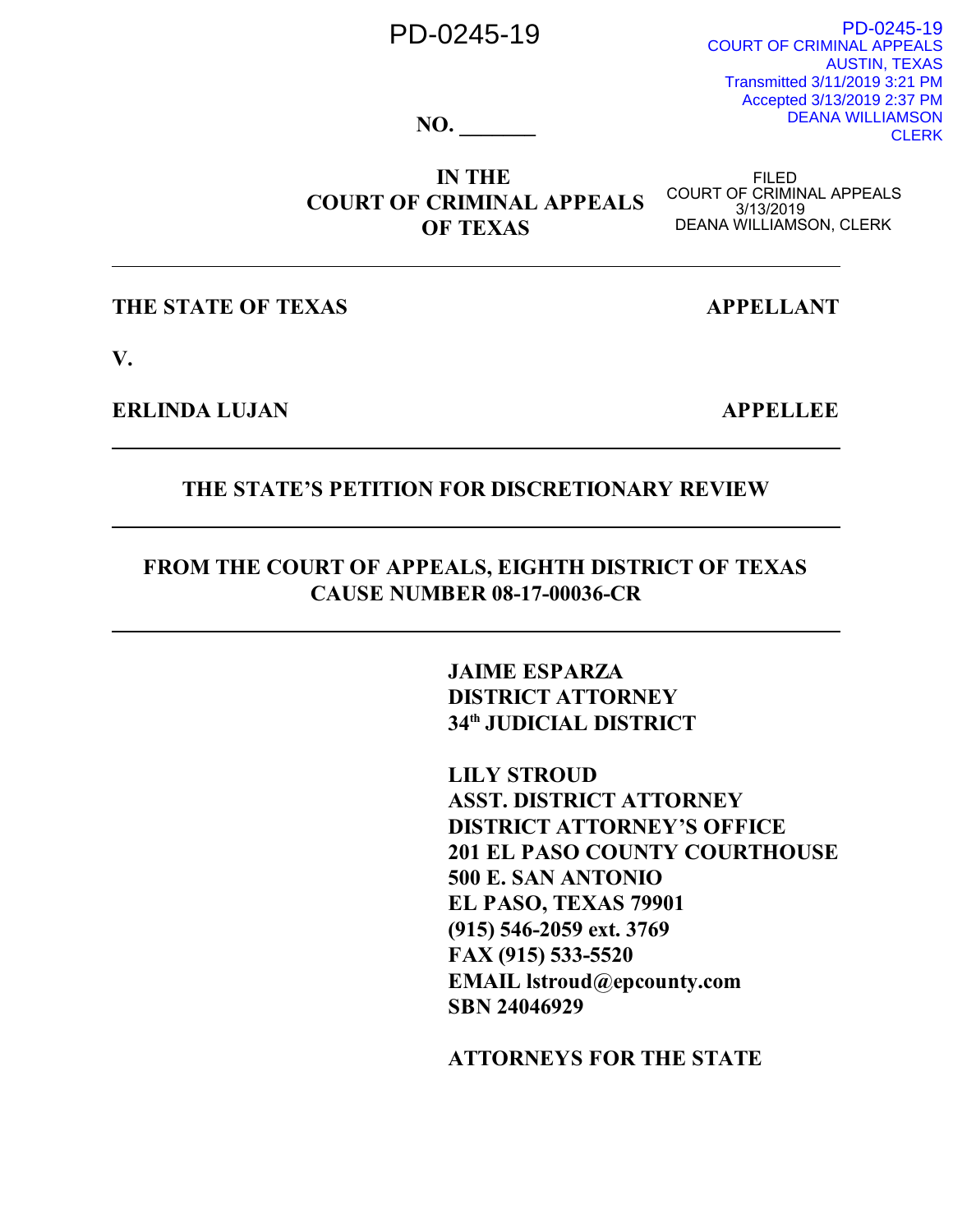# PD-0245-19

PD-0245-19 COURT OF CRIMINAL APPEALS AUSTIN, TEXAS Transmitted 3/11/2019 3:21 PM Accepted 3/13/2019 2:37 PM DEANA WILLIAMSON **CLERK** 

**NO. \_\_\_\_\_\_\_**

**IN THE COURT OF CRIMINAL APPEALS OF TEXAS**

FILED<br>COURT OF CRIMINAL APPEALS<br>3/13/2019<br>DEANA WILLIAMSON, CLERK

**THE STATE OF TEXAS APPELLANT** 

**V.**

**ERLINDA LUJAN APPELLEE**

#### **THE STATE'S PETITION FOR DISCRETIONARY REVIEW**

## **FROM THE COURT OF APPEALS, EIGHTH DISTRICT OF TEXAS CAUSE NUMBER 08-17-00036-CR**

**JAIME ESPARZA DISTRICT ATTORNEY 34th JUDICIAL DISTRICT**

**LILY STROUD ASST. DISTRICT ATTORNEY DISTRICT ATTORNEY'S OFFICE 201 EL PASO COUNTY COURTHOUSE 500 E. SAN ANTONIO EL PASO, TEXAS 79901 (915) 546-2059 ext. 3769 FAX (915) 533-5520 EMAIL lstroud@epcounty.com SBN 24046929**

**ATTORNEYS FOR THE STATE**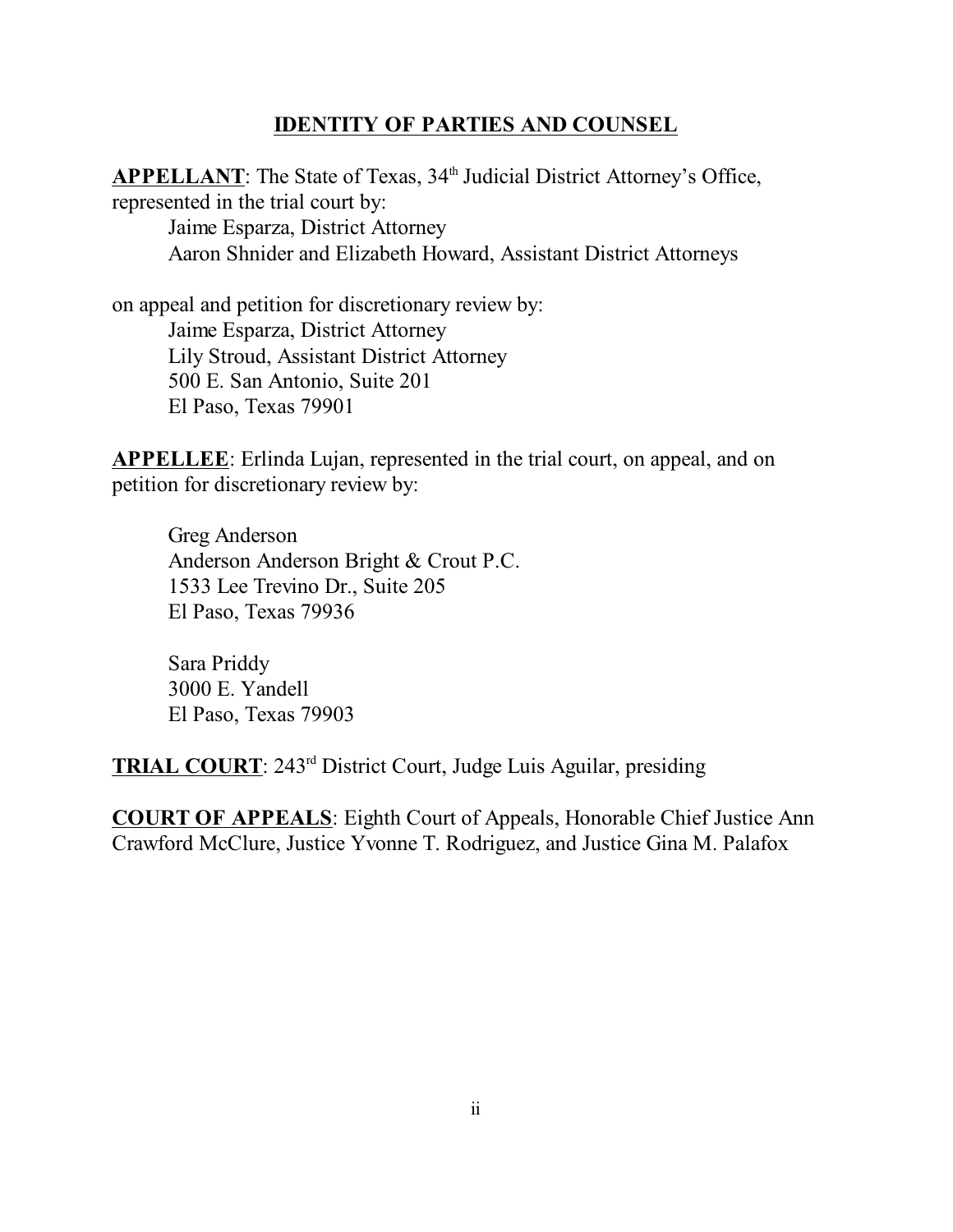#### **IDENTITY OF PARTIES AND COUNSEL**

APPELLANT: The State of Texas, 34<sup>th</sup> Judicial District Attorney's Office, represented in the trial court by: Jaime Esparza, District Attorney Aaron Shnider and Elizabeth Howard, Assistant District Attorneys

on appeal and petition for discretionary review by: Jaime Esparza, District Attorney Lily Stroud, Assistant District Attorney 500 E. San Antonio, Suite 201 El Paso, Texas 79901

**APPELLEE**: Erlinda Lujan, represented in the trial court, on appeal, and on petition for discretionary review by:

Greg Anderson Anderson Anderson Bright & Crout P.C. 1533 Lee Trevino Dr., Suite 205 El Paso, Texas 79936

Sara Priddy 3000 E. Yandell El Paso, Texas 79903

**TRIAL COURT**: 243rd District Court, Judge Luis Aguilar, presiding

**COURT OF APPEALS**: Eighth Court of Appeals, Honorable Chief Justice Ann Crawford McClure, Justice Yvonne T. Rodriguez, and Justice Gina M. Palafox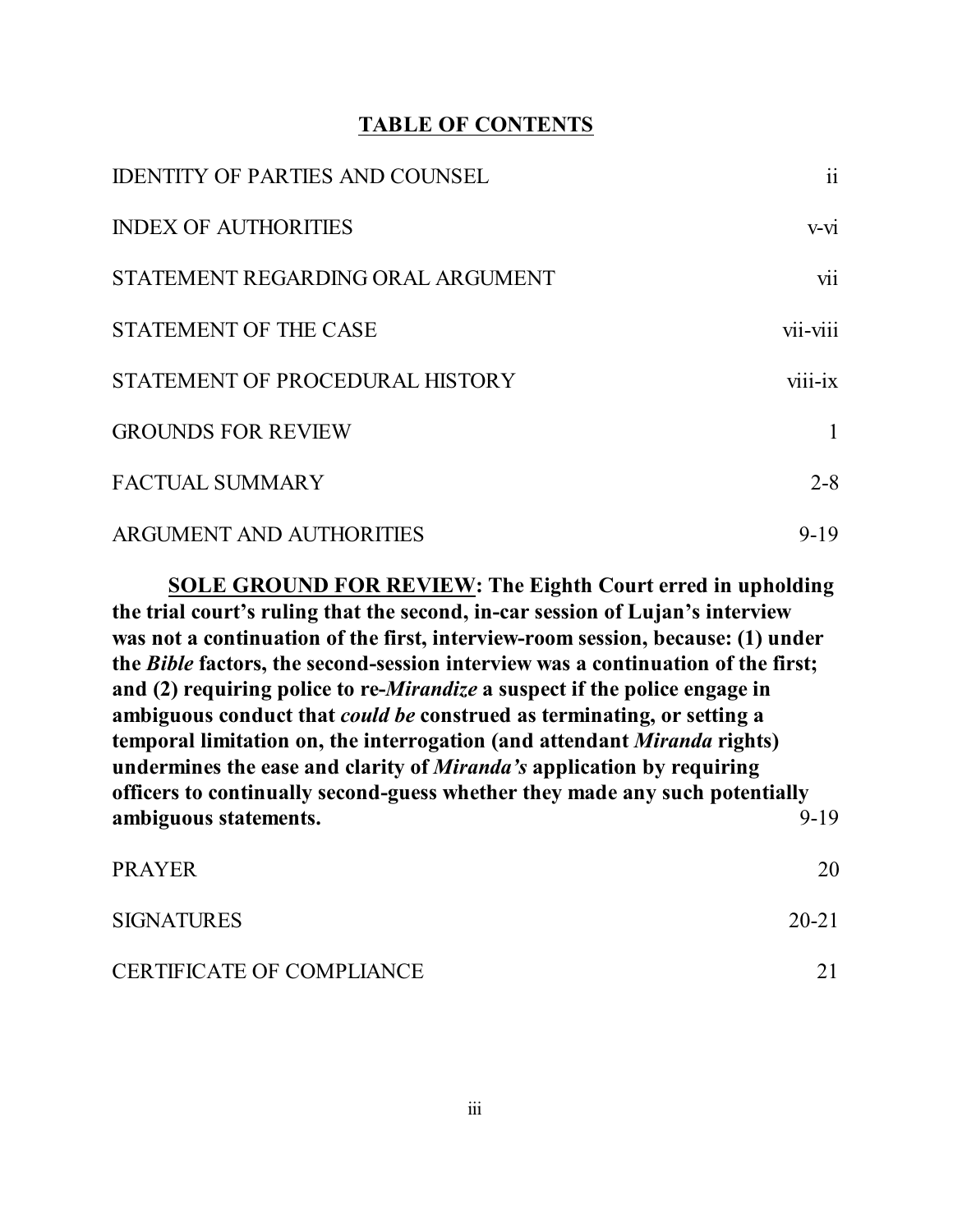#### **TABLE OF CONTENTS**

| <b>IDENTITY OF PARTIES AND COUNSEL</b> | $\overline{\mathbf{ii}}$ |
|----------------------------------------|--------------------------|
| <b>INDEX OF AUTHORITIES</b>            | v-vi                     |
| STATEMENT REGARDING ORAL ARGUMENT      | vii                      |
| <b>STATEMENT OF THE CASE</b>           | vii-viii                 |
| STATEMENT OF PROCEDURAL HISTORY        | viii-ix                  |
| <b>GROUNDS FOR REVIEW</b>              | 1                        |
| <b>FACTUAL SUMMARY</b>                 | $2 - 8$                  |
| <b>ARGUMENT AND AUTHORITIES</b>        | $9 - 19$                 |

**SOLE GROUND FOR REVIEW: The Eighth Court erred in upholding the trial court's ruling that the second, in-car session of Lujan's interview was not a continuation of the first, interview-room session, because: (1) under the** *Bible* **factors, the second-session interview was a continuation of the first; and (2) requiring police to re-***Mirandize* **a suspect if the police engage in ambiguous conduct that** *could be* **construed as terminating, or setting a temporal limitation on, the interrogation (and attendant** *Miranda* **rights) undermines the ease and clarity of** *Miranda's* **application by requiring officers to continually second-guess whether they made any such potentially ambiguous statements.** 9-19

| <b>PRAYER</b>                    | 20        |
|----------------------------------|-----------|
| <b>SIGNATURES</b>                | $20 - 21$ |
| <b>CERTIFICATE OF COMPLIANCE</b> |           |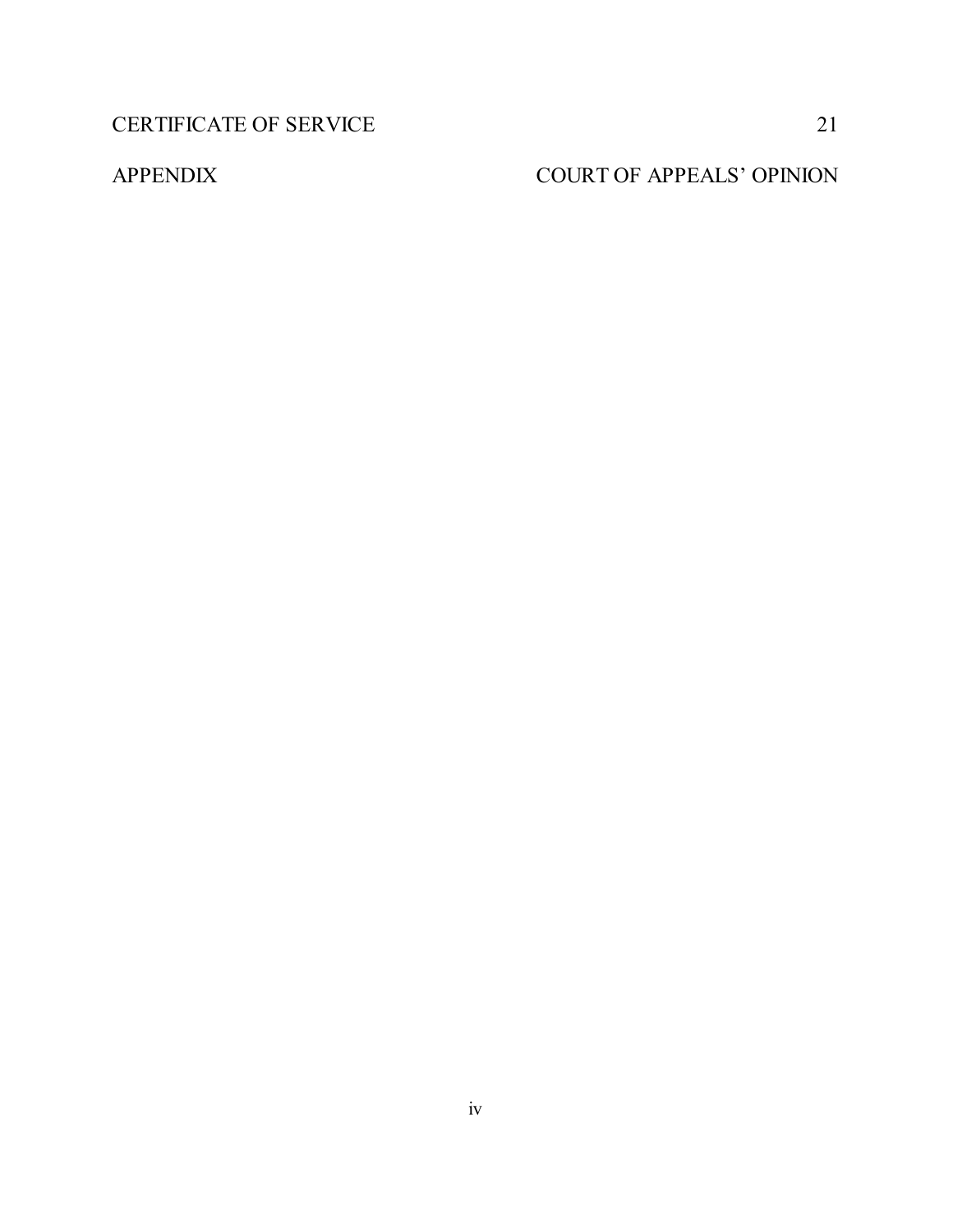CERTIFICATE OF SERVICE 21

# APPENDIX COURT OF APPEALS' OPINION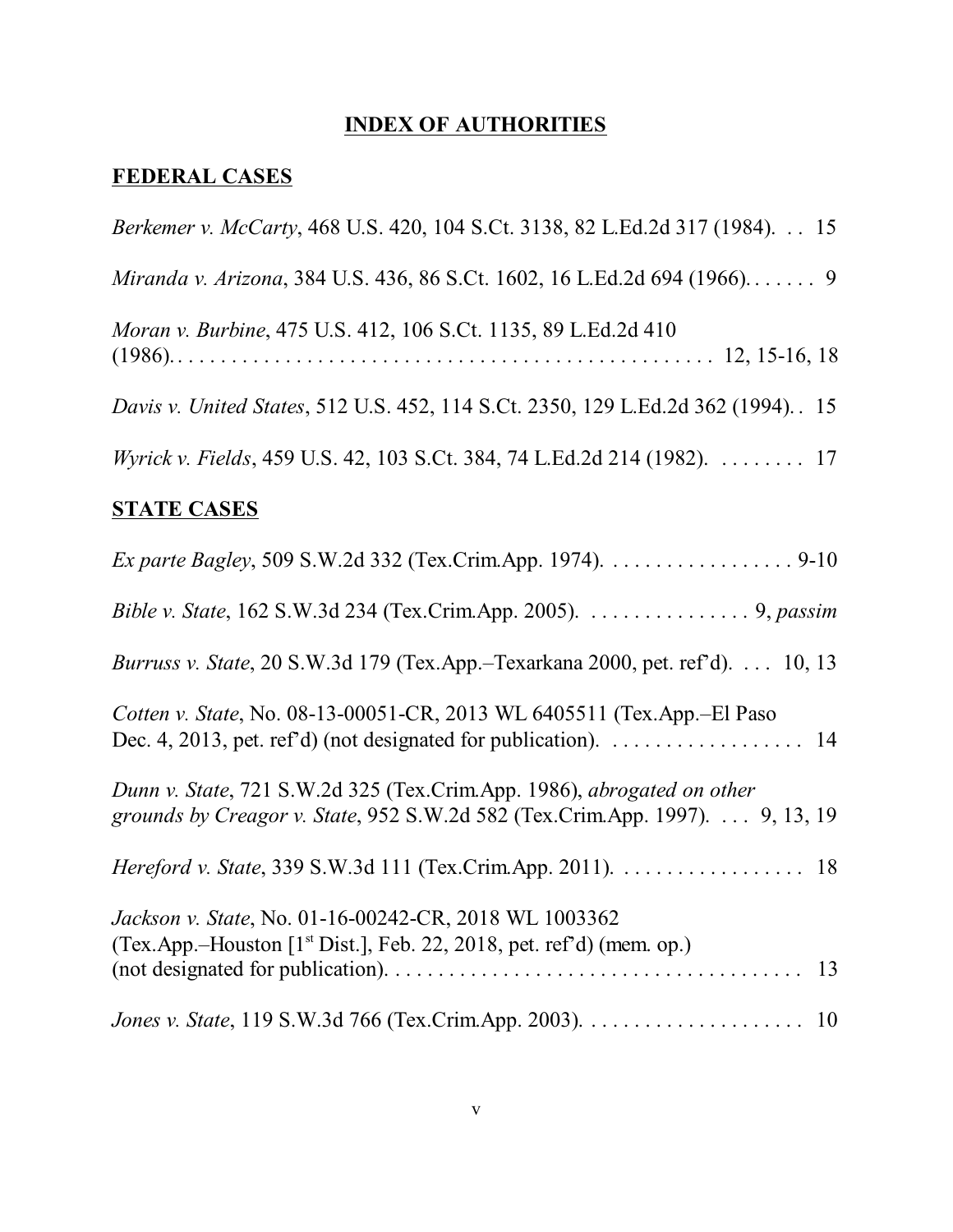# **INDEX OF AUTHORITIES**

# **FEDERAL CASES**

| Berkemer v. McCarty, 468 U.S. 420, 104 S.Ct. 3138, 82 L.Ed.2d 317 (1984). 15                                                                          |
|-------------------------------------------------------------------------------------------------------------------------------------------------------|
| Miranda v. Arizona, 384 U.S. 436, 86 S.Ct. 1602, 16 L.Ed.2d 694 (1966) 9                                                                              |
| Moran v. Burbine, 475 U.S. 412, 106 S.Ct. 1135, 89 L.Ed.2d 410                                                                                        |
| Davis v. United States, 512 U.S. 452, 114 S.Ct. 2350, 129 L.Ed.2d 362 (1994). 15                                                                      |
| Wyrick v. Fields, 459 U.S. 42, 103 S.Ct. 384, 74 L.Ed.2d 214 (1982). 17                                                                               |
| <b>STATE CASES</b>                                                                                                                                    |
| Ex parte Bagley, 509 S.W.2d 332 (Tex.Crim.App. 1974). 9-10                                                                                            |
| Bible v. State, 162 S.W.3d 234 (Tex.Crim.App. 2005). 9, passim                                                                                        |
| Burruss v. State, 20 S.W.3d 179 (Tex.App.-Texarkana 2000, pet. ref'd). 10, 13                                                                         |
| Cotten v. State, No. 08-13-00051-CR, 2013 WL 6405511 (Tex.App.-El Paso                                                                                |
| Dunn v. State, 721 S.W.2d 325 (Tex.Crim.App. 1986), abrogated on other<br>grounds by Creagor v. State, 952 S.W.2d 582 (Tex.Crim.App. 1997). 9, 13, 19 |
| <i>Hereford v. State</i> , 339 S.W.3d 111 (Tex.Crim.App. 2011). 18                                                                                    |
| Jackson v. State, No. 01-16-00242-CR, 2018 WL 1003362<br>(Tex.App.–Houston [1 <sup>st</sup> Dist.], Feb. 22, 2018, pet. ref'd) (mem. op.)<br>13       |
|                                                                                                                                                       |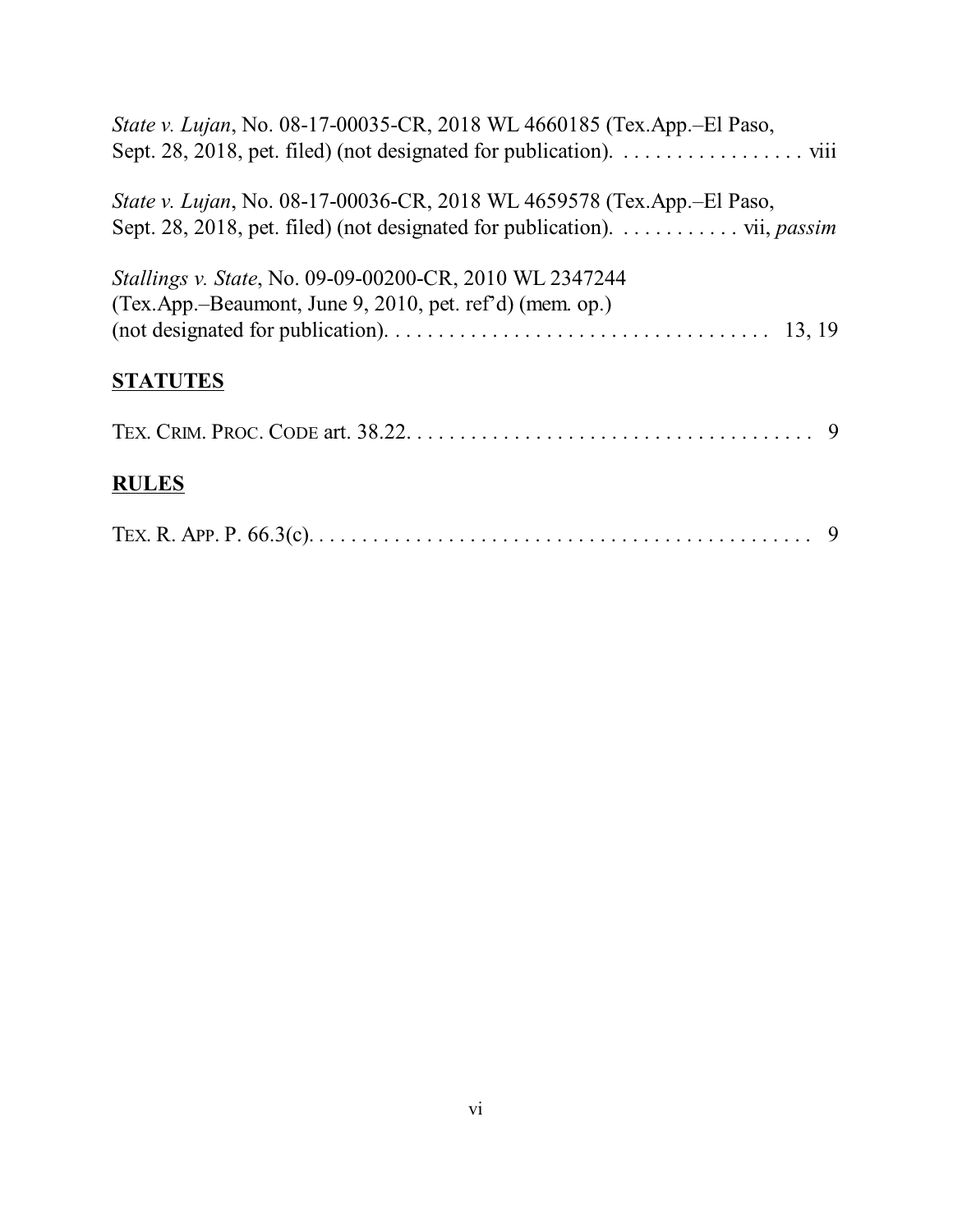| State v. Lujan, No. 08-17-00035-CR, 2018 WL 4660185 (Tex.App.-El Paso,                                                                                                               |
|--------------------------------------------------------------------------------------------------------------------------------------------------------------------------------------|
| State v. Lujan, No. 08-17-00036-CR, 2018 WL 4659578 (Tex.App.–El Paso,<br>Sept. 28, 2018, pet. filed) (not designated for publication). $\dots \dots \dots \dots$ vii, <i>passim</i> |
| Stallings v. State, No. 09-09-00200-CR, 2010 WL 2347244<br>(Tex.App.-Beaumont, June 9, 2010, pet. ref'd) (mem. op.)                                                                  |
| <b>STATUTES</b>                                                                                                                                                                      |
|                                                                                                                                                                                      |
| <b>RULES</b>                                                                                                                                                                         |
|                                                                                                                                                                                      |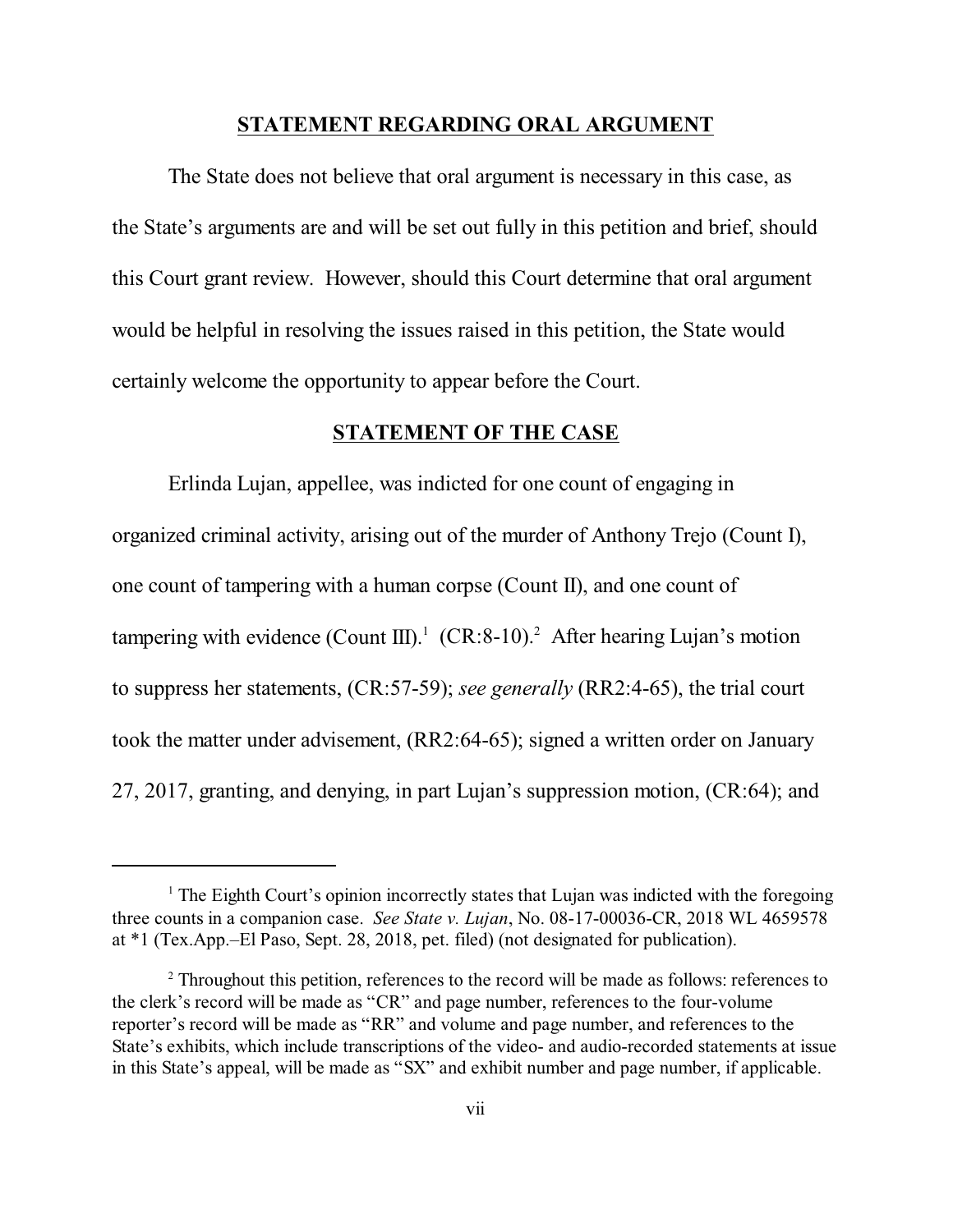#### **STATEMENT REGARDING ORAL ARGUMENT**

The State does not believe that oral argument is necessary in this case, as the State's arguments are and will be set out fully in this petition and brief, should this Court grant review. However, should this Court determine that oral argument would be helpful in resolving the issues raised in this petition, the State would certainly welcome the opportunity to appear before the Court.

#### **STATEMENT OF THE CASE**

Erlinda Lujan, appellee, was indicted for one count of engaging in organized criminal activity, arising out of the murder of Anthony Trejo (Count I), one count of tampering with a human corpse (Count II), and one count of tampering with evidence (Count III).<sup>1</sup> (CR:8-10).<sup>2</sup> After hearing Lujan's motion to suppress her statements, (CR:57-59); *see generally* (RR2:4-65), the trial court took the matter under advisement, (RR2:64-65); signed a written order on January 27, 2017, granting, and denying, in part Lujan's suppression motion, (CR:64); and

<sup>&</sup>lt;sup>1</sup> The Eighth Court's opinion incorrectly states that Lujan was indicted with the foregoing three counts in a companion case. *See State v. Lujan*, No. 08-17-00036-CR, 2018 WL 4659578 at \*1 (Tex.App.–El Paso, Sept. 28, 2018, pet. filed) (not designated for publication).

<sup>&</sup>lt;sup>2</sup> Throughout this petition, references to the record will be made as follows: references to the clerk's record will be made as "CR" and page number, references to the four-volume reporter's record will be made as "RR" and volume and page number, and references to the State's exhibits, which include transcriptions of the video- and audio-recorded statements at issue in this State's appeal, will be made as "SX" and exhibit number and page number, if applicable.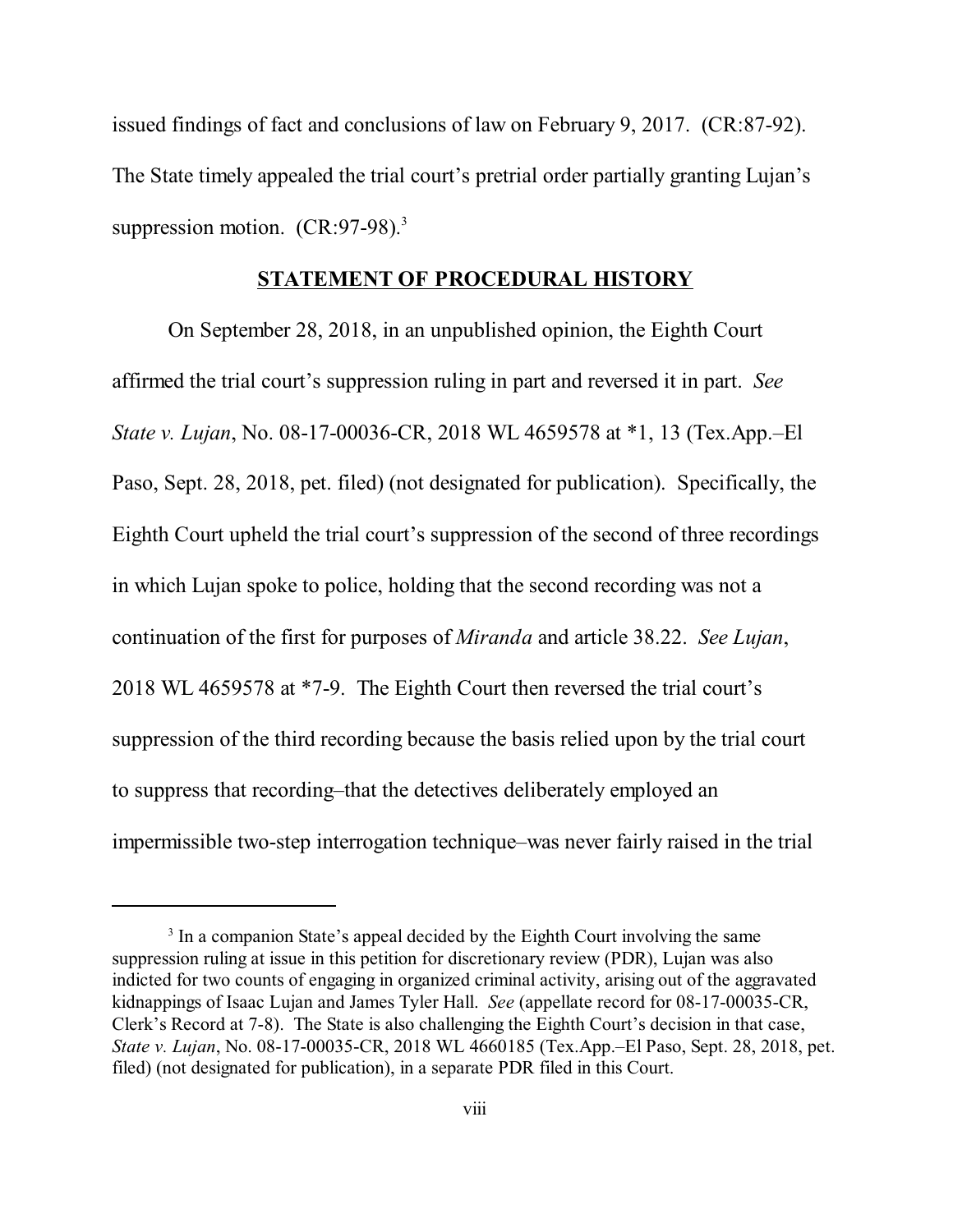issued findings of fact and conclusions of law on February 9, 2017. (CR:87-92). The State timely appealed the trial court's pretrial order partially granting Lujan's suppression motion. (CR:97-98).<sup>3</sup>

#### **STATEMENT OF PROCEDURAL HISTORY**

On September 28, 2018, in an unpublished opinion, the Eighth Court affirmed the trial court's suppression ruling in part and reversed it in part. *See State v. Lujan*, No. 08-17-00036-CR, 2018 WL 4659578 at \*1, 13 (Tex.App.–El Paso, Sept. 28, 2018, pet. filed) (not designated for publication). Specifically, the Eighth Court upheld the trial court's suppression of the second of three recordings in which Lujan spoke to police, holding that the second recording was not a continuation of the first for purposes of *Miranda* and article 38.22. *See Lujan*, 2018 WL 4659578 at \*7-9. The Eighth Court then reversed the trial court's suppression of the third recording because the basis relied upon by the trial court to suppress that recording–that the detectives deliberately employed an impermissible two-step interrogation technique–was never fairly raised in the trial

<sup>&</sup>lt;sup>3</sup> In a companion State's appeal decided by the Eighth Court involving the same suppression ruling at issue in this petition for discretionary review (PDR), Lujan was also indicted for two counts of engaging in organized criminal activity, arising out of the aggravated kidnappings of Isaac Lujan and James Tyler Hall. *See* (appellate record for 08-17-00035-CR, Clerk's Record at 7-8). The State is also challenging the Eighth Court's decision in that case, *State v. Lujan*, No. 08-17-00035-CR, 2018 WL 4660185 (Tex.App.–El Paso, Sept. 28, 2018, pet. filed) (not designated for publication), in a separate PDR filed in this Court.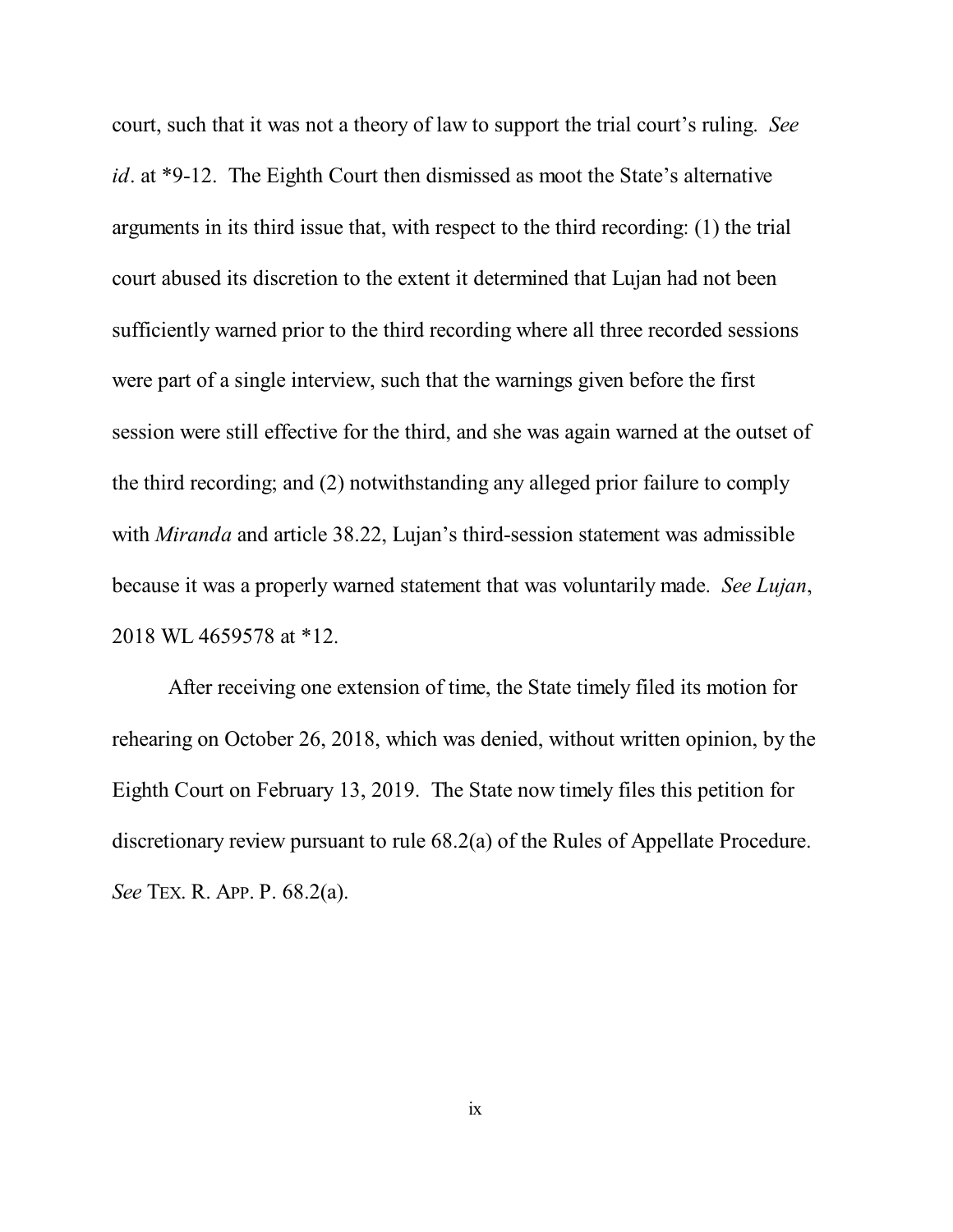court, such that it was not a theory of law to support the trial court's ruling. *See id*. at \*9-12. The Eighth Court then dismissed as moot the State's alternative arguments in its third issue that, with respect to the third recording: (1) the trial court abused its discretion to the extent it determined that Lujan had not been sufficiently warned prior to the third recording where all three recorded sessions were part of a single interview, such that the warnings given before the first session were still effective for the third, and she was again warned at the outset of the third recording; and (2) notwithstanding any alleged prior failure to comply with *Miranda* and article 38.22, Lujan's third-session statement was admissible because it was a properly warned statement that was voluntarily made. *See Lujan*, 2018 WL 4659578 at \*12.

After receiving one extension of time, the State timely filed its motion for rehearing on October 26, 2018, which was denied, without written opinion, by the Eighth Court on February 13, 2019. The State now timely files this petition for discretionary review pursuant to rule 68.2(a) of the Rules of Appellate Procedure. *See* TEX. R. APP. P. 68.2(a).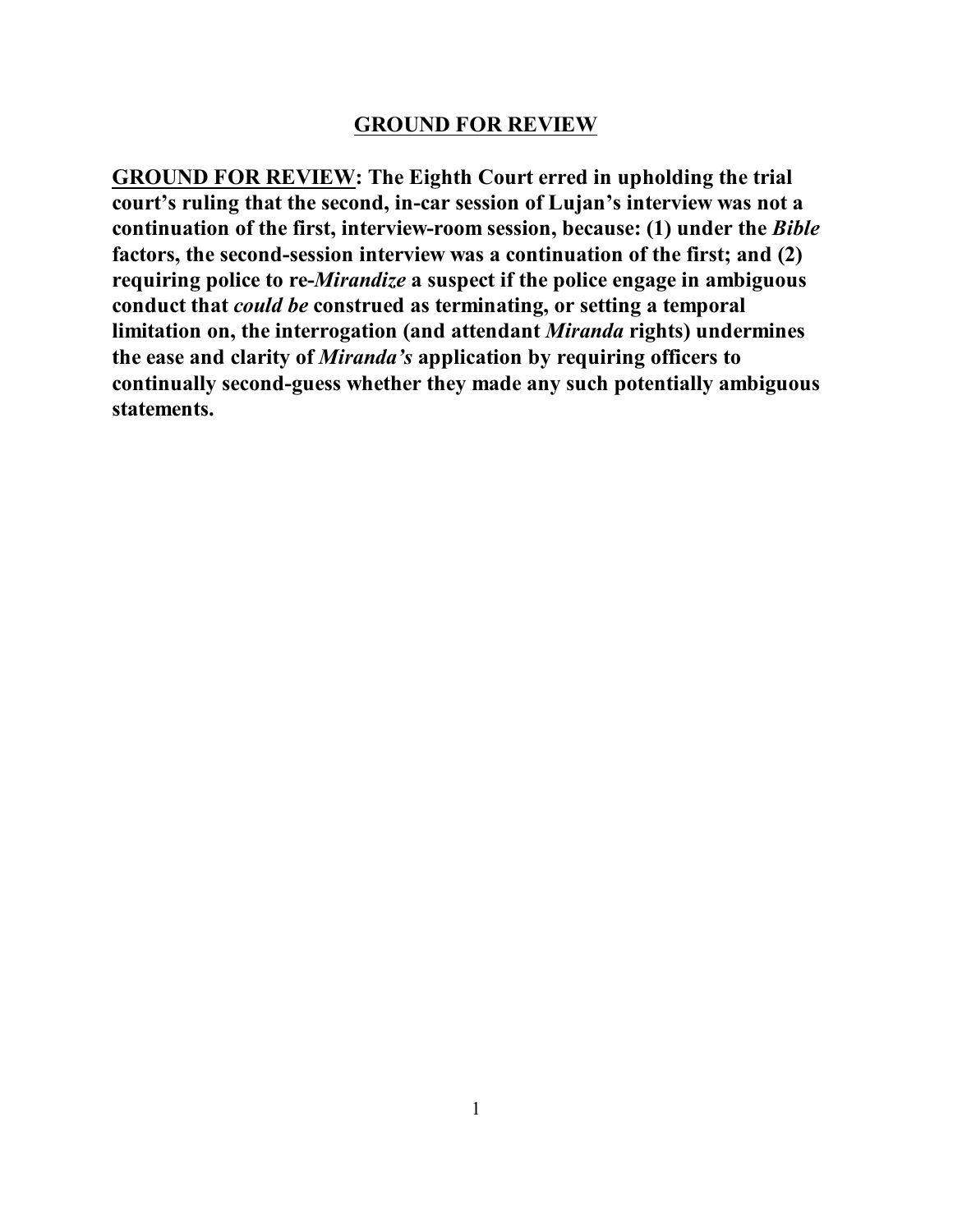#### **GROUND FOR REVIEW**

**GROUND FOR REVIEW: The Eighth Court erred in upholding the trial court's ruling that the second, in-car session of Lujan's interview was not a continuation of the first, interview-room session, because: (1) under the** *Bible* **factors, the second-session interview was a continuation of the first; and (2) requiring police to re-***Mirandize* **a suspect if the police engage in ambiguous conduct that** *could be* **construed as terminating, or setting a temporal limitation on, the interrogation (and attendant** *Miranda* **rights) undermines the ease and clarity of** *Miranda's* **application by requiring officers to continually second-guess whether they made any such potentially ambiguous statements.**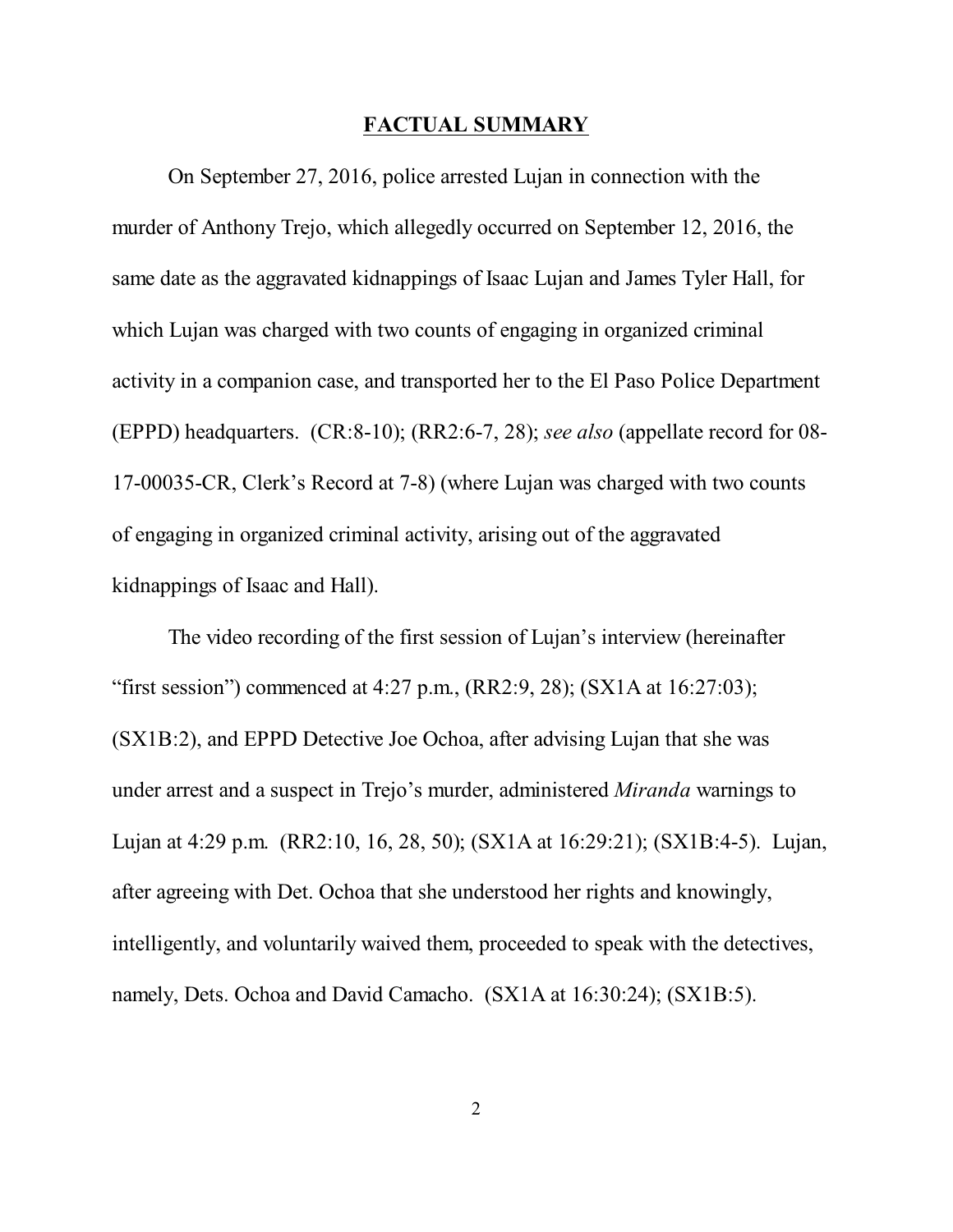#### **FACTUAL SUMMARY**

On September 27, 2016, police arrested Lujan in connection with the murder of Anthony Trejo, which allegedly occurred on September 12, 2016, the same date as the aggravated kidnappings of Isaac Lujan and James Tyler Hall, for which Lujan was charged with two counts of engaging in organized criminal activity in a companion case, and transported her to the El Paso Police Department (EPPD) headquarters. (CR:8-10); (RR2:6-7, 28); *see also* (appellate record for 08- 17-00035-CR, Clerk's Record at 7-8) (where Lujan was charged with two counts of engaging in organized criminal activity, arising out of the aggravated kidnappings of Isaac and Hall).

The video recording of the first session of Lujan's interview (hereinafter "first session") commenced at 4:27 p.m.,  $(RR2:9, 28)$ ;  $(SX1A$  at  $16:27:03)$ ; (SX1B:2), and EPPD Detective Joe Ochoa, after advising Lujan that she was under arrest and a suspect in Trejo's murder, administered *Miranda* warnings to Lujan at 4:29 p.m. (RR2:10, 16, 28, 50); (SX1A at 16:29:21); (SX1B:4-5). Lujan, after agreeing with Det. Ochoa that she understood her rights and knowingly, intelligently, and voluntarily waived them, proceeded to speak with the detectives, namely, Dets. Ochoa and David Camacho. (SX1A at 16:30:24); (SX1B:5).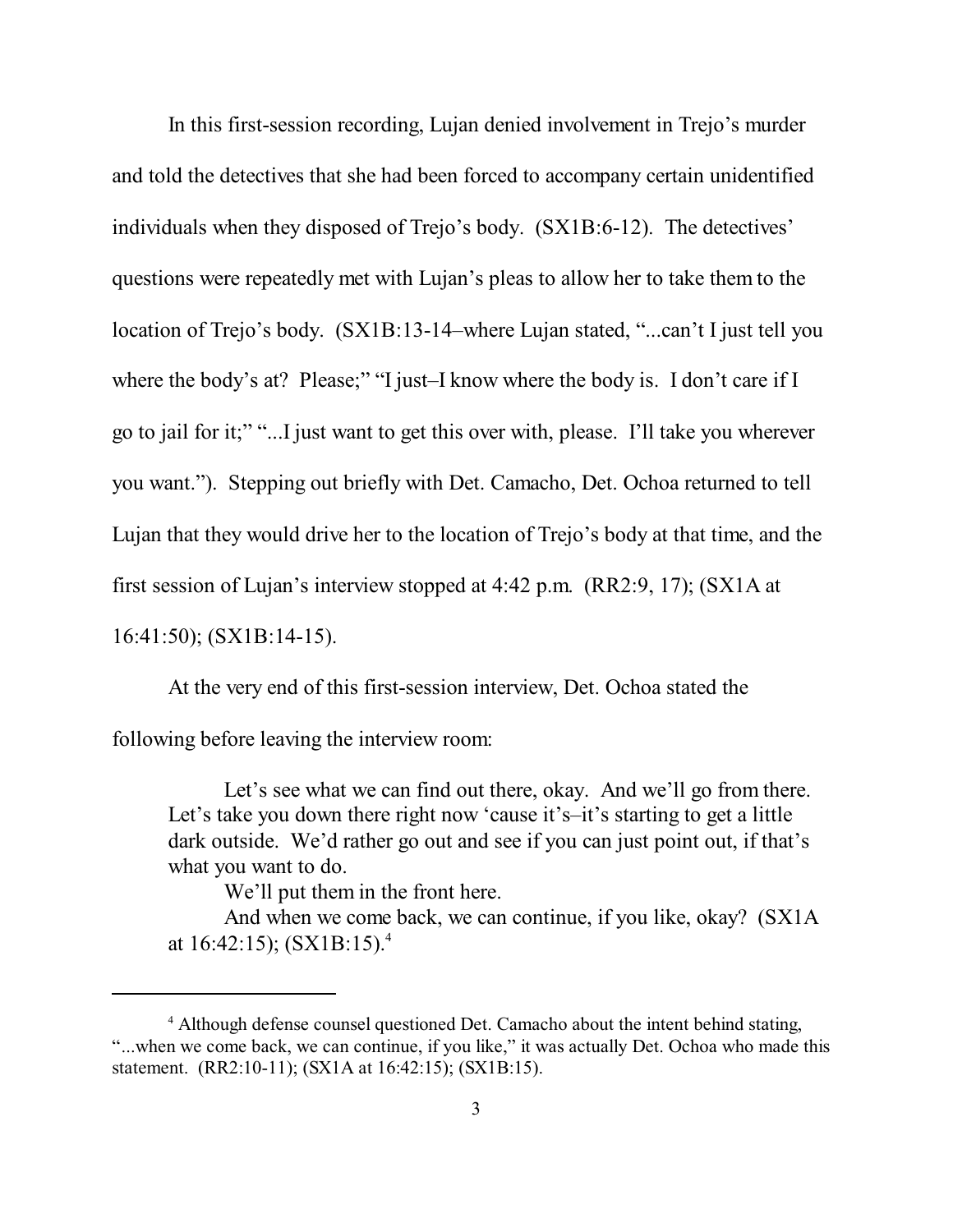In this first-session recording, Lujan denied involvement in Trejo's murder and told the detectives that she had been forced to accompany certain unidentified individuals when they disposed of Trejo's body. (SX1B:6-12). The detectives' questions were repeatedly met with Lujan's pleas to allow her to take them to the location of Trejo's body. (SX1B:13-14–where Lujan stated, "...can't I just tell you where the body's at? Please;" "I just–I know where the body is. I don't care if I go to jail for it;" "...I just want to get this over with, please. I'll take you wherever you want."). Stepping out briefly with Det. Camacho, Det. Ochoa returned to tell Lujan that they would drive her to the location of Trejo's body at that time, and the first session of Lujan's interview stopped at 4:42 p.m. (RR2:9, 17); (SX1A at 16:41:50); (SX1B:14-15).

At the very end of this first-session interview, Det. Ochoa stated the following before leaving the interview room:

Let's see what we can find out there, okay. And we'll go from there. Let's take you down there right now 'cause it's–it's starting to get a little dark outside. We'd rather go out and see if you can just point out, if that's what you want to do.

We'll put them in the front here.

And when we come back, we can continue, if you like, okay? (SX1A at 16:42:15); (SX1B:15). 4

<sup>&</sup>lt;sup>4</sup> Although defense counsel questioned Det. Camacho about the intent behind stating, "...when we come back, we can continue, if you like," it was actually Det. Ochoa who made this statement. (RR2:10-11); (SX1A at 16:42:15); (SX1B:15).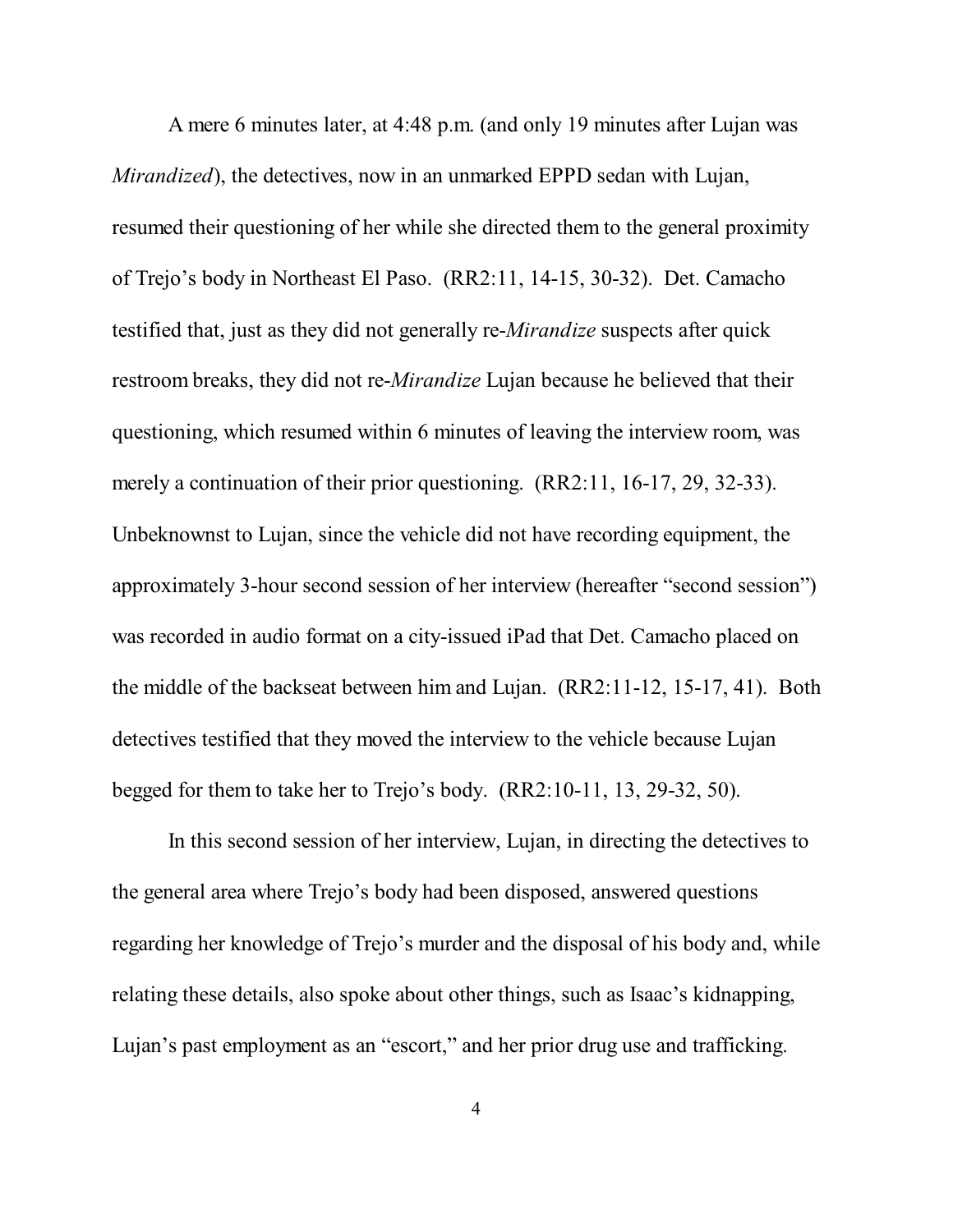A mere 6 minutes later, at 4:48 p.m. (and only 19 minutes after Lujan was *Mirandized*), the detectives, now in an unmarked EPPD sedan with Lujan, resumed their questioning of her while she directed them to the general proximity of Trejo's body in Northeast El Paso. (RR2:11, 14-15, 30-32). Det. Camacho testified that, just as they did not generally re-*Mirandize* suspects after quick restroom breaks, they did not re-*Mirandize* Lujan because he believed that their questioning, which resumed within 6 minutes of leaving the interview room, was merely a continuation of their prior questioning. (RR2:11, 16-17, 29, 32-33). Unbeknownst to Lujan, since the vehicle did not have recording equipment, the approximately 3-hour second session of her interview (hereafter "second session") was recorded in audio format on a city-issued iPad that Det. Camacho placed on the middle of the backseat between him and Lujan. (RR2:11-12, 15-17, 41). Both detectives testified that they moved the interview to the vehicle because Lujan begged for them to take her to Trejo's body. (RR2:10-11, 13, 29-32, 50).

In this second session of her interview, Lujan, in directing the detectives to the general area where Trejo's body had been disposed, answered questions regarding her knowledge of Trejo's murder and the disposal of his body and, while relating these details, also spoke about other things, such as Isaac's kidnapping, Lujan's past employment as an "escort," and her prior drug use and trafficking.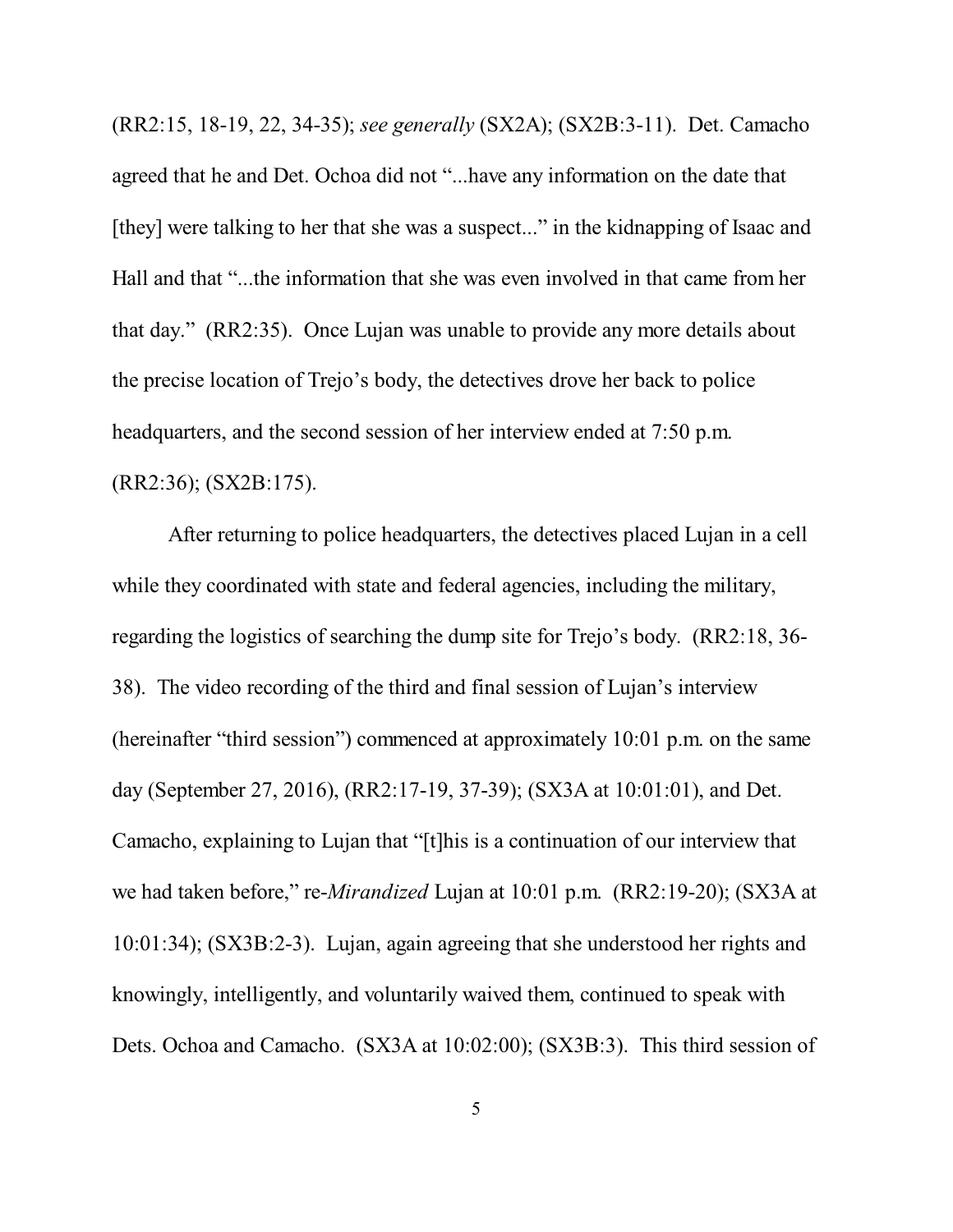(RR2:15, 18-19, 22, 34-35); *see generally* (SX2A); (SX2B:3-11). Det. Camacho agreed that he and Det. Ochoa did not "...have any information on the date that [they] were talking to her that she was a suspect..." in the kidnapping of Isaac and Hall and that "...the information that she was even involved in that came from her that day." (RR2:35). Once Lujan was unable to provide any more details about the precise location of Trejo's body, the detectives drove her back to police headquarters, and the second session of her interview ended at 7:50 p.m. (RR2:36); (SX2B:175).

After returning to police headquarters, the detectives placed Lujan in a cell while they coordinated with state and federal agencies, including the military, regarding the logistics of searching the dump site for Trejo's body. (RR2:18, 36- 38). The video recording of the third and final session of Lujan's interview (hereinafter "third session") commenced at approximately 10:01 p.m. on the same day (September 27, 2016), (RR2:17-19, 37-39); (SX3A at 10:01:01), and Det. Camacho, explaining to Lujan that "[t]his is a continuation of our interview that we had taken before," re-*Mirandized* Lujan at 10:01 p.m. (RR2:19-20); (SX3A at 10:01:34); (SX3B:2-3). Lujan, again agreeing that she understood her rights and knowingly, intelligently, and voluntarily waived them, continued to speak with Dets. Ochoa and Camacho. (SX3A at 10:02:00); (SX3B:3). This third session of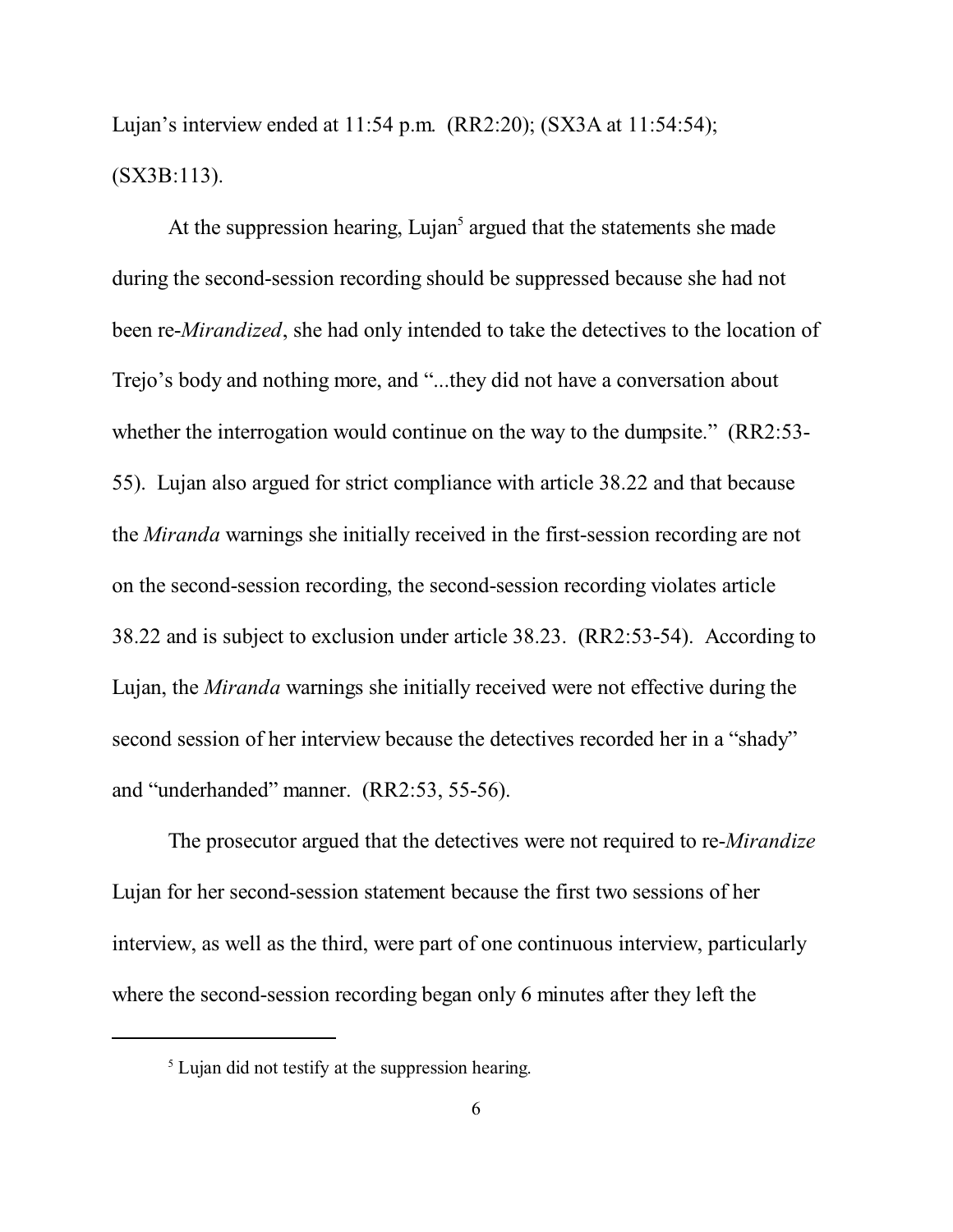Lujan's interview ended at 11:54 p.m. (RR2:20); (SX3A at 11:54:54); (SX3B:113).

At the suppression hearing, Lujan<sup>5</sup> argued that the statements she made during the second-session recording should be suppressed because she had not been re-*Mirandized*, she had only intended to take the detectives to the location of Trejo's body and nothing more, and "...they did not have a conversation about whether the interrogation would continue on the way to the dumpsite." (RR2:53-55). Lujan also argued for strict compliance with article 38.22 and that because the *Miranda* warnings she initially received in the first-session recording are not on the second-session recording, the second-session recording violates article 38.22 and is subject to exclusion under article 38.23. (RR2:53-54). According to Lujan, the *Miranda* warnings she initially received were not effective during the second session of her interview because the detectives recorded her in a "shady" and "underhanded" manner. (RR2:53, 55-56).

The prosecutor argued that the detectives were not required to re-*Mirandize* Lujan for her second-session statement because the first two sessions of her interview, as well as the third, were part of one continuous interview, particularly where the second-session recording began only 6 minutes after they left the

<sup>&</sup>lt;sup>5</sup> Lujan did not testify at the suppression hearing.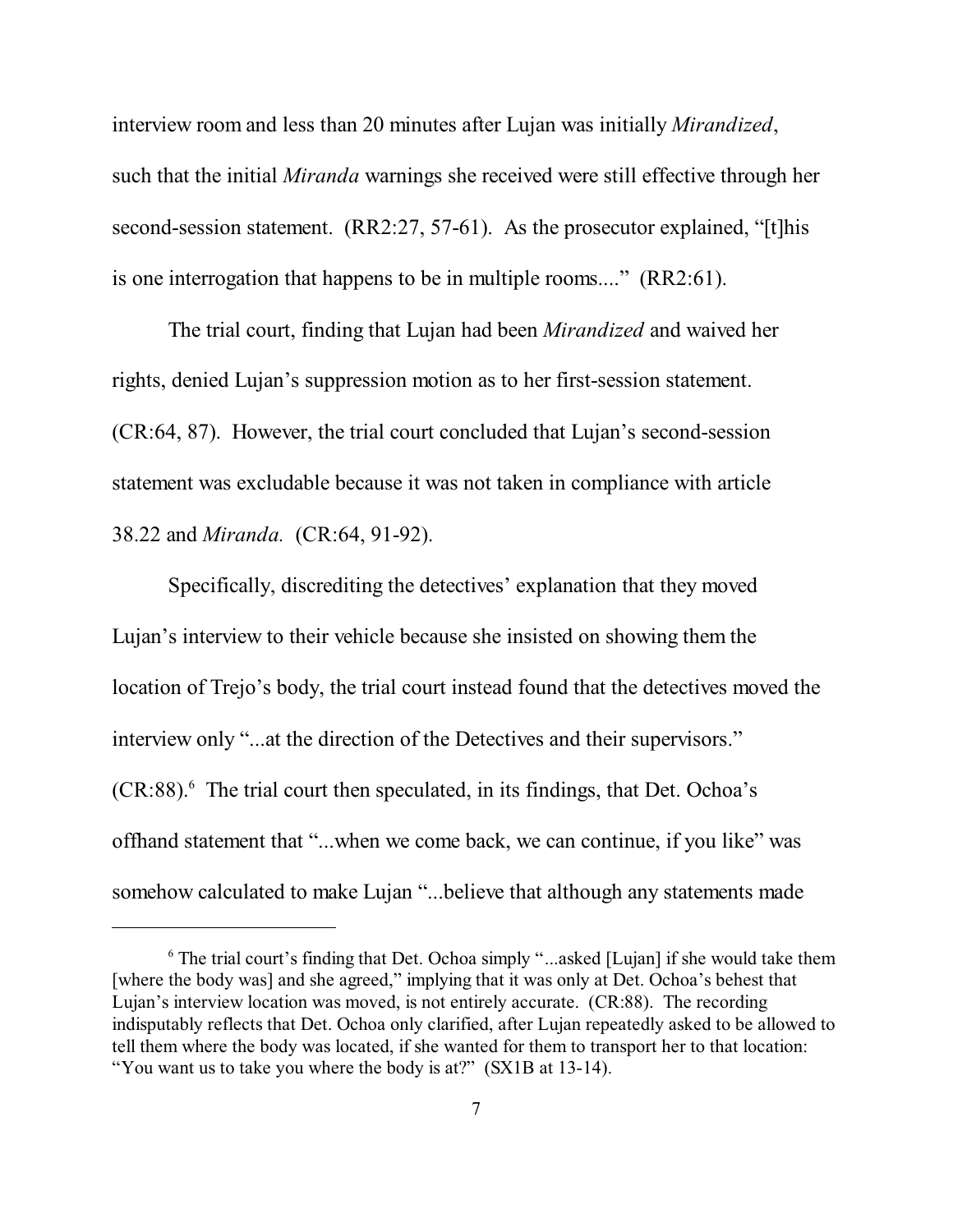interview room and less than 20 minutes after Lujan was initially *Mirandized*, such that the initial *Miranda* warnings she received were still effective through her second-session statement. (RR2:27, 57-61). As the prosecutor explained, "[t]his is one interrogation that happens to be in multiple rooms...." (RR2:61).

The trial court, finding that Lujan had been *Mirandized* and waived her rights, denied Lujan's suppression motion as to her first-session statement. (CR:64, 87). However, the trial court concluded that Lujan's second-session statement was excludable because it was not taken in compliance with article 38.22 and *Miranda.* (CR:64, 91-92).

Specifically, discrediting the detectives' explanation that they moved Lujan's interview to their vehicle because she insisted on showing them the location of Trejo's body, the trial court instead found that the detectives moved the interview only "...at the direction of the Detectives and their supervisors." (CR:88). 6 The trial court then speculated, in its findings, that Det. Ochoa's offhand statement that "...when we come back, we can continue, if you like" was somehow calculated to make Lujan "...believe that although any statements made

<sup>&</sup>lt;sup>6</sup> The trial court's finding that Det. Ochoa simply "...asked [Lujan] if she would take them [where the body was] and she agreed," implying that it was only at Det. Ochoa's behest that Lujan's interview location was moved, is not entirely accurate. (CR:88). The recording indisputably reflects that Det. Ochoa only clarified, after Lujan repeatedly asked to be allowed to tell them where the body was located, if she wanted for them to transport her to that location: "You want us to take you where the body is at?" (SX1B at 13-14).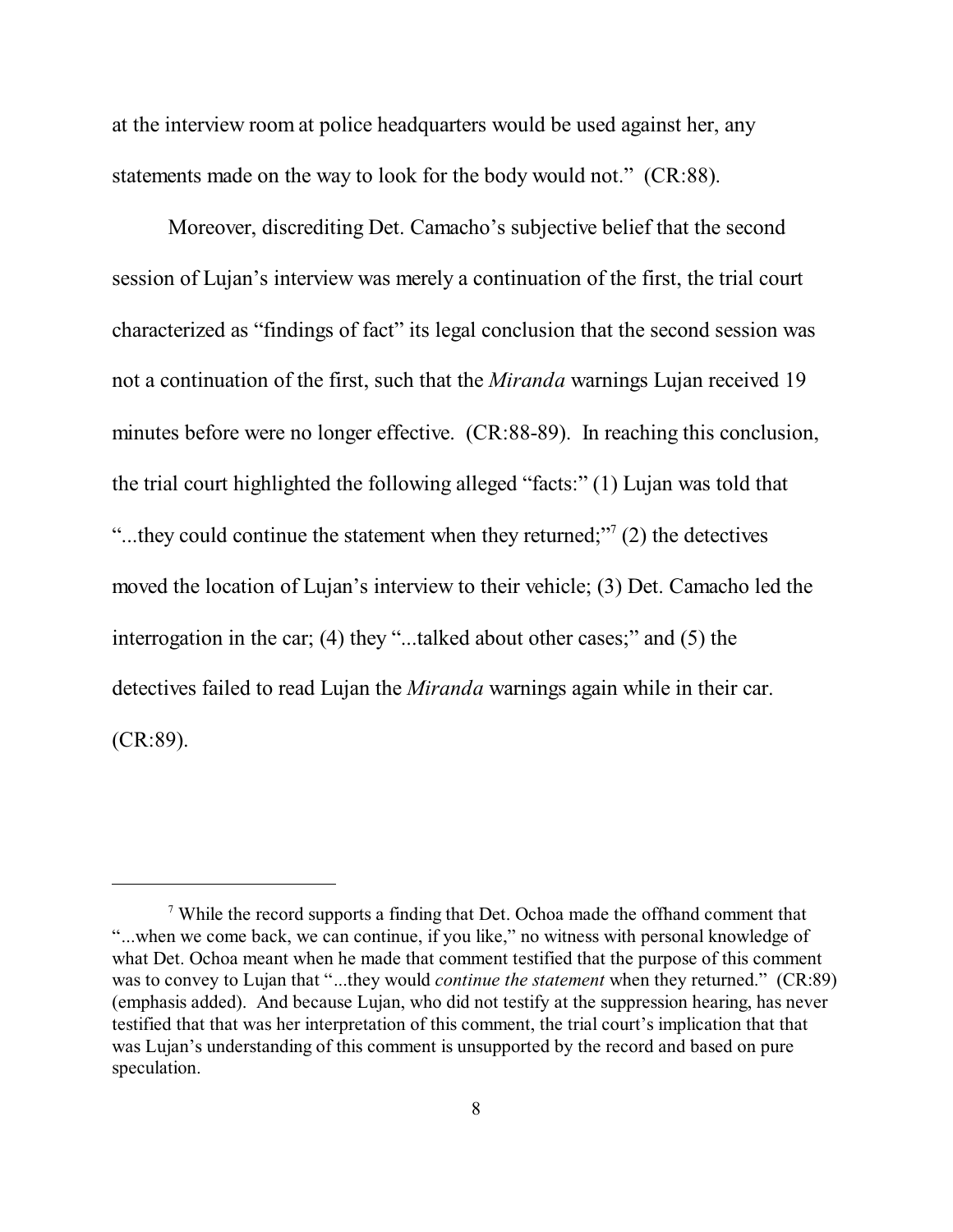at the interview room at police headquarters would be used against her, any statements made on the way to look for the body would not." (CR:88).

Moreover, discrediting Det. Camacho's subjective belief that the second session of Lujan's interview was merely a continuation of the first, the trial court characterized as "findings of fact" its legal conclusion that the second session was not a continuation of the first, such that the *Miranda* warnings Lujan received 19 minutes before were no longer effective. (CR:88-89).In reaching this conclusion, the trial court highlighted the following alleged "facts:" (1) Lujan was told that "...they could continue the statement when they returned;"<sup>7</sup> (2) the detectives moved the location of Lujan's interview to their vehicle; (3) Det. Camacho led the interrogation in the car; (4) they "...talked about other cases;" and (5) the detectives failed to read Lujan the *Miranda* warnings again while in their car. (CR:89).

<sup>&</sup>lt;sup>7</sup> While the record supports a finding that Det. Ochoa made the offhand comment that "...when we come back, we can continue, if you like," no witness with personal knowledge of what Det. Ochoa meant when he made that comment testified that the purpose of this comment was to convey to Lujan that "...they would *continue the statement* when they returned." (CR:89) (emphasis added). And because Lujan, who did not testify at the suppression hearing, has never testified that that was her interpretation of this comment, the trial court's implication that that was Lujan's understanding of this comment is unsupported by the record and based on pure speculation.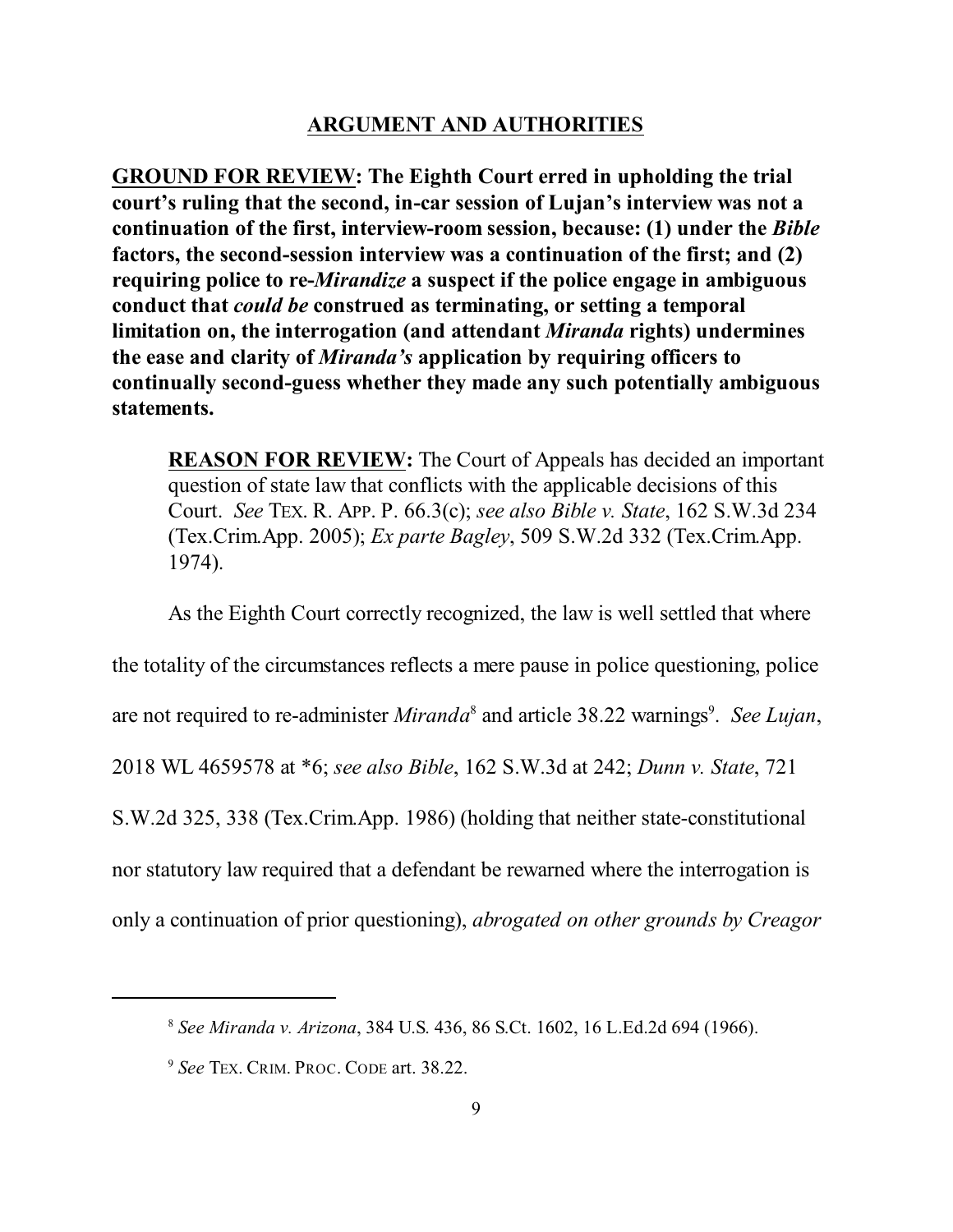#### **ARGUMENT AND AUTHORITIES**

**GROUND FOR REVIEW: The Eighth Court erred in upholding the trial court's ruling that the second, in-car session of Lujan's interview was not a continuation of the first, interview-room session, because: (1) under the** *Bible* **factors, the second-session interview was a continuation of the first; and (2) requiring police to re-***Mirandize* **a suspect if the police engage in ambiguous conduct that** *could be* **construed as terminating, or setting a temporal limitation on, the interrogation (and attendant** *Miranda* **rights) undermines the ease and clarity of** *Miranda's* **application by requiring officers to continually second-guess whether they made any such potentially ambiguous statements.**

**REASON FOR REVIEW:** The Court of Appeals has decided an important question of state law that conflicts with the applicable decisions of this Court. *See* TEX. R. APP. P. 66.3(c); *see also Bible v. State*, 162 S.W.3d 234 (Tex.Crim.App. 2005); *Ex parte Bagley*, 509 S.W.2d 332 (Tex.Crim.App. 1974).

As the Eighth Court correctly recognized, the law is well settled that where

the totality of the circumstances reflects a mere pause in police questioning, police

are not required to re-administer *Miranda*<sup>8</sup> and article 38.22 warnings<sup>9</sup>. See Lujan,

2018 WL 4659578 at \*6; *see also Bible*, 162 S.W.3d at 242; *Dunn v. State*, 721

S.W.2d 325, 338 (Tex.Crim.App. 1986) (holding that neither state-constitutional

nor statutory law required that a defendant be rewarned where the interrogation is

only a continuation of prior questioning), *abrogated on other grounds by Creagor*

<sup>8</sup> *See Miranda v. Arizona*, 384 U.S. 436, 86 S.Ct. 1602, 16 L.Ed.2d 694 (1966).

<sup>9</sup> *See* TEX. CRIM. PROC. CODE art. 38.22.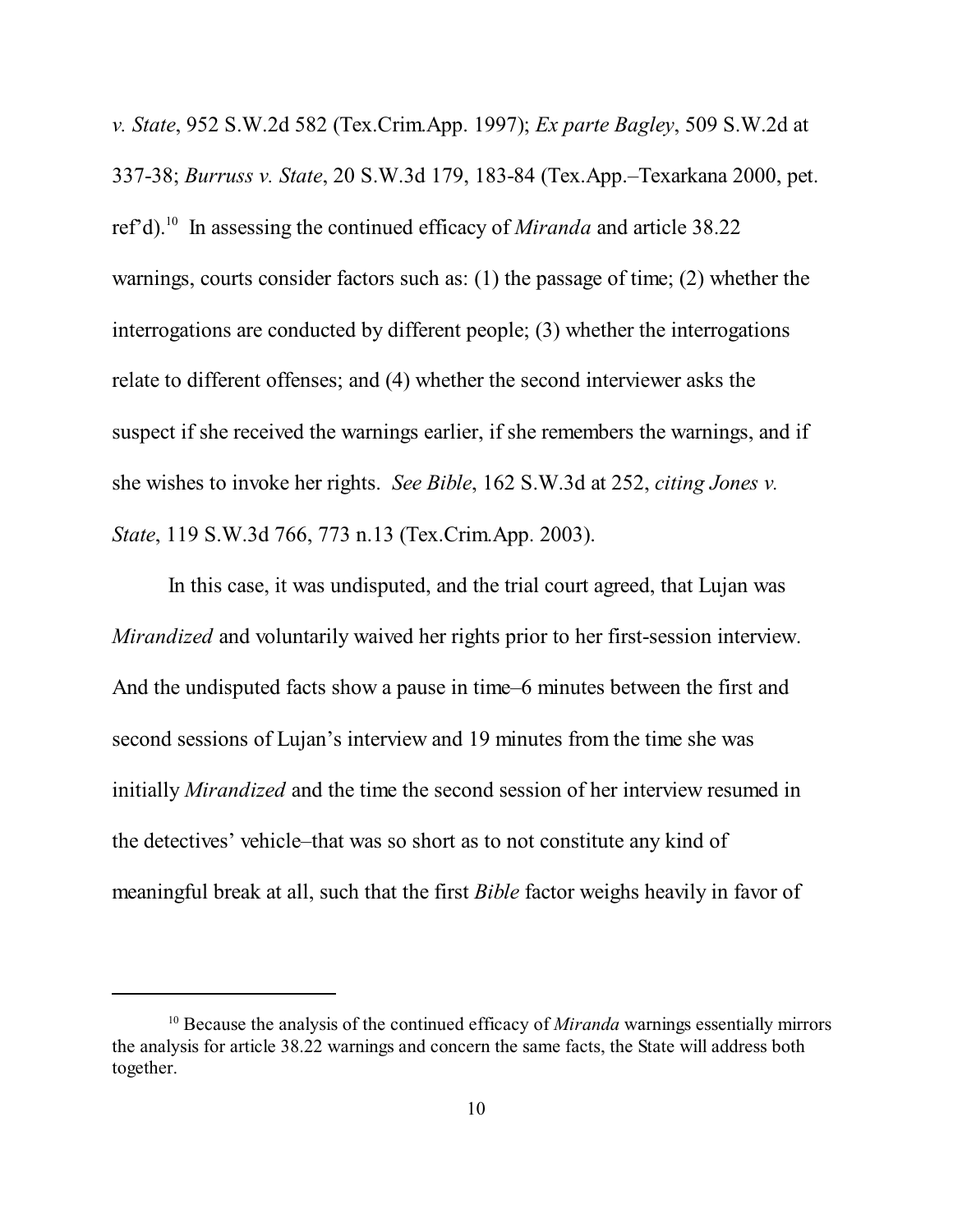*v. State*, 952 S.W.2d 582 (Tex.Crim.App. 1997); *Ex parte Bagley*, 509 S.W.2d at 337-38; *Burruss v. State*, 20 S.W.3d 179, 183-84 (Tex.App.–Texarkana 2000, pet. ref'd). <sup>10</sup> In assessing the continued efficacy of *Miranda* and article 38.22 warnings, courts consider factors such as: (1) the passage of time; (2) whether the interrogations are conducted by different people; (3) whether the interrogations relate to different offenses; and (4) whether the second interviewer asks the suspect if she received the warnings earlier, if she remembers the warnings, and if she wishes to invoke her rights. *See Bible*, 162 S.W.3d at 252, *citing Jones v. State*, 119 S.W.3d 766, 773 n.13 (Tex.Crim.App. 2003).

In this case, it was undisputed, and the trial court agreed, that Lujan was *Mirandized* and voluntarily waived her rights prior to her first-session interview. And the undisputed facts show a pause in time–6 minutes between the first and second sessions of Lujan's interview and 19 minutes from the time she was initially *Mirandized* and the time the second session of her interview resumed in the detectives' vehicle–that was so short as to not constitute any kind of meaningful break at all, such that the first *Bible* factor weighs heavily in favor of

<sup>&</sup>lt;sup>10</sup> Because the analysis of the continued efficacy of *Miranda* warnings essentially mirrors the analysis for article 38.22 warnings and concern the same facts, the State will address both together.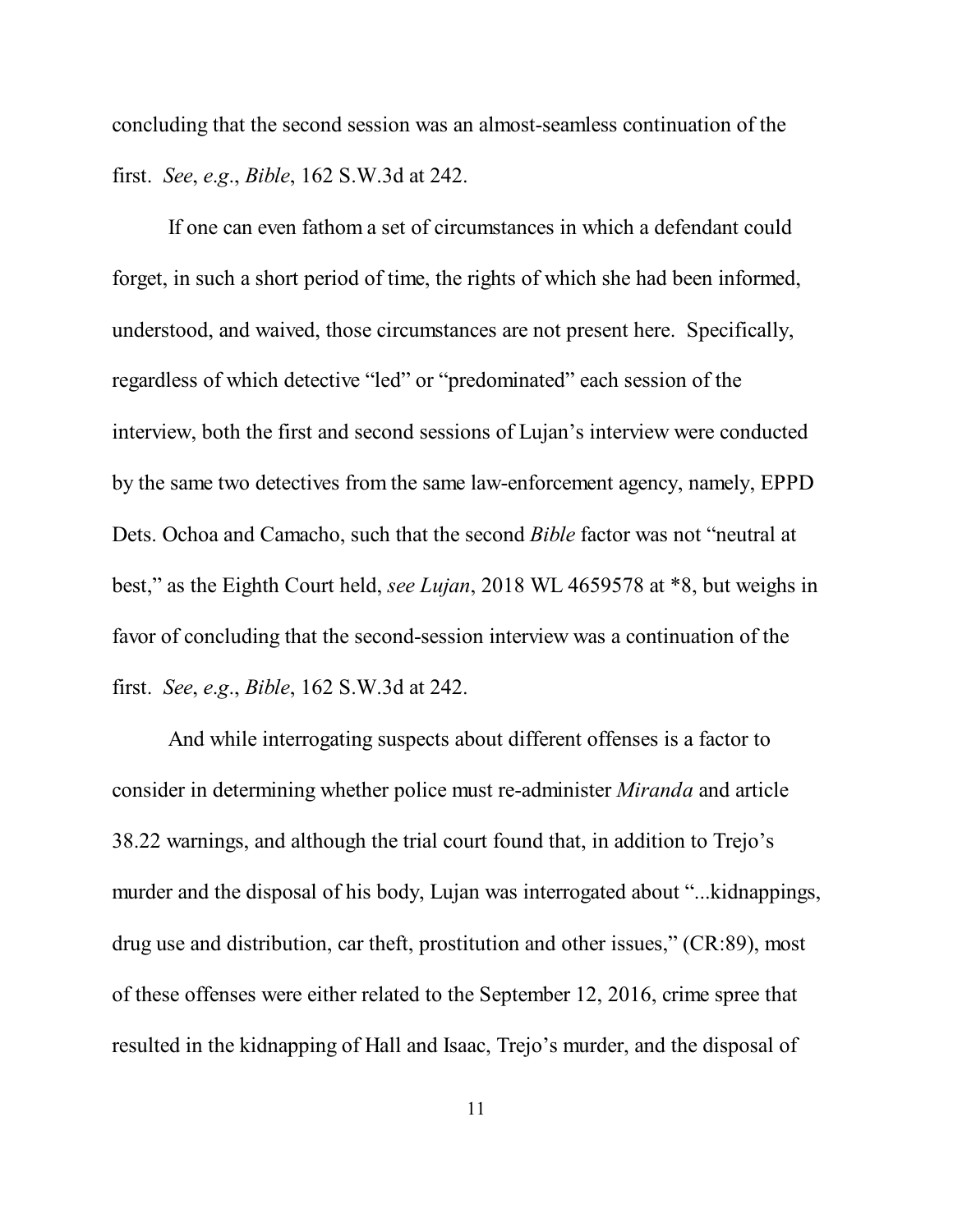concluding that the second session was an almost-seamless continuation of the first. *See*, *e*.*g*., *Bible*, 162 S.W.3d at 242.

If one can even fathom a set of circumstances in which a defendant could forget, in such a short period of time, the rights of which she had been informed, understood, and waived, those circumstances are not present here. Specifically, regardless of which detective "led" or "predominated" each session of the interview, both the first and second sessions of Lujan's interview were conducted by the same two detectives from the same law-enforcement agency, namely, EPPD Dets. Ochoa and Camacho, such that the second *Bible* factor was not "neutral at best," as the Eighth Court held, *see Lujan*, 2018 WL 4659578 at \*8, but weighs in favor of concluding that the second-session interview was a continuation of the first. *See*, *e*.*g*., *Bible*, 162 S.W.3d at 242.

And while interrogating suspects about different offenses is a factor to consider in determining whether police must re-administer *Miranda* and article 38.22 warnings, and although the trial court found that, in addition to Trejo's murder and the disposal of his body, Lujan was interrogated about "...kidnappings, drug use and distribution, car theft, prostitution and other issues," (CR:89), most of these offenses were either related to the September 12, 2016, crime spree that resulted in the kidnapping of Hall and Isaac, Trejo's murder, and the disposal of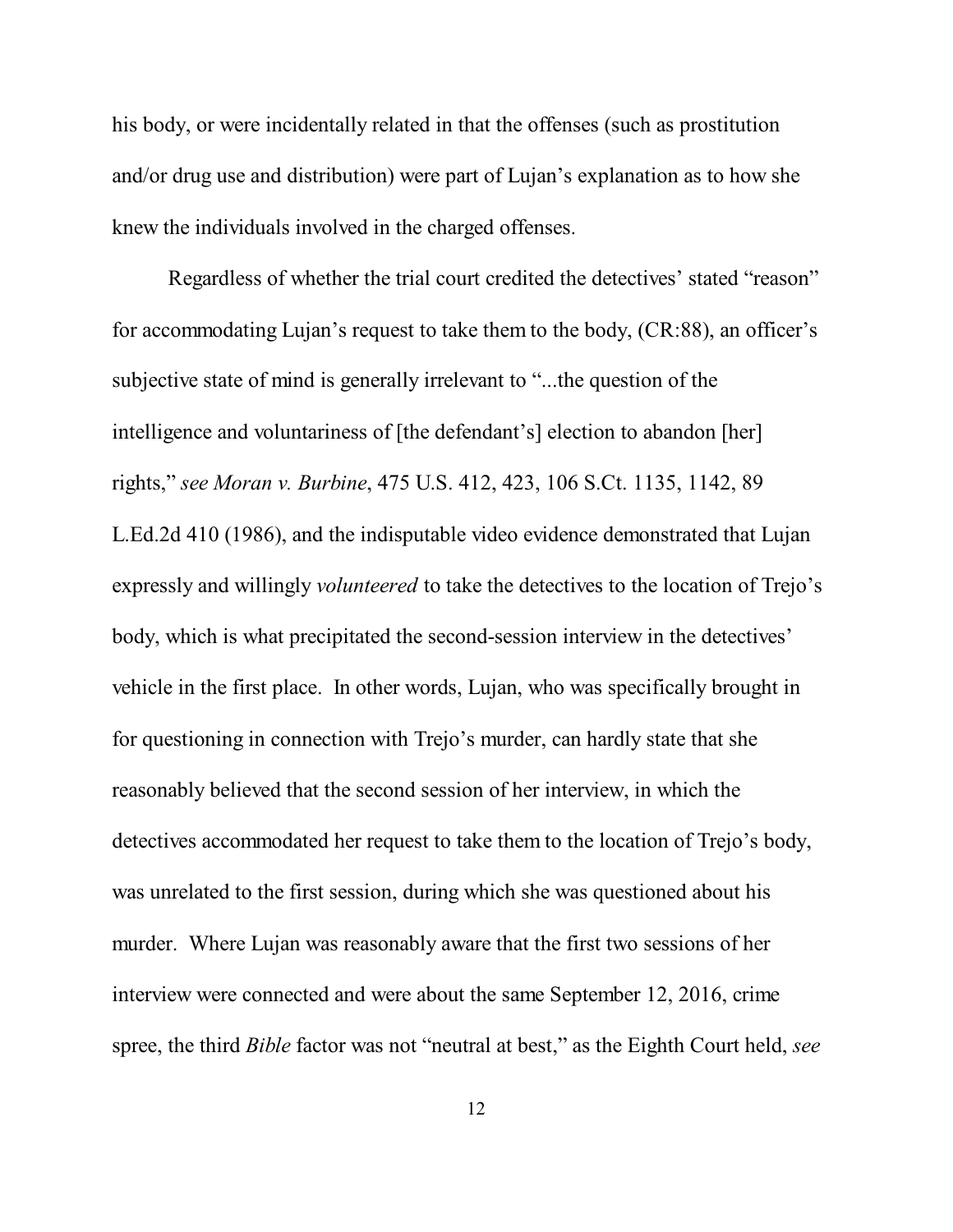his body, or were incidentally related in that the offenses (such as prostitution and/or drug use and distribution) were part of Lujan's explanation as to how she knew the individuals involved in the charged offenses.

Regardless of whether the trial court credited the detectives' stated "reason" for accommodating Lujan's request to take them to the body, (CR:88), an officer's subjective state of mind is generally irrelevant to "...the question of the intelligence and voluntariness of [the defendant's] election to abandon [her] rights," *see Moran v. Burbine*, 475 U.S. 412, 423, 106 S.Ct. 1135, 1142, 89 L.Ed.2d 410 (1986), and the indisputable video evidence demonstrated that Lujan expressly and willingly *volunteered* to take the detectives to the location of Trejo's body, which is what precipitated the second-session interview in the detectives' vehicle in the first place. In other words, Lujan, who was specifically brought in for questioning in connection with Trejo's murder, can hardly state that she reasonably believed that the second session of her interview, in which the detectives accommodated her request to take them to the location of Trejo's body, was unrelated to the first session, during which she was questioned about his murder. Where Lujan was reasonably aware that the first two sessions of her interview were connected and were about the same September 12, 2016, crime spree, the third *Bible* factor was not "neutral at best," as the Eighth Court held, *see*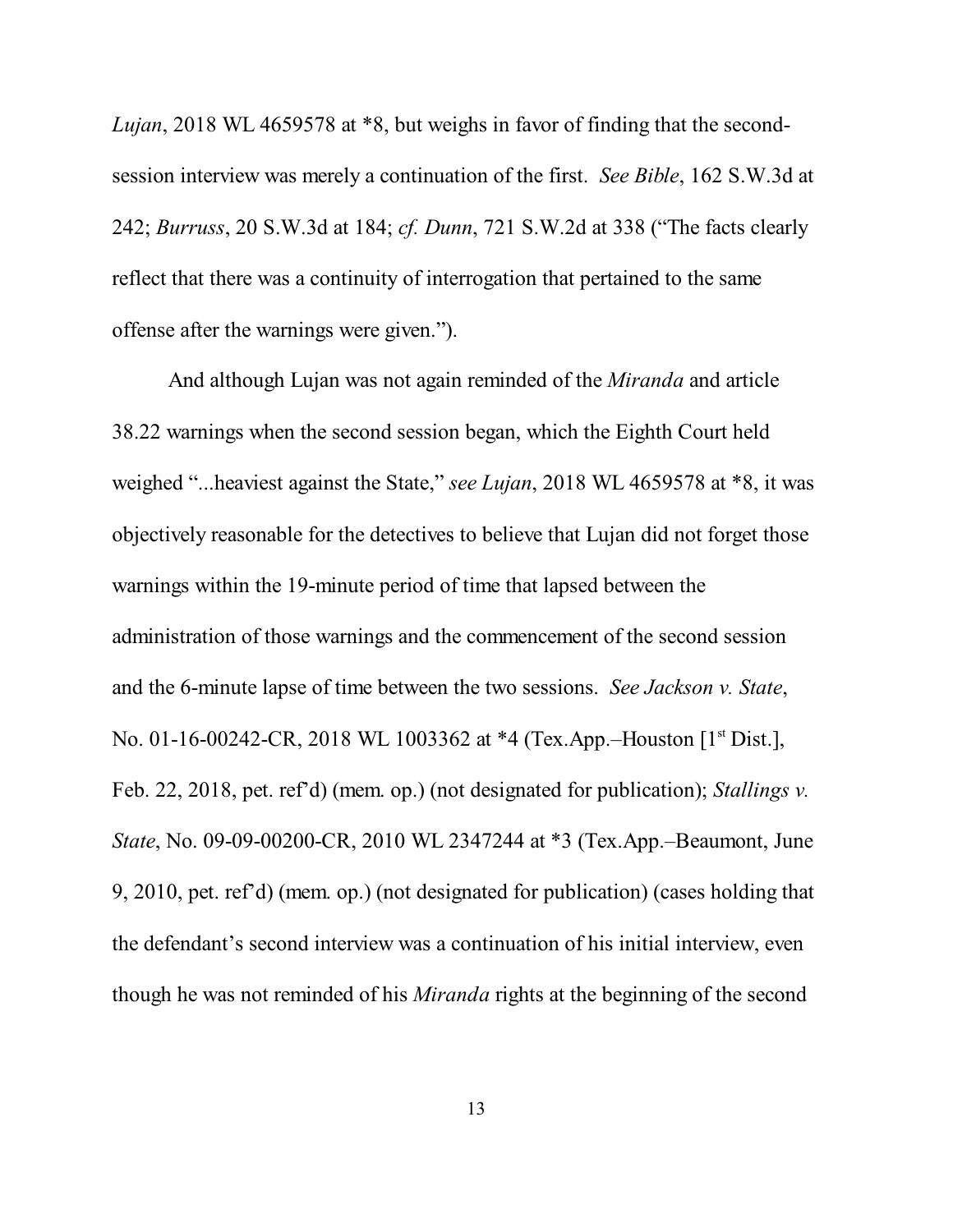*Lujan*, 2018 WL 4659578 at \*8, but weighs in favor of finding that the secondsession interview was merely a continuation of the first. *See Bible*, 162 S.W.3d at 242; *Burruss*, 20 S.W.3d at 184; *cf. Dunn*, 721 S.W.2d at 338 ("The facts clearly reflect that there was a continuity of interrogation that pertained to the same offense after the warnings were given.").

And although Lujan was not again reminded of the *Miranda* and article 38.22 warnings when the second session began, which the Eighth Court held weighed "...heaviest against the State," *see Lujan*, 2018 WL 4659578 at \*8, it was objectively reasonable for the detectives to believe that Lujan did not forget those warnings within the 19-minute period of time that lapsed between the administration of those warnings and the commencement of the second session and the 6-minute lapse of time between the two sessions. *See Jackson v. State*, No. 01-16-00242-CR, 2018 WL 1003362 at \*4 (Tex.App.–Houston [1<sup>st</sup> Dist.], Feb. 22, 2018, pet. ref'd) (mem. op.) (not designated for publication); *Stallings v. State*, No. 09-09-00200-CR, 2010 WL 2347244 at \*3 (Tex.App.–Beaumont, June 9, 2010, pet. ref'd) (mem. op.) (not designated for publication) (cases holding that the defendant's second interview was a continuation of his initial interview, even though he was not reminded of his *Miranda* rights at the beginning of the second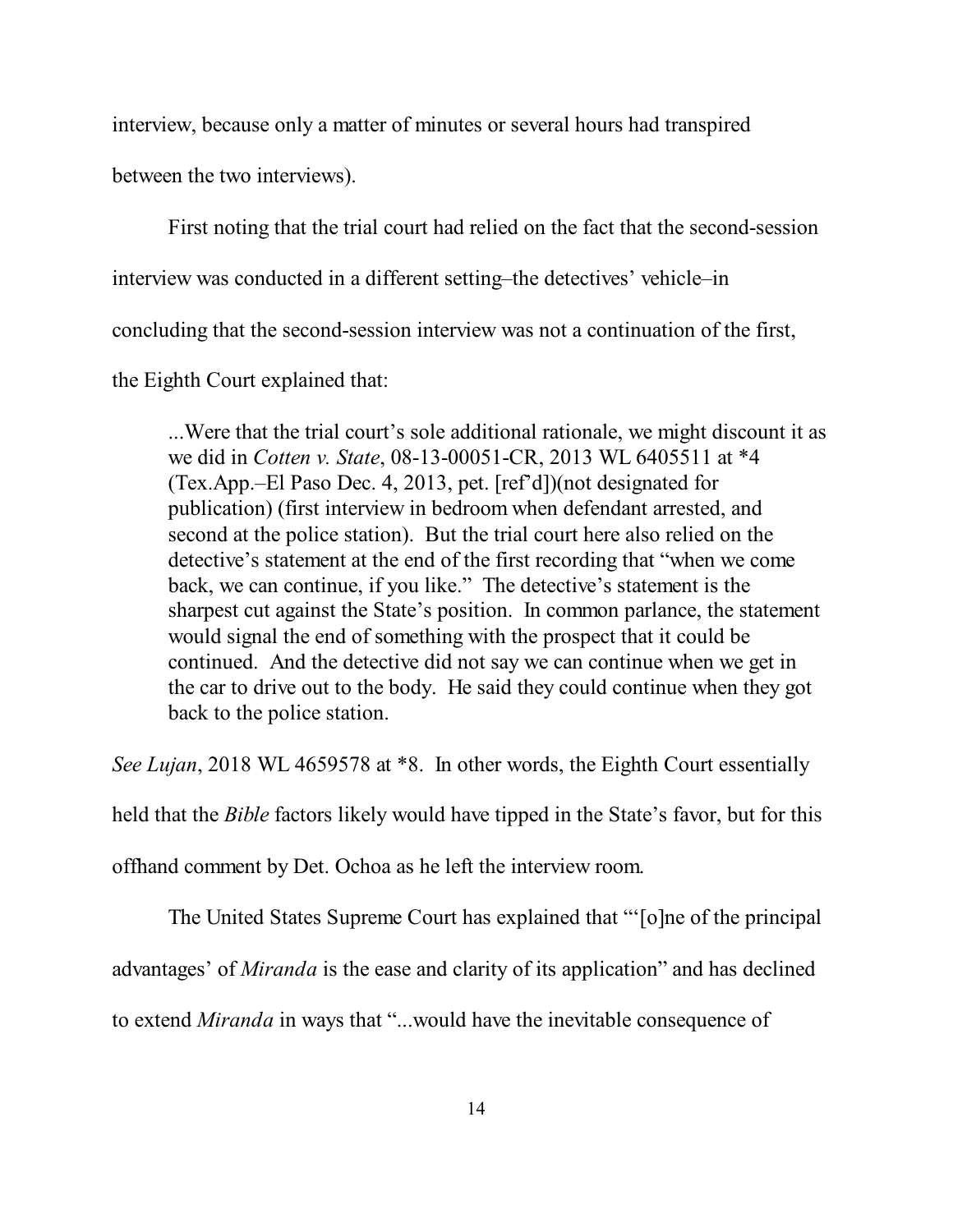interview, because only a matter of minutes or several hours had transpired

between the two interviews).

First noting that the trial court had relied on the fact that the second-session

interview was conducted in a different setting–the detectives' vehicle–in

concluding that the second-session interview was not a continuation of the first,

the Eighth Court explained that:

...Were that the trial court's sole additional rationale, we might discount it as we did in *Cotten v. State*, 08-13-00051-CR, 2013 WL 6405511 at \*4 (Tex.App.–El Paso Dec. 4, 2013, pet. [ref'd])(not designated for publication) (first interview in bedroom when defendant arrested, and second at the police station). But the trial court here also relied on the detective's statement at the end of the first recording that "when we come back, we can continue, if you like." The detective's statement is the sharpest cut against the State's position. In common parlance, the statement would signal the end of something with the prospect that it could be continued. And the detective did not say we can continue when we get in the car to drive out to the body. He said they could continue when they got back to the police station.

*See Lujan*, 2018 WL 4659578 at \*8. In other words, the Eighth Court essentially

held that the *Bible* factors likely would have tipped in the State's favor, but for this

offhand comment by Det. Ochoa as he left the interview room.

The United States Supreme Court has explained that "'[o]ne of the principal

advantages' of *Miranda* is the ease and clarity of its application" and has declined

to extend *Miranda* in ways that "...would have the inevitable consequence of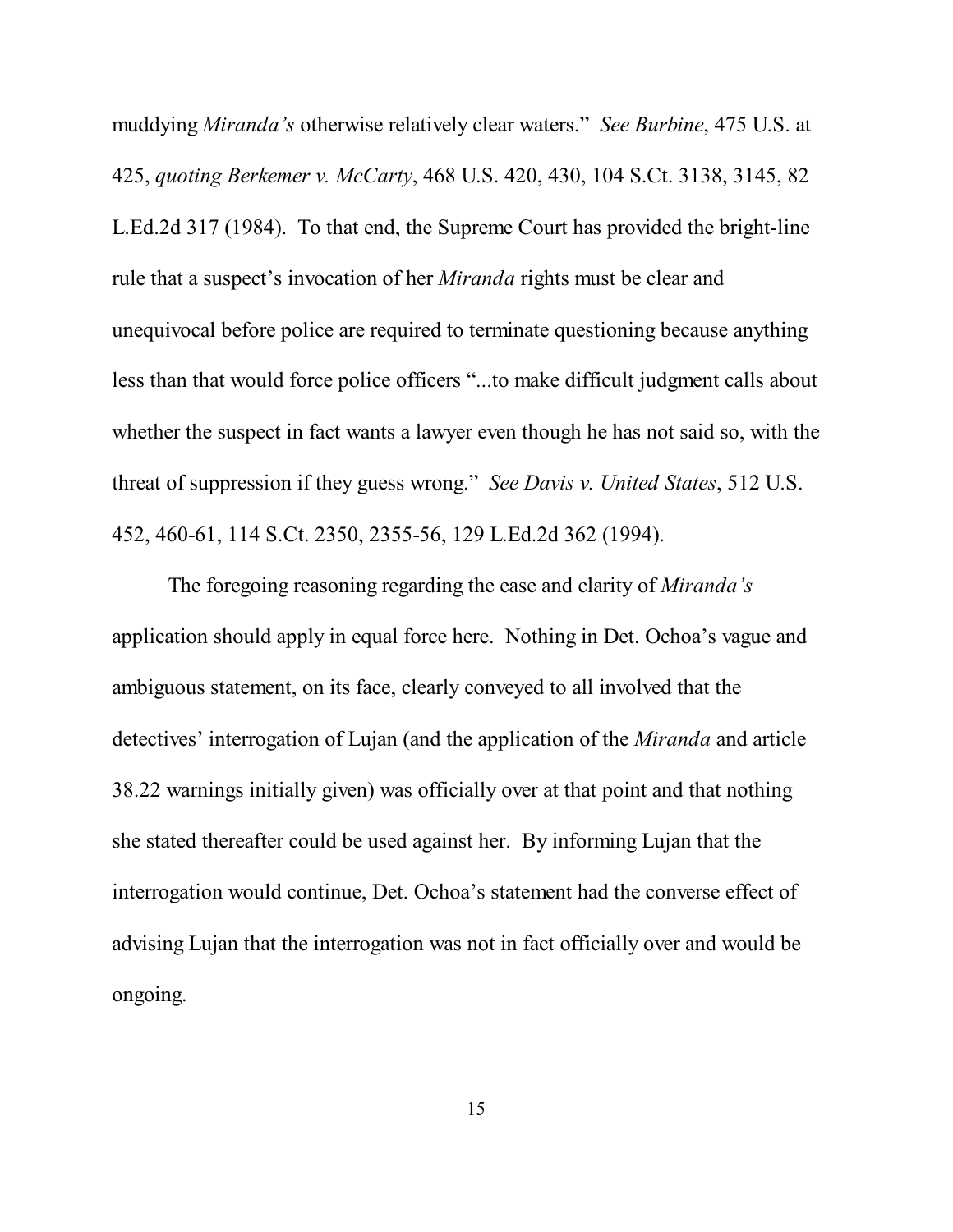muddying *Miranda's* otherwise relatively clear waters." *See Burbine*, 475 U.S. at 425, *quoting Berkemer v. McCarty*, 468 U.S. 420, 430, 104 S.Ct. 3138, 3145, 82 L.Ed.2d 317 (1984). To that end, the Supreme Court has provided the bright-line rule that a suspect's invocation of her *Miranda* rights must be clear and unequivocal before police are required to terminate questioning because anything less than that would force police officers "...to make difficult judgment calls about whether the suspect in fact wants a lawyer even though he has not said so, with the threat of suppression if they guess wrong." *See Davis v. United States*, 512 U.S. 452, 460-61, 114 S.Ct. 2350, 2355-56, 129 L.Ed.2d 362 (1994).

The foregoing reasoning regarding the ease and clarity of *Miranda's* application should apply in equal force here. Nothing in Det. Ochoa's vague and ambiguous statement, on its face, clearly conveyed to all involved that the detectives' interrogation of Lujan (and the application of the *Miranda* and article 38.22 warnings initially given) was officially over at that point and that nothing she stated thereafter could be used against her. By informing Lujan that the interrogation would continue, Det. Ochoa's statement had the converse effect of advising Lujan that the interrogation was not in fact officially over and would be ongoing.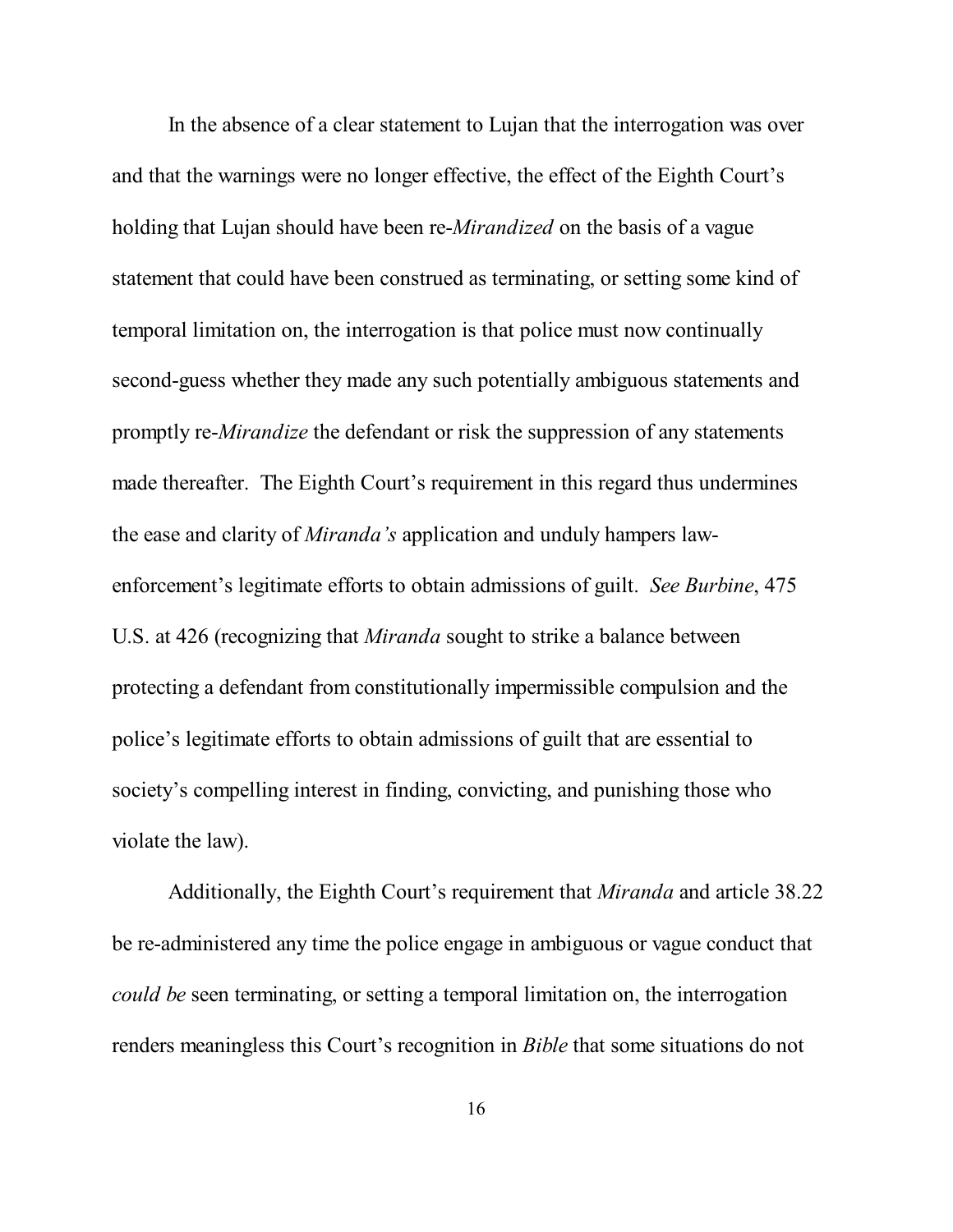In the absence of a clear statement to Lujan that the interrogation was over and that the warnings were no longer effective, the effect of the Eighth Court's holding that Lujan should have been re-*Mirandized* on the basis of a vague statement that could have been construed as terminating, or setting some kind of temporal limitation on, the interrogation is that police must now continually second-guess whether they made any such potentially ambiguous statements and promptly re-*Mirandize* the defendant or risk the suppression of any statements made thereafter. The Eighth Court's requirement in this regard thus undermines the ease and clarity of *Miranda's* application and unduly hampers lawenforcement's legitimate efforts to obtain admissions of guilt. *See Burbine*, 475 U.S. at 426 (recognizing that *Miranda* sought to strike a balance between protecting a defendant from constitutionally impermissible compulsion and the police's legitimate efforts to obtain admissions of guilt that are essential to society's compelling interest in finding, convicting, and punishing those who violate the law).

Additionally, the Eighth Court's requirement that *Miranda* and article 38.22 be re-administered any time the police engage in ambiguous or vague conduct that *could be* seen terminating, or setting a temporal limitation on, the interrogation renders meaningless this Court's recognition in *Bible* that some situations do not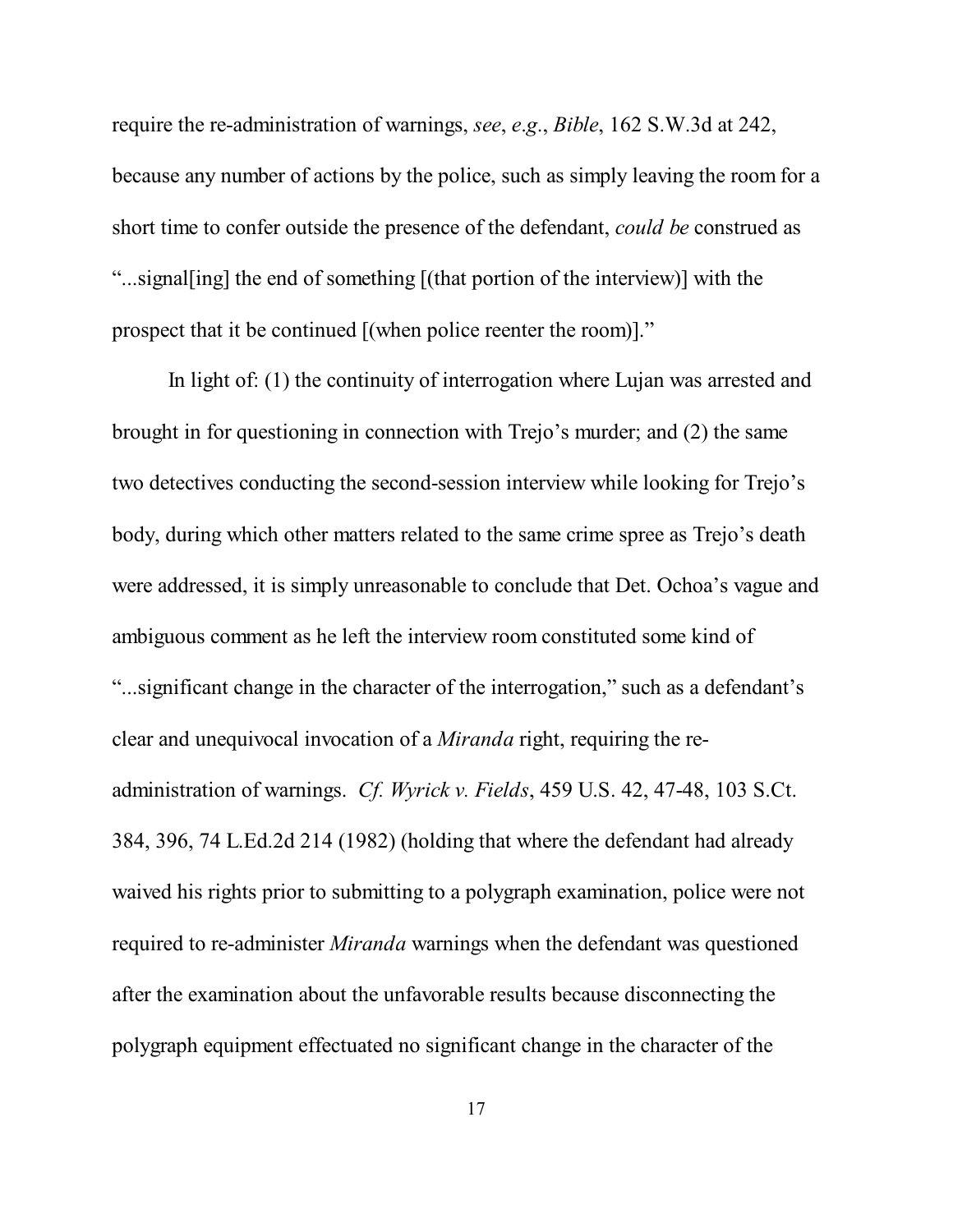require the re-administration of warnings, *see*, *e*.*g*., *Bible*, 162 S.W.3d at 242, because any number of actions by the police, such as simply leaving the room for a short time to confer outside the presence of the defendant, *could be* construed as "...signal[ing] the end of something [(that portion of the interview)] with the prospect that it be continued [(when police reenter the room)]."

In light of: (1) the continuity of interrogation where Lujan was arrested and brought in for questioning in connection with Trejo's murder; and (2) the same two detectives conducting the second-session interview while looking for Trejo's body, during which other matters related to the same crime spree as Trejo's death were addressed, it is simply unreasonable to conclude that Det. Ochoa's vague and ambiguous comment as he left the interview room constituted some kind of "...significant change in the character of the interrogation," such as a defendant's clear and unequivocal invocation of a *Miranda* right, requiring the readministration of warnings. *Cf. Wyrick v. Fields*, 459 U.S. 42, 47-48, 103 S.Ct. 384, 396, 74 L.Ed.2d 214 (1982) (holding that where the defendant had already waived his rights prior to submitting to a polygraph examination, police were not required to re-administer *Miranda* warnings when the defendant was questioned after the examination about the unfavorable results because disconnecting the polygraph equipment effectuated no significant change in the character of the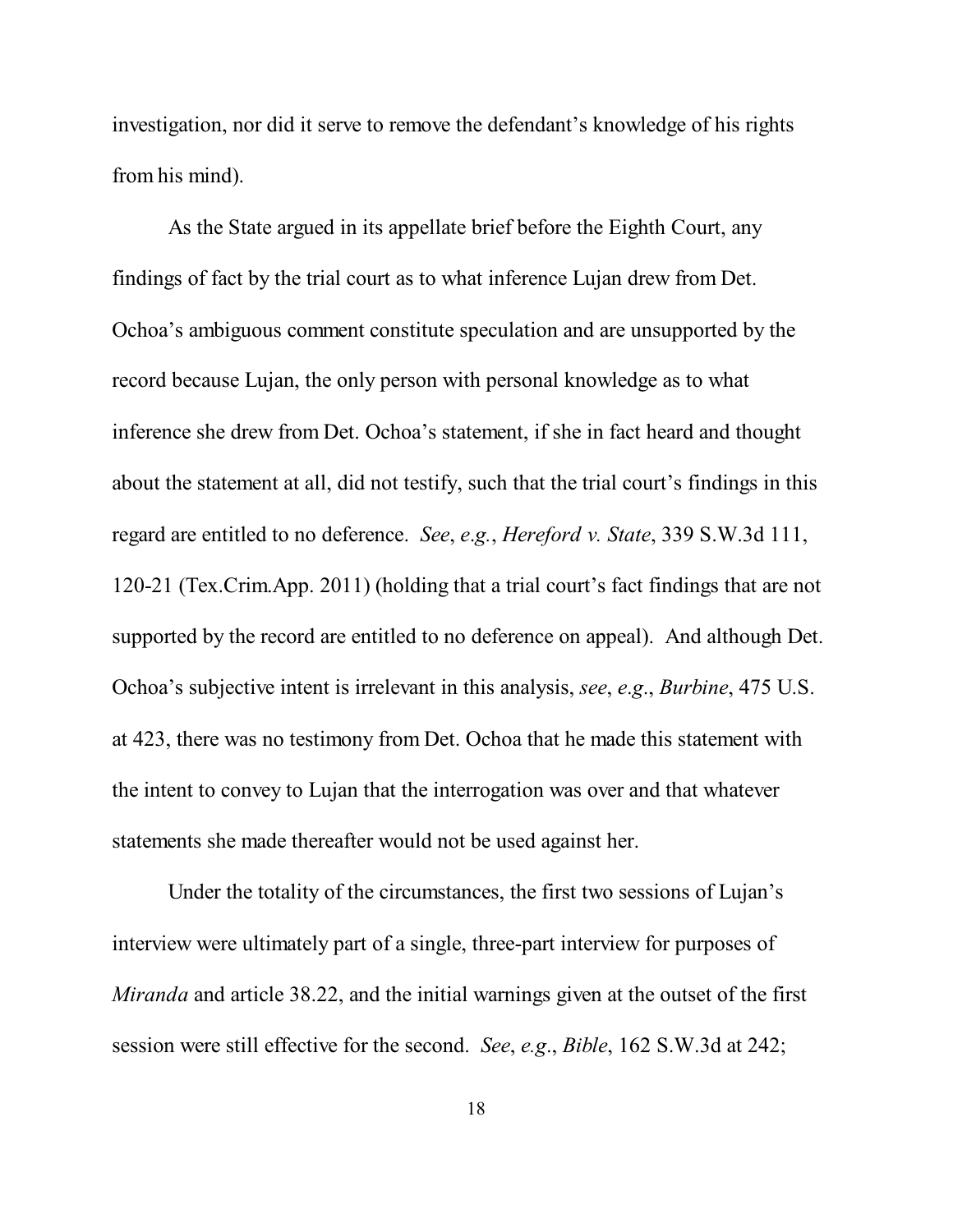investigation, nor did it serve to remove the defendant's knowledge of his rights from his mind).

As the State argued in its appellate brief before the Eighth Court, any findings of fact by the trial court as to what inference Lujan drew from Det. Ochoa's ambiguous comment constitute speculation and are unsupported by the record because Lujan, the only person with personal knowledge as to what inference she drew from Det. Ochoa's statement, if she in fact heard and thought about the statement at all, did not testify, such that the trial court's findings in this regard are entitled to no deference. *See*, *e*.*g.*, *Hereford v. State*, 339 S.W.3d 111, 120-21 (Tex.Crim.App. 2011) (holding that a trial court's fact findings that are not supported by the record are entitled to no deference on appeal). And although Det. Ochoa's subjective intent is irrelevant in this analysis, *see*, *e*.*g*., *Burbine*, 475 U.S. at 423, there was no testimony from Det. Ochoa that he made this statement with the intent to convey to Lujan that the interrogation was over and that whatever statements she made thereafter would not be used against her.

Under the totality of the circumstances, the first two sessions of Lujan's interview were ultimately part of a single, three-part interview for purposes of *Miranda* and article 38.22, and the initial warnings given at the outset of the first session were still effective for the second. *See*, *e.g*., *Bible*, 162 S.W.3d at 242;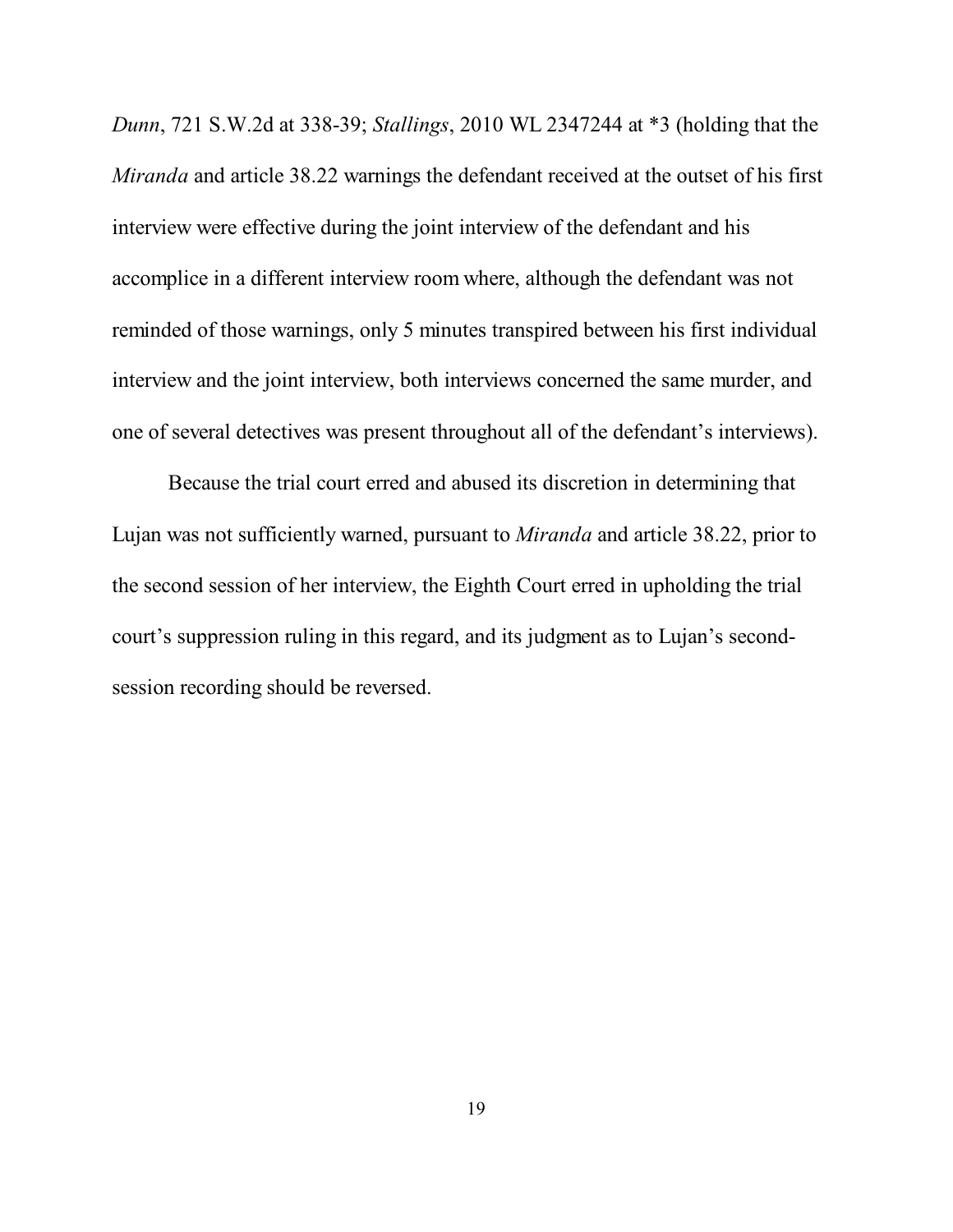*Dunn*, 721 S.W.2d at 338-39; *Stallings*, 2010 WL 2347244 at \*3 (holding that the *Miranda* and article 38.22 warnings the defendant received at the outset of his first interview were effective during the joint interview of the defendant and his accomplice in a different interview room where, although the defendant was not reminded of those warnings, only 5 minutes transpired between his first individual interview and the joint interview, both interviews concerned the same murder, and one of several detectives was present throughout all of the defendant's interviews).

Because the trial court erred and abused its discretion in determining that Lujan was not sufficiently warned, pursuant to *Miranda* and article 38.22, prior to the second session of her interview, the Eighth Court erred in upholding the trial court's suppression ruling in this regard, and its judgment as to Lujan's secondsession recording should be reversed.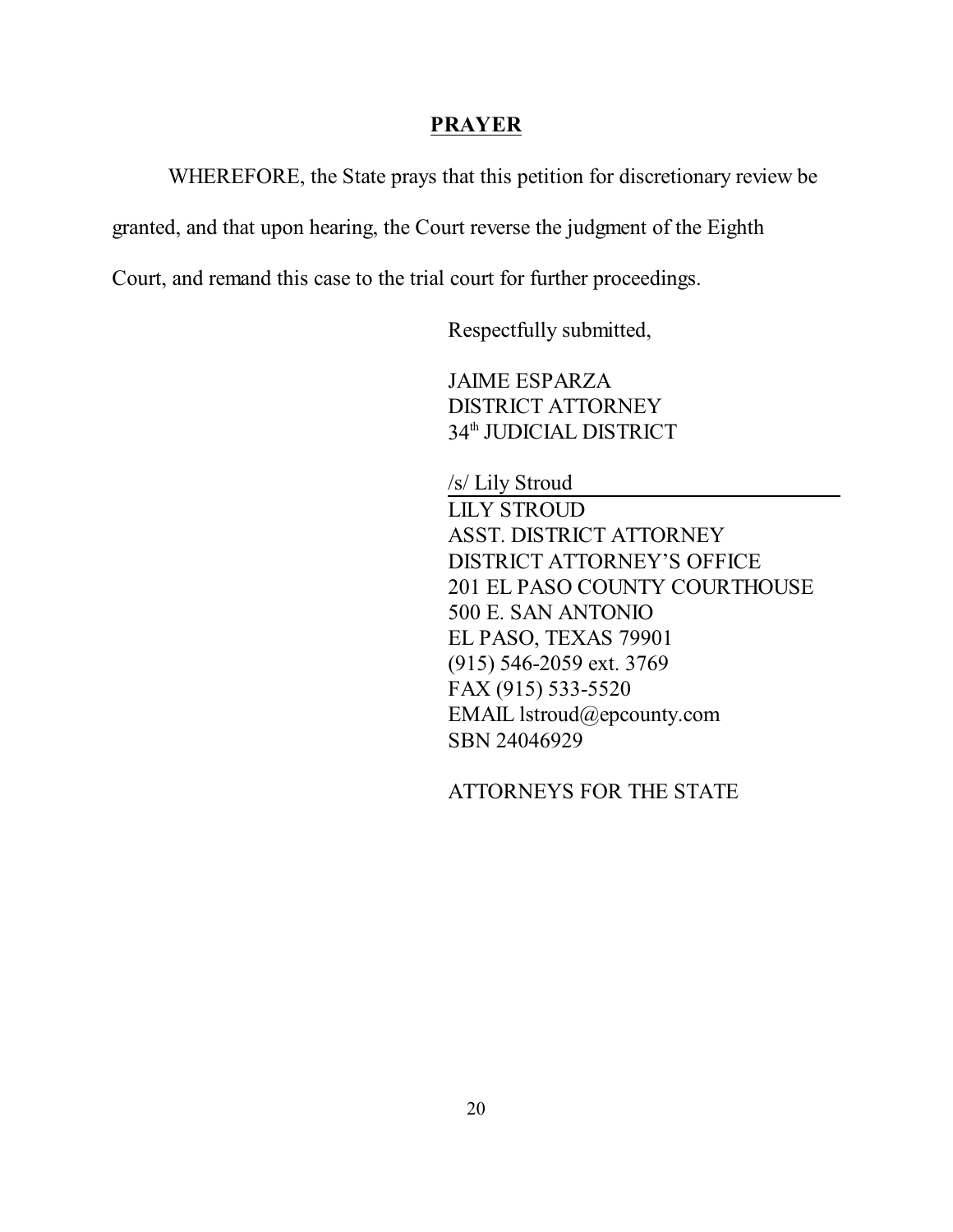#### **PRAYER**

WHEREFORE, the State prays that this petition for discretionary review be

granted, and that upon hearing, the Court reverse the judgment of the Eighth

Court, and remand this case to the trial court for further proceedings.

Respectfully submitted,

JAIME ESPARZA DISTRICT ATTORNEY 34<sup>th</sup> JUDICIAL DISTRICT

/s/ Lily Stroud

LILY STROUD ASST. DISTRICT ATTORNEY DISTRICT ATTORNEY'S OFFICE 201 EL PASO COUNTY COURTHOUSE 500 E. SAN ANTONIO EL PASO, TEXAS 79901 (915) 546-2059 ext. 3769 FAX (915) 533-5520 EMAIL lstroud@epcounty.com SBN 24046929

ATTORNEYS FOR THE STATE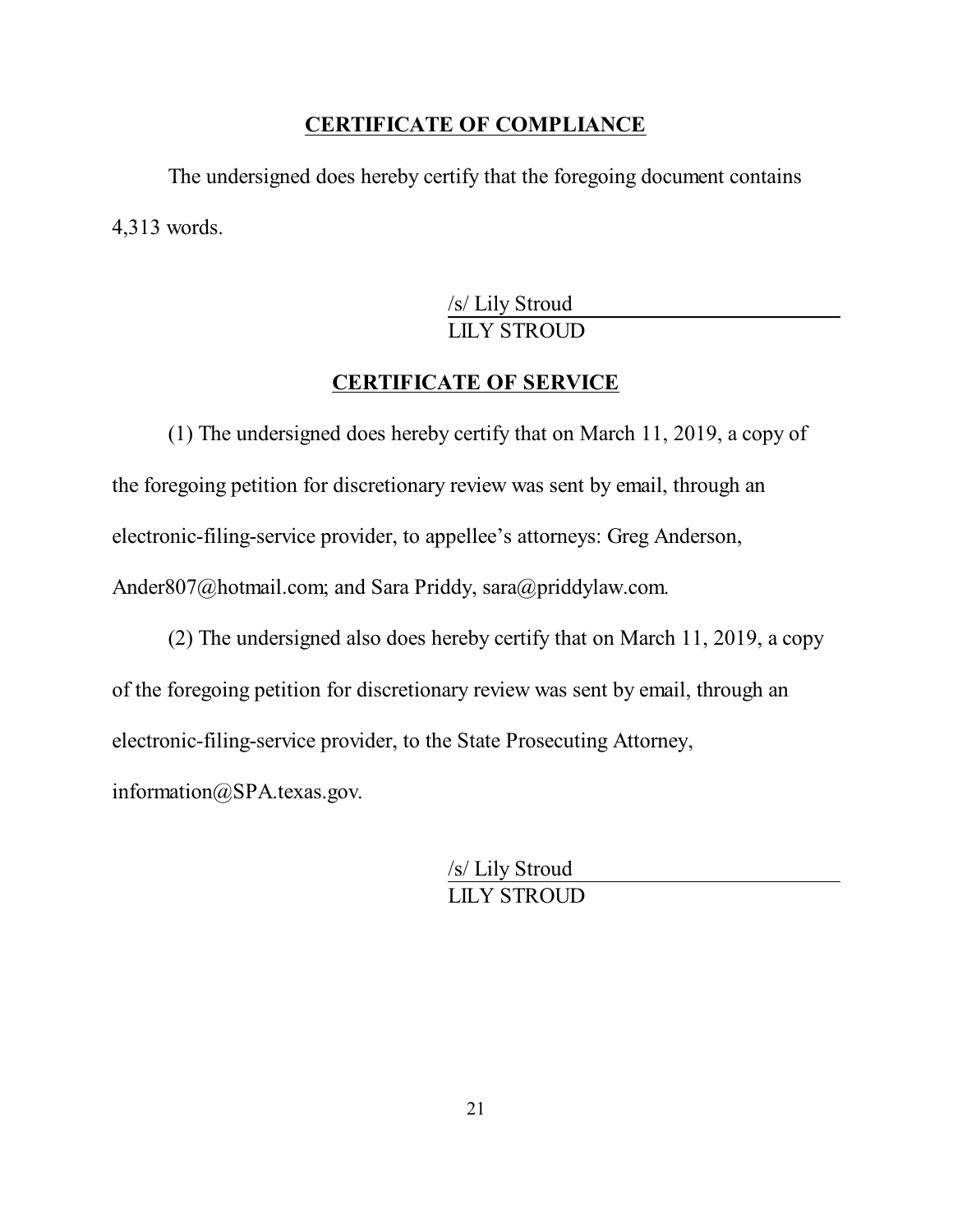#### **CERTIFICATE OF COMPLIANCE**

The undersigned does hereby certify that the foregoing document contains 4,313 words.

> /s/ Lily Stroud LILY STROUD

## **CERTIFICATE OF SERVICE**

(1) The undersigned does hereby certify that on March 11, 2019, a copy of the foregoing petition for discretionary review was sent by email, through an electronic-filing-service provider, to appellee's attorneys: Greg Anderson, Ander807@hotmail.com; and Sara Priddy, sara@priddylaw.com.

(2) The undersigned also does hereby certify that on March 11, 2019, a copy of the foregoing petition for discretionary review was sent by email, through an electronic-filing-service provider, to the State Prosecuting Attorney, information@SPA.texas.gov.

> /s/ Lily Stroud LILY STROUD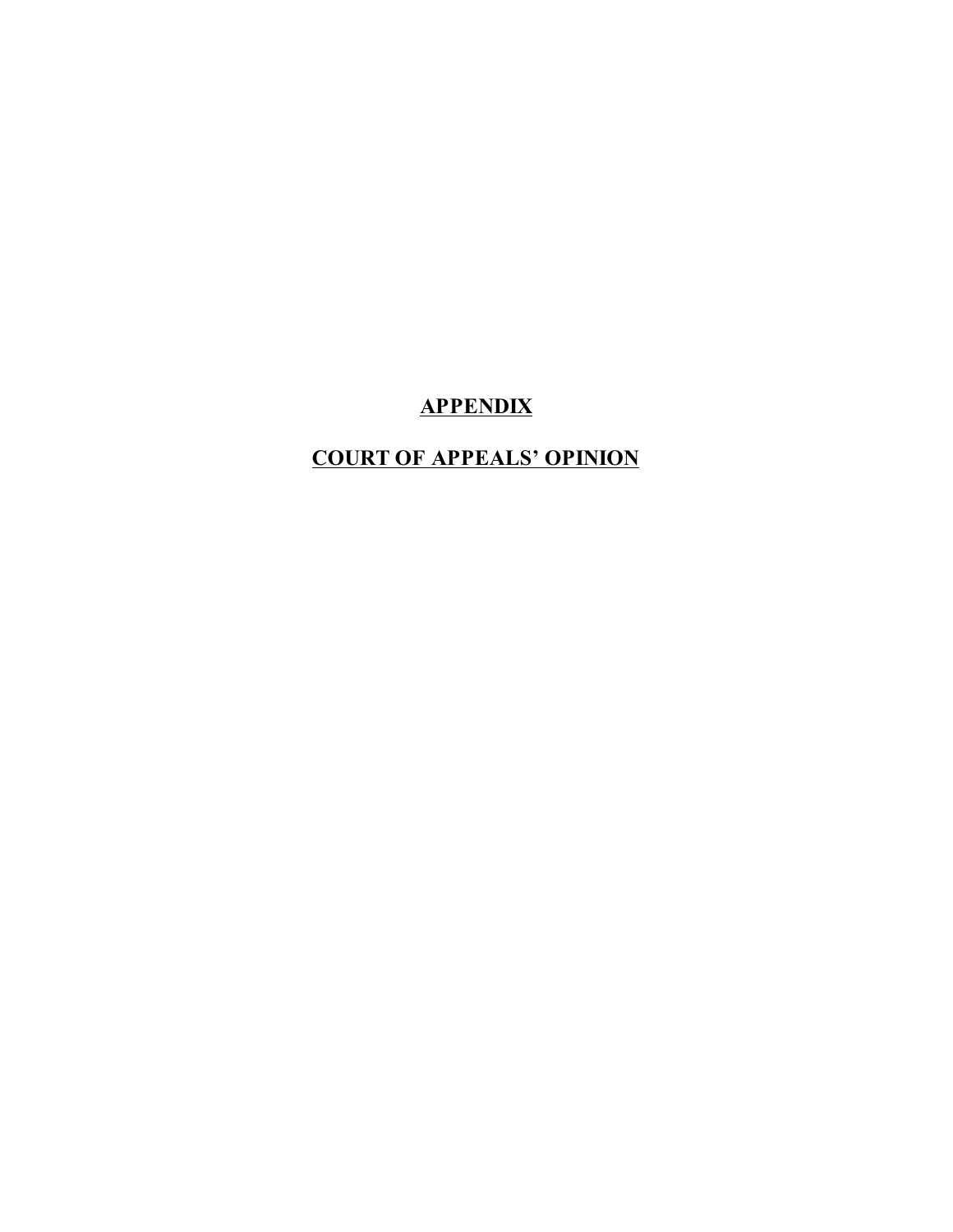# **APPENDIX**

# **COURT OF APPEALS' OPINION**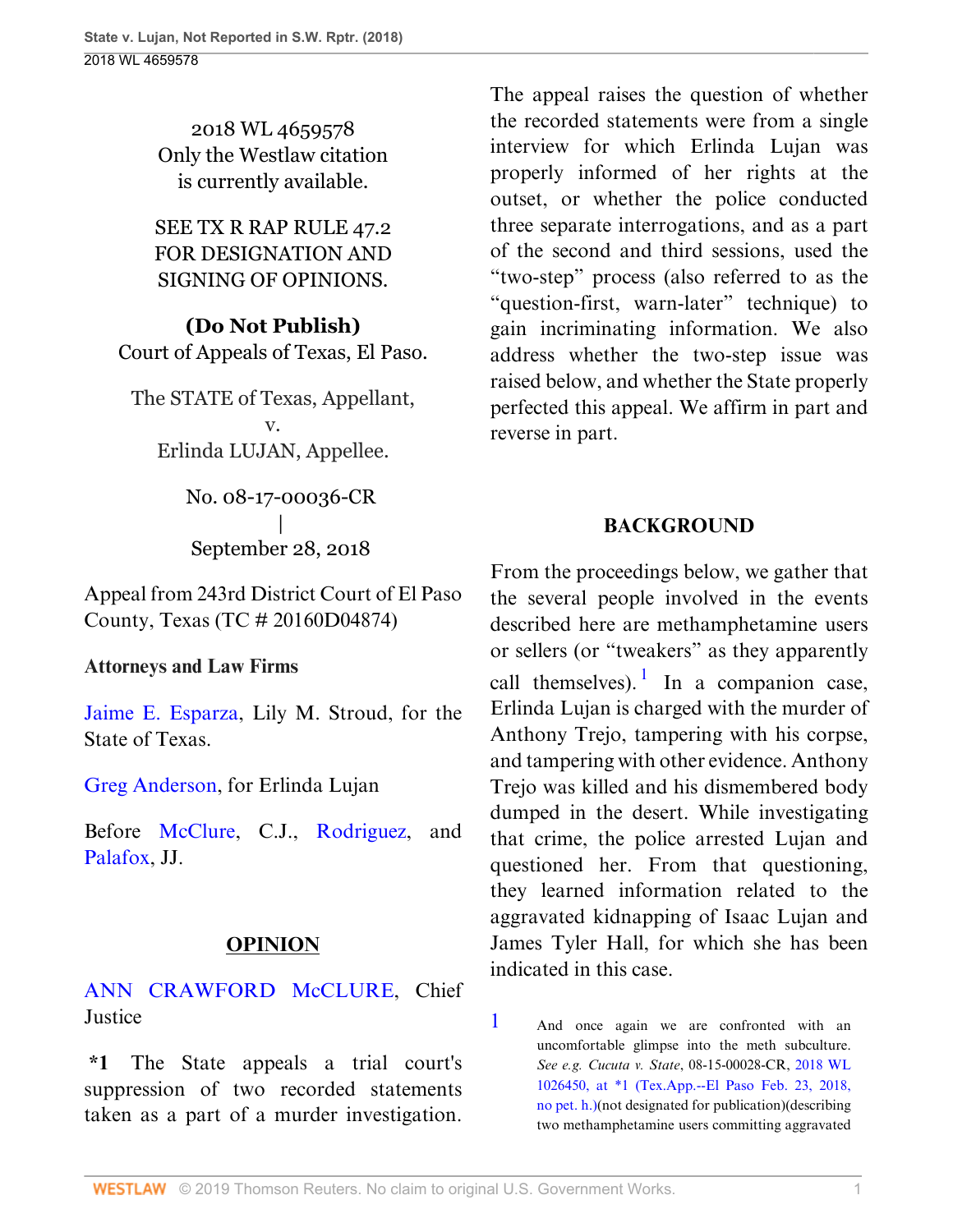2018 WL 4659578 Only the Westlaw citation is currently available.

SEE TX R RAP RULE 47.2 FOR DESIGNATION AND SIGNING OF OPINIONS.

**(Do Not Publish)** Court of Appeals of Texas, El Paso.

The STATE of Texas, Appellant, v. Erlinda LUJAN, Appellee.

> No. 08-17-00036-CR | September 28, 2018

Appeal from 243rd District Court of El Paso County, Texas (TC # 20160D04874)

#### **Attorneys and Law Firms**

[Jaime E. Esparza](http://www.westlaw.com/Link/Document/FullText?findType=h&pubNum=176284&cite=0317752301&originatingDoc=I0e3a6240c39911e88037ff68a1223ab1&refType=RQ&originationContext=document&vr=3.0&rs=cblt1.0&transitionType=DocumentItem&contextData=(sc.UserEnteredCitation)), Lily M. Stroud, for the State of Texas.

[Greg Anderson,](http://www.westlaw.com/Link/Document/FullText?findType=h&pubNum=176284&cite=0116966801&originatingDoc=I0e3a6240c39911e88037ff68a1223ab1&refType=RQ&originationContext=document&vr=3.0&rs=cblt1.0&transitionType=DocumentItem&contextData=(sc.UserEnteredCitation)) for Erlinda Lujan

Before [McClure](http://www.westlaw.com/Link/Document/FullText?findType=h&pubNum=176284&cite=0175912901&originatingDoc=I0e3a6240c39911e88037ff68a1223ab1&refType=RQ&originationContext=document&vr=3.0&rs=cblt1.0&transitionType=DocumentItem&contextData=(sc.UserEnteredCitation)), C.J., [Rodriguez](http://www.westlaw.com/Link/Document/FullText?findType=h&pubNum=176284&cite=0386618101&originatingDoc=I0e3a6240c39911e88037ff68a1223ab1&refType=RQ&originationContext=document&vr=3.0&rs=cblt1.0&transitionType=DocumentItem&contextData=(sc.UserEnteredCitation)), and [Palafox](http://www.westlaw.com/Link/Document/FullText?findType=h&pubNum=176284&cite=0285361599&originatingDoc=I0e3a6240c39911e88037ff68a1223ab1&refType=RQ&originationContext=document&vr=3.0&rs=cblt1.0&transitionType=DocumentItem&contextData=(sc.UserEnteredCitation)), JJ.

## **OPINION**

[ANN CRAWFORD McCLURE](http://www.westlaw.com/Link/Document/FullText?findType=h&pubNum=176284&cite=0175912901&originatingDoc=I0e3a6240c39911e88037ff68a1223ab1&refType=RQ&originationContext=document&vr=3.0&rs=cblt1.0&transitionType=DocumentItem&contextData=(sc.UserEnteredCitation)), Chief **Justice** 

**\*1** The State appeals a trial court's suppression of two recorded statements taken as a part of a murder investigation.

The appeal raises the question of whether the recorded statements were from a single interview for which Erlinda Lujan was properly informed of her rights at the outset, or whether the police conducted three separate interrogations, and as a part of the second and third sessions, used the "two-step" process (also referred to as the "question-first, warn-later" technique) to gain incriminating information. We also address whether the two-step issue was raised below, and whether the State properly perfected this appeal. We affirm in part and reverse in part.

## <span id="page-31-1"></span>**BACKGROUND**

From the proceedings below, we gather that the several people involved in the events described here are methamphetamine users or sellers (or "tweakers" as they apparently call themselves). In a companion case, Erlinda Lujan is charged with the murder of Anthony Trejo, tampering with his corpse, and tampering with other evidence. Anthony Trejo was killed and his dismembered body dumped in the desert. While investigating that crime, the police arrested Lujan and questioned her. From that questioning, they learned information related to the aggravated kidnapping of Isaac Lujan and James Tyler Hall, for which she has been indicated in this case.

<span id="page-31-0"></span>[1](#page-31-1) And once again we are confronted with an uncomfortable glimpse into the meth subculture. *See e.g. Cucuta v. State*, 08-15-00028-CR, [2018 WL](http://www.westlaw.com/Link/Document/FullText?findType=Y&serNum=2043878881&pubNum=0000999&originatingDoc=I0e3a6240c39911e88037ff68a1223ab1&refType=RP&originationContext=document&vr=3.0&rs=cblt1.0&transitionType=DocumentItem&contextData=(sc.UserEnteredCitation)) [1026450, at \\*1 \(Tex.App.--El Paso Feb. 23, 2018,](http://www.westlaw.com/Link/Document/FullText?findType=Y&serNum=2043878881&pubNum=0000999&originatingDoc=I0e3a6240c39911e88037ff68a1223ab1&refType=RP&originationContext=document&vr=3.0&rs=cblt1.0&transitionType=DocumentItem&contextData=(sc.UserEnteredCitation)) [no pet. h.\)\(](http://www.westlaw.com/Link/Document/FullText?findType=Y&serNum=2043878881&pubNum=0000999&originatingDoc=I0e3a6240c39911e88037ff68a1223ab1&refType=RP&originationContext=document&vr=3.0&rs=cblt1.0&transitionType=DocumentItem&contextData=(sc.UserEnteredCitation))not designated for publication)(describing two methamphetamine users committing aggravated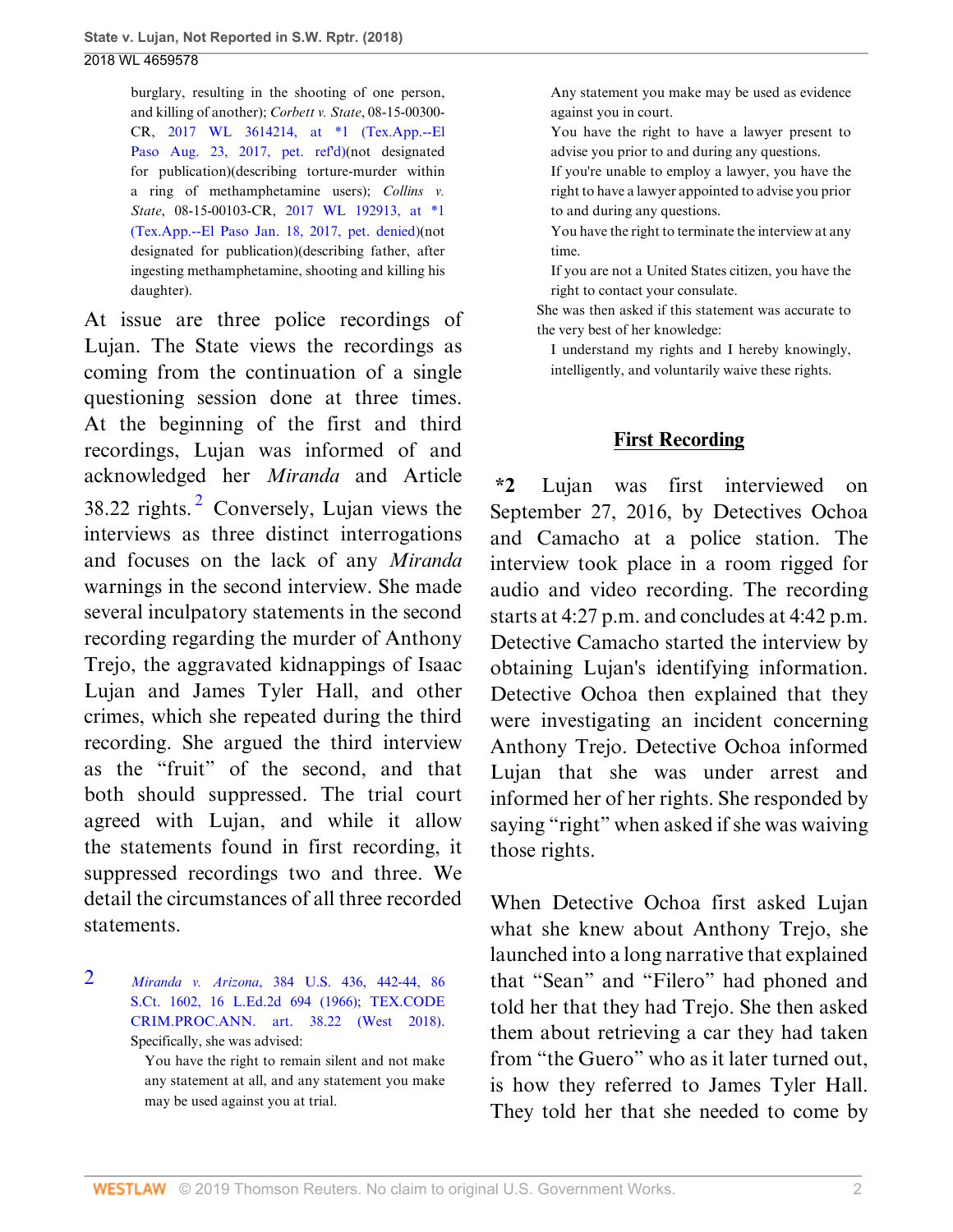burglary, resulting in the shooting of one person, and killing of another); *Corbett v. State*, 08-15-00300- CR, [2017 WL 3614214, at \\*1 \(Tex.App.--El](http://www.westlaw.com/Link/Document/FullText?findType=Y&serNum=2042402759&pubNum=0000999&originatingDoc=I0e3a6240c39911e88037ff68a1223ab1&refType=RP&originationContext=document&vr=3.0&rs=cblt1.0&transitionType=DocumentItem&contextData=(sc.UserEnteredCitation)) [Paso Aug. 23, 2017, pet. ref'd\)](http://www.westlaw.com/Link/Document/FullText?findType=Y&serNum=2042402759&pubNum=0000999&originatingDoc=I0e3a6240c39911e88037ff68a1223ab1&refType=RP&originationContext=document&vr=3.0&rs=cblt1.0&transitionType=DocumentItem&contextData=(sc.UserEnteredCitation))(not designated for publication)(describing torture-murder within a ring of methamphetamine users); *Collins v. State*, 08-15-00103-CR, [2017 WL 192913, at \\*1](http://www.westlaw.com/Link/Document/FullText?findType=Y&serNum=2040786530&pubNum=0000999&originatingDoc=I0e3a6240c39911e88037ff68a1223ab1&refType=RP&originationContext=document&vr=3.0&rs=cblt1.0&transitionType=DocumentItem&contextData=(sc.UserEnteredCitation)) [\(Tex.App.--El Paso Jan. 18, 2017, pet. denied\)](http://www.westlaw.com/Link/Document/FullText?findType=Y&serNum=2040786530&pubNum=0000999&originatingDoc=I0e3a6240c39911e88037ff68a1223ab1&refType=RP&originationContext=document&vr=3.0&rs=cblt1.0&transitionType=DocumentItem&contextData=(sc.UserEnteredCitation))(not designated for publication)(describing father, after ingesting methamphetamine, shooting and killing his daughter).

<span id="page-32-1"></span>At issue are three police recordings of Lujan. The State views the recordings as coming from the continuation of a single questioning session done at three times. At the beginning of the first and third recordings, Lujan was informed of and acknowledged her *Miranda* and Article 38.[2](#page-32-0)2 rights. $2^{\circ}$  Conversely, Lujan views the interviews as three distinct interrogations and focuses on the lack of any *Miranda* warnings in the second interview. She made several inculpatory statements in the second recording regarding the murder of Anthony Trejo, the aggravated kidnappings of Isaac Lujan and James Tyler Hall, and other crimes, which she repeated during the third recording. She argued the third interview as the "fruit" of the second, and that both should suppressed. The trial court agreed with Lujan, and while it allow the statements found in first recording, it suppressed recordings two and three. We detail the circumstances of all three recorded statements.

<span id="page-32-0"></span>[2](#page-32-1) *Miranda v. Arizona*[, 384 U.S. 436, 442-44, 86](http://www.westlaw.com/Link/Document/FullText?findType=Y&serNum=1966131580&pubNum=0000708&originatingDoc=I0e3a6240c39911e88037ff68a1223ab1&refType=RP&originationContext=document&vr=3.0&rs=cblt1.0&transitionType=DocumentItem&contextData=(sc.UserEnteredCitation)) [S.Ct. 1602, 16 L.Ed.2d 694 \(1966\);](http://www.westlaw.com/Link/Document/FullText?findType=Y&serNum=1966131580&pubNum=0000708&originatingDoc=I0e3a6240c39911e88037ff68a1223ab1&refType=RP&originationContext=document&vr=3.0&rs=cblt1.0&transitionType=DocumentItem&contextData=(sc.UserEnteredCitation)) [TEX.CODE](http://www.westlaw.com/Link/Document/FullText?findType=L&pubNum=1000172&cite=TXCMART38.22&originatingDoc=I0e3a6240c39911e88037ff68a1223ab1&refType=LQ&originationContext=document&vr=3.0&rs=cblt1.0&transitionType=DocumentItem&contextData=(sc.UserEnteredCitation)) [CRIM.PROC.ANN. art. 38.22 \(West 2018\).](http://www.westlaw.com/Link/Document/FullText?findType=L&pubNum=1000172&cite=TXCMART38.22&originatingDoc=I0e3a6240c39911e88037ff68a1223ab1&refType=LQ&originationContext=document&vr=3.0&rs=cblt1.0&transitionType=DocumentItem&contextData=(sc.UserEnteredCitation)) Specifically, she was advised:

> You have the right to remain silent and not make any statement at all, and any statement you make may be used against you at trial.

Any statement you make may be used as evidence against you in court.

You have the right to have a lawyer present to advise you prior to and during any questions.

If you're unable to employ a lawyer, you have the right to have a lawyer appointed to advise you prior to and during any questions.

You have the right to terminate the interview at any time.

If you are not a United States citizen, you have the right to contact your consulate.

She was then asked if this statement was accurate to the very best of her knowledge:

I understand my rights and I hereby knowingly, intelligently, and voluntarily waive these rights.

#### **First Recording**

**\*2** Lujan was first interviewed on September 27, 2016, by Detectives Ochoa and Camacho at a police station. The interview took place in a room rigged for audio and video recording. The recording starts at 4:27 p.m. and concludes at 4:42 p.m. Detective Camacho started the interview by obtaining Lujan's identifying information. Detective Ochoa then explained that they were investigating an incident concerning Anthony Trejo. Detective Ochoa informed Lujan that she was under arrest and informed her of her rights. She responded by saying "right" when asked if she was waiving those rights.

When Detective Ochoa first asked Lujan what she knew about Anthony Trejo, she launched into a long narrative that explained that "Sean" and "Filero" had phoned and told her that they had Trejo. She then asked them about retrieving a car they had taken from "the Guero" who as it later turned out, is how they referred to James Tyler Hall. They told her that she needed to come by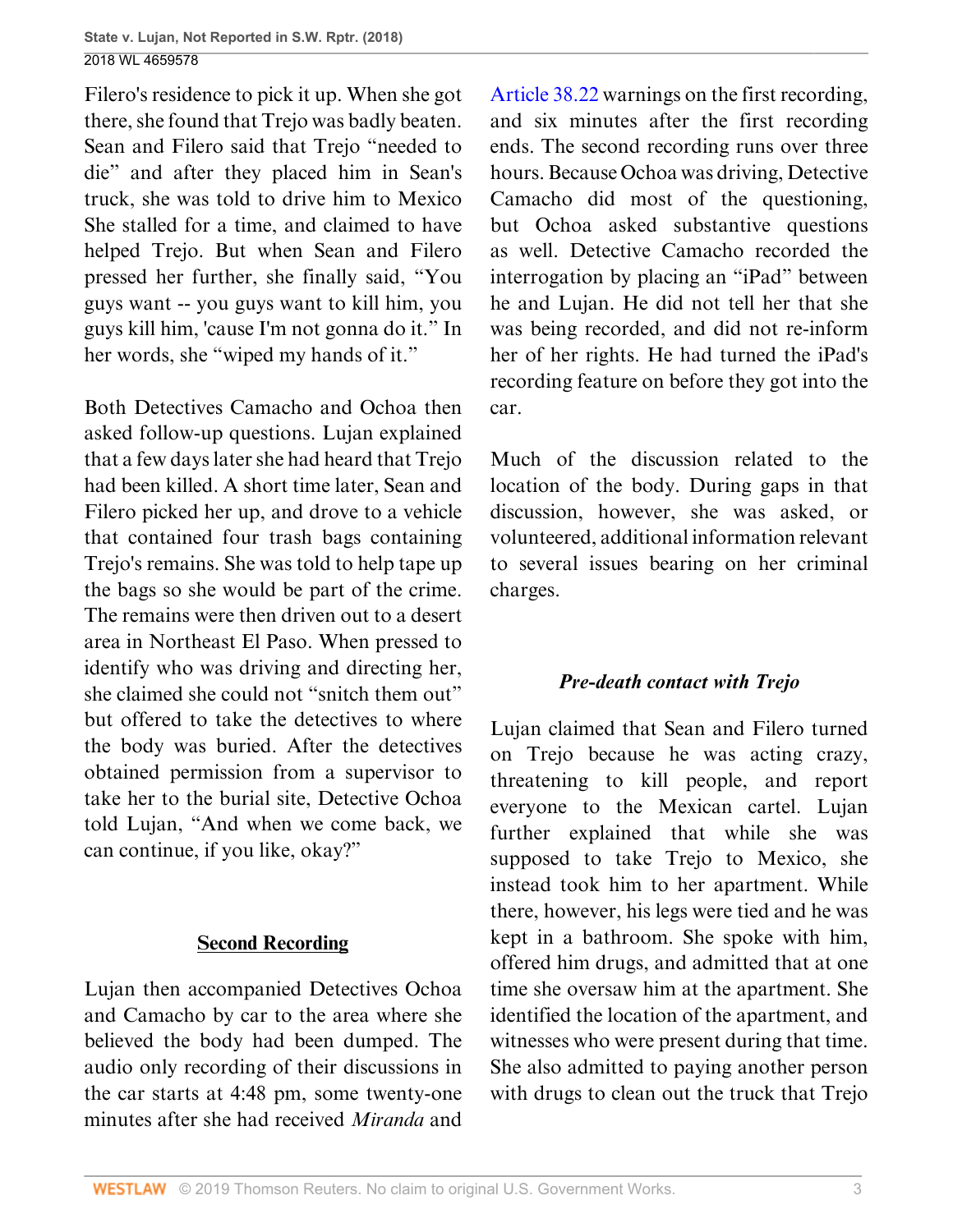Filero's residence to pick it up. When she got there, she found that Trejo was badly beaten. Sean and Filero said that Trejo "needed to die" and after they placed him in Sean's truck, she was told to drive him to Mexico She stalled for a time, and claimed to have helped Trejo. But when Sean and Filero pressed her further, she finally said, "You guys want -- you guys want to kill him, you guys kill him, 'cause I'm not gonna do it." In her words, she "wiped my hands of it."

Both Detectives Camacho and Ochoa then asked follow-up questions. Lujan explained that a few days later she had heard that Trejo had been killed. A short time later, Sean and Filero picked her up, and drove to a vehicle that contained four trash bags containing Trejo's remains. She was told to help tape up the bags so she would be part of the crime. The remains were then driven out to a desert area in Northeast El Paso. When pressed to identify who was driving and directing her, she claimed she could not "snitch them out" but offered to take the detectives to where the body was buried. After the detectives obtained permission from a supervisor to take her to the burial site, Detective Ochoa told Lujan, "And when we come back, we can continue, if you like, okay?"

## **Second Recording**

Lujan then accompanied Detectives Ochoa and Camacho by car to the area where she believed the body had been dumped. The audio only recording of their discussions in the car starts at 4:48 pm, some twenty-one minutes after she had received *Miranda* and

[Article 38.22](http://www.westlaw.com/Link/Document/FullText?findType=L&pubNum=1000172&cite=TXCMART38.22&originatingDoc=I0e3a6240c39911e88037ff68a1223ab1&refType=LQ&originationContext=document&vr=3.0&rs=cblt1.0&transitionType=DocumentItem&contextData=(sc.UserEnteredCitation)) warnings on the first recording, and six minutes after the first recording ends. The second recording runs over three hours. Because Ochoa was driving, Detective Camacho did most of the questioning, but Ochoa asked substantive questions as well. Detective Camacho recorded the interrogation by placing an "iPad" between he and Lujan. He did not tell her that she was being recorded, and did not re-inform her of her rights. He had turned the iPad's recording feature on before they got into the car.

Much of the discussion related to the location of the body. During gaps in that discussion, however, she was asked, or volunteered, additional information relevant to several issues bearing on her criminal charges.

# *Pre-death contact with Trejo*

Lujan claimed that Sean and Filero turned on Trejo because he was acting crazy, threatening to kill people, and report everyone to the Mexican cartel. Lujan further explained that while she was supposed to take Trejo to Mexico, she instead took him to her apartment. While there, however, his legs were tied and he was kept in a bathroom. She spoke with him, offered him drugs, and admitted that at one time she oversaw him at the apartment. She identified the location of the apartment, and witnesses who were present during that time. She also admitted to paying another person with drugs to clean out the truck that Trejo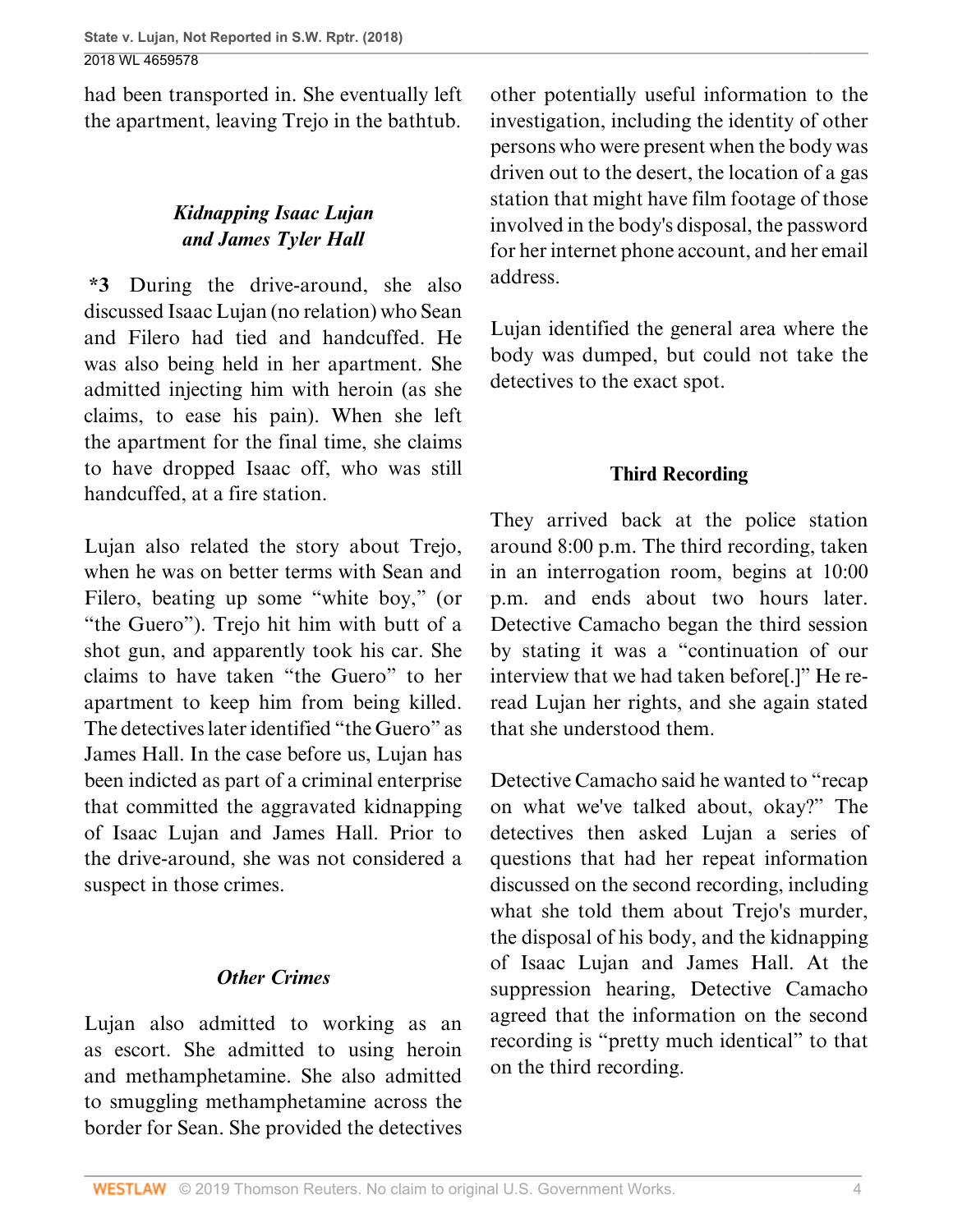had been transported in. She eventually left the apartment, leaving Trejo in the bathtub.

# *Kidnapping Isaac Lujan and James Tyler Hall*

**\*3** During the drive-around, she also discussed Isaac Lujan (no relation) who Sean and Filero had tied and handcuffed. He was also being held in her apartment. She admitted injecting him with heroin (as she claims, to ease his pain). When she left the apartment for the final time, she claims to have dropped Isaac off, who was still handcuffed, at a fire station.

Lujan also related the story about Trejo, when he was on better terms with Sean and Filero, beating up some "white boy," (or "the Guero"). Trejo hit him with butt of a shot gun, and apparently took his car. She claims to have taken "the Guero" to her apartment to keep him from being killed. The detectives later identified "the Guero" as James Hall. In the case before us, Lujan has been indicted as part of a criminal enterprise that committed the aggravated kidnapping of Isaac Lujan and James Hall. Prior to the drive-around, she was not considered a suspect in those crimes.

# *Other Crimes*

Lujan also admitted to working as an as escort. She admitted to using heroin and methamphetamine. She also admitted to smuggling methamphetamine across the border for Sean. She provided the detectives

other potentially useful information to the investigation, including the identity of other persons who were present when the body was driven out to the desert, the location of a gas station that might have film footage of those involved in the body's disposal, the password for her internet phone account, and her email address.

Lujan identified the general area where the body was dumped, but could not take the detectives to the exact spot.

## **Third Recording**

They arrived back at the police station around 8:00 p.m. The third recording, taken in an interrogation room, begins at 10:00 p.m. and ends about two hours later. Detective Camacho began the third session by stating it was a "continuation of our interview that we had taken before[.]" He reread Lujan her rights, and she again stated that she understood them.

Detective Camacho said he wanted to "recap on what we've talked about, okay?" The detectives then asked Lujan a series of questions that had her repeat information discussed on the second recording, including what she told them about Trejo's murder, the disposal of his body, and the kidnapping of Isaac Lujan and James Hall. At the suppression hearing, Detective Camacho agreed that the information on the second recording is "pretty much identical" to that on the third recording.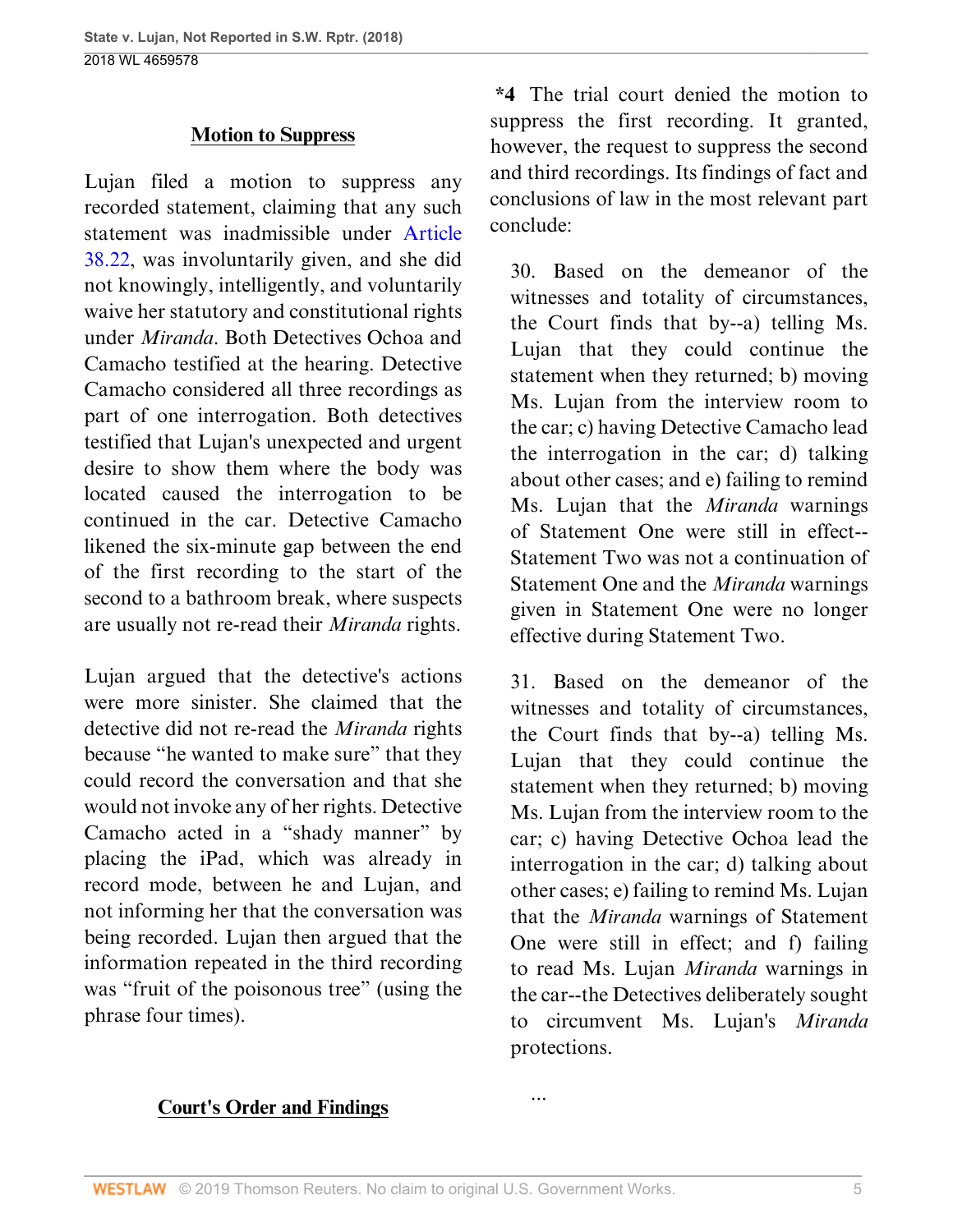#### **Motion to Suppress**

Lujan filed a motion to suppress any recorded statement, claiming that any such statement was inadmissible under [Article](http://www.westlaw.com/Link/Document/FullText?findType=L&pubNum=1000172&cite=TXCMART38.22&originatingDoc=I0e3a6240c39911e88037ff68a1223ab1&refType=LQ&originationContext=document&vr=3.0&rs=cblt1.0&transitionType=DocumentItem&contextData=(sc.UserEnteredCitation)) [38.22,](http://www.westlaw.com/Link/Document/FullText?findType=L&pubNum=1000172&cite=TXCMART38.22&originatingDoc=I0e3a6240c39911e88037ff68a1223ab1&refType=LQ&originationContext=document&vr=3.0&rs=cblt1.0&transitionType=DocumentItem&contextData=(sc.UserEnteredCitation)) was involuntarily given, and she did not knowingly, intelligently, and voluntarily waive her statutory and constitutional rights under *Miranda*. Both Detectives Ochoa and Camacho testified at the hearing. Detective Camacho considered all three recordings as part of one interrogation. Both detectives testified that Lujan's unexpected and urgent desire to show them where the body was located caused the interrogation to be continued in the car. Detective Camacho likened the six-minute gap between the end of the first recording to the start of the second to a bathroom break, where suspects are usually not re-read their *Miranda* rights.

Lujan argued that the detective's actions were more sinister. She claimed that the detective did not re-read the *Miranda* rights because "he wanted to make sure" that they could record the conversation and that she would not invoke any of her rights. Detective Camacho acted in a "shady manner" by placing the iPad, which was already in record mode, between he and Lujan, and not informing her that the conversation was being recorded. Lujan then argued that the information repeated in the third recording was "fruit of the poisonous tree" (using the phrase four times).

**\*4** The trial court denied the motion to suppress the first recording. It granted, however, the request to suppress the second and third recordings. Its findings of fact and conclusions of law in the most relevant part conclude:

30. Based on the demeanor of the witnesses and totality of circumstances, the Court finds that by--a) telling Ms. Lujan that they could continue the statement when they returned; b) moving Ms. Lujan from the interview room to the car; c) having Detective Camacho lead the interrogation in the car; d) talking about other cases; and e) failing to remind Ms. Lujan that the *Miranda* warnings of Statement One were still in effect-- Statement Two was not a continuation of Statement One and the *Miranda* warnings given in Statement One were no longer effective during Statement Two.

31. Based on the demeanor of the witnesses and totality of circumstances, the Court finds that by--a) telling Ms. Lujan that they could continue the statement when they returned; b) moving Ms. Lujan from the interview room to the car; c) having Detective Ochoa lead the interrogation in the car; d) talking about other cases; e) failing to remind Ms. Lujan that the *Miranda* warnings of Statement One were still in effect; and f) failing to read Ms. Lujan *Miranda* warnings in the car--the Detectives deliberately sought to circumvent Ms. Lujan's *Miranda* protections.

#### **Court's Order and Findings**

...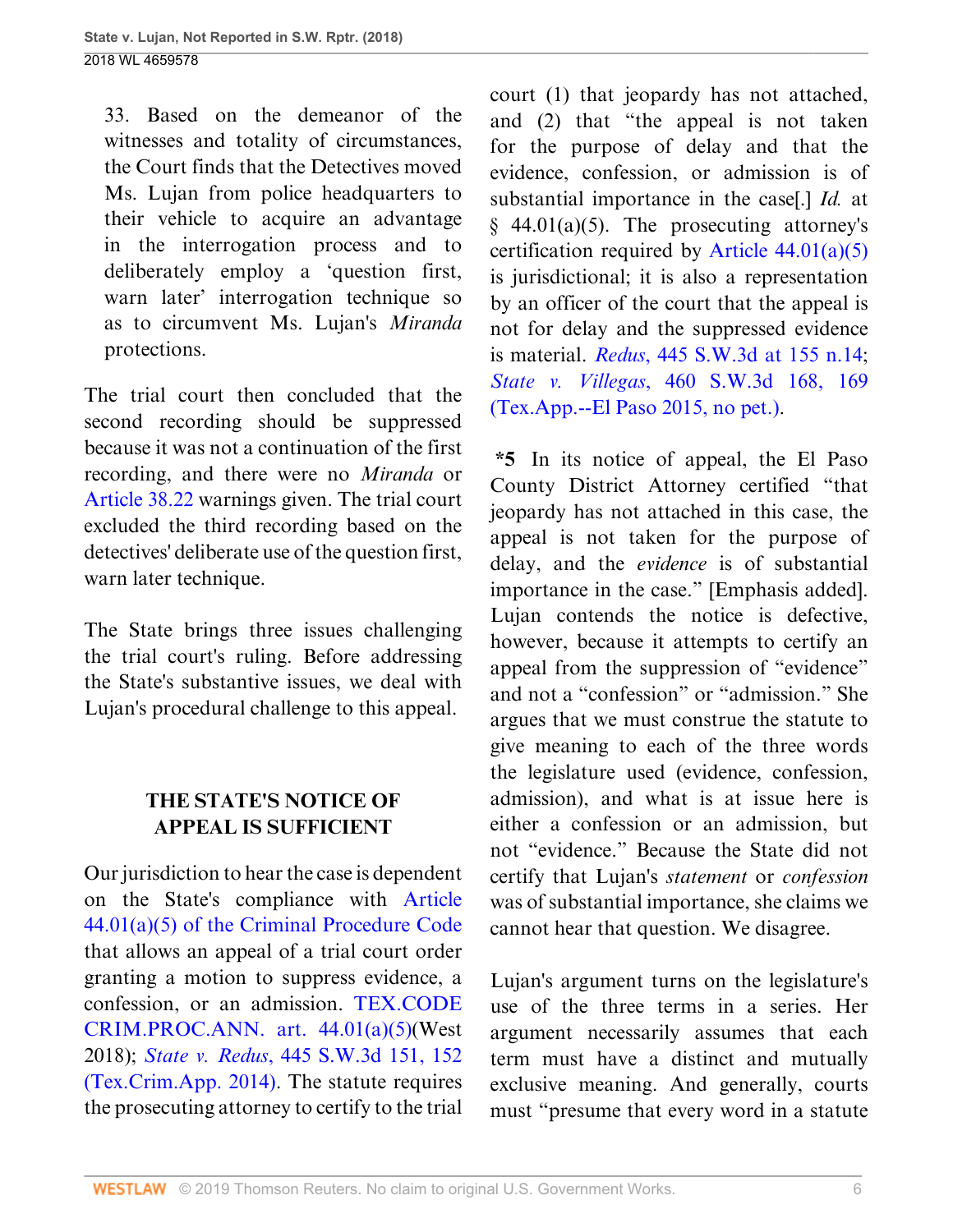33. Based on the demeanor of the witnesses and totality of circumstances, the Court finds that the Detectives moved Ms. Lujan from police headquarters to their vehicle to acquire an advantage in the interrogation process and to deliberately employ a 'question first, warn later' interrogation technique so as to circumvent Ms. Lujan's *Miranda* protections.

The trial court then concluded that the second recording should be suppressed because it was not a continuation of the first recording, and there were no *Miranda* or [Article 38.22](http://www.westlaw.com/Link/Document/FullText?findType=L&pubNum=1000172&cite=TXCMART38.22&originatingDoc=I0e3a6240c39911e88037ff68a1223ab1&refType=LQ&originationContext=document&vr=3.0&rs=cblt1.0&transitionType=DocumentItem&contextData=(sc.UserEnteredCitation)) warnings given. The trial court excluded the third recording based on the detectives' deliberate use of the question first, warn later technique.

The State brings three issues challenging the trial court's ruling. Before addressing the State's substantive issues, we deal with Lujan's procedural challenge to this appeal.

# **THE STATE'S NOTICE OF APPEAL IS SUFFICIENT**

Our jurisdiction to hear the case is dependent on the State's compliance with [Article](http://www.westlaw.com/Link/Document/FullText?findType=L&pubNum=1000172&cite=TXCMART44.01&originatingDoc=I0e3a6240c39911e88037ff68a1223ab1&refType=SP&originationContext=document&vr=3.0&rs=cblt1.0&transitionType=DocumentItem&contextData=(sc.UserEnteredCitation)#co_pp_488b0000d05e2) [44.01\(a\)\(5\) of the Criminal Procedure Code](http://www.westlaw.com/Link/Document/FullText?findType=L&pubNum=1000172&cite=TXCMART44.01&originatingDoc=I0e3a6240c39911e88037ff68a1223ab1&refType=SP&originationContext=document&vr=3.0&rs=cblt1.0&transitionType=DocumentItem&contextData=(sc.UserEnteredCitation)#co_pp_488b0000d05e2) that allows an appeal of a trial court order granting a motion to suppress evidence, a confession, or an admission. [TEX.CODE](http://www.westlaw.com/Link/Document/FullText?findType=L&pubNum=1000172&cite=TXCMART44.01&originatingDoc=I0e3a6240c39911e88037ff68a1223ab1&refType=SP&originationContext=document&vr=3.0&rs=cblt1.0&transitionType=DocumentItem&contextData=(sc.UserEnteredCitation)#co_pp_488b0000d05e2) [CRIM.PROC.ANN. art. 44.01\(a\)\(5\)\(](http://www.westlaw.com/Link/Document/FullText?findType=L&pubNum=1000172&cite=TXCMART44.01&originatingDoc=I0e3a6240c39911e88037ff68a1223ab1&refType=SP&originationContext=document&vr=3.0&rs=cblt1.0&transitionType=DocumentItem&contextData=(sc.UserEnteredCitation)#co_pp_488b0000d05e2)West 2018); *State v. Redus*[, 445 S.W.3d 151, 152](http://www.westlaw.com/Link/Document/FullText?findType=Y&serNum=2034537918&pubNum=0004644&originatingDoc=I0e3a6240c39911e88037ff68a1223ab1&refType=RP&fi=co_pp_sp_4644_152&originationContext=document&vr=3.0&rs=cblt1.0&transitionType=DocumentItem&contextData=(sc.UserEnteredCitation)#co_pp_sp_4644_152) [\(Tex.Crim.App. 2014\)](http://www.westlaw.com/Link/Document/FullText?findType=Y&serNum=2034537918&pubNum=0004644&originatingDoc=I0e3a6240c39911e88037ff68a1223ab1&refType=RP&fi=co_pp_sp_4644_152&originationContext=document&vr=3.0&rs=cblt1.0&transitionType=DocumentItem&contextData=(sc.UserEnteredCitation)#co_pp_sp_4644_152). The statute requires the prosecuting attorney to certify to the trial

court (1) that jeopardy has not attached, and (2) that "the appeal is not taken for the purpose of delay and that the evidence, confession, or admission is of substantial importance in the case[.] *Id.* at  $§$  44.01(a)(5). The prosecuting attorney's certification required by Article  $44.01(a)(5)$ is jurisdictional; it is also a representation by an officer of the court that the appeal is not for delay and the suppressed evidence is material. *Redus*[, 445 S.W.3d at 155 n.14](http://www.westlaw.com/Link/Document/FullText?findType=Y&serNum=2034537918&pubNum=0004644&originatingDoc=I0e3a6240c39911e88037ff68a1223ab1&refType=RP&fi=co_pp_sp_4644_155&originationContext=document&vr=3.0&rs=cblt1.0&transitionType=DocumentItem&contextData=(sc.UserEnteredCitation)#co_pp_sp_4644_155); *State v. Villegas*[, 460 S.W.3d 168, 169](http://www.westlaw.com/Link/Document/FullText?findType=Y&serNum=2035505180&pubNum=0004644&originatingDoc=I0e3a6240c39911e88037ff68a1223ab1&refType=RP&fi=co_pp_sp_4644_169&originationContext=document&vr=3.0&rs=cblt1.0&transitionType=DocumentItem&contextData=(sc.UserEnteredCitation)#co_pp_sp_4644_169) [\(Tex.App.--El Paso 2015, no pet.\).](http://www.westlaw.com/Link/Document/FullText?findType=Y&serNum=2035505180&pubNum=0004644&originatingDoc=I0e3a6240c39911e88037ff68a1223ab1&refType=RP&fi=co_pp_sp_4644_169&originationContext=document&vr=3.0&rs=cblt1.0&transitionType=DocumentItem&contextData=(sc.UserEnteredCitation)#co_pp_sp_4644_169)

**\*5** In its notice of appeal, the El Paso County District Attorney certified "that jeopardy has not attached in this case, the appeal is not taken for the purpose of delay, and the *evidence* is of substantial importance in the case." [Emphasis added]. Lujan contends the notice is defective, however, because it attempts to certify an appeal from the suppression of "evidence" and not a "confession" or "admission." She argues that we must construe the statute to give meaning to each of the three words the legislature used (evidence, confession, admission), and what is at issue here is either a confession or an admission, but not "evidence." Because the State did not certify that Lujan's *statement* or *confession* was of substantial importance, she claims we cannot hear that question. We disagree.

Lujan's argument turns on the legislature's use of the three terms in a series. Her argument necessarily assumes that each term must have a distinct and mutually exclusive meaning. And generally, courts must "presume that every word in a statute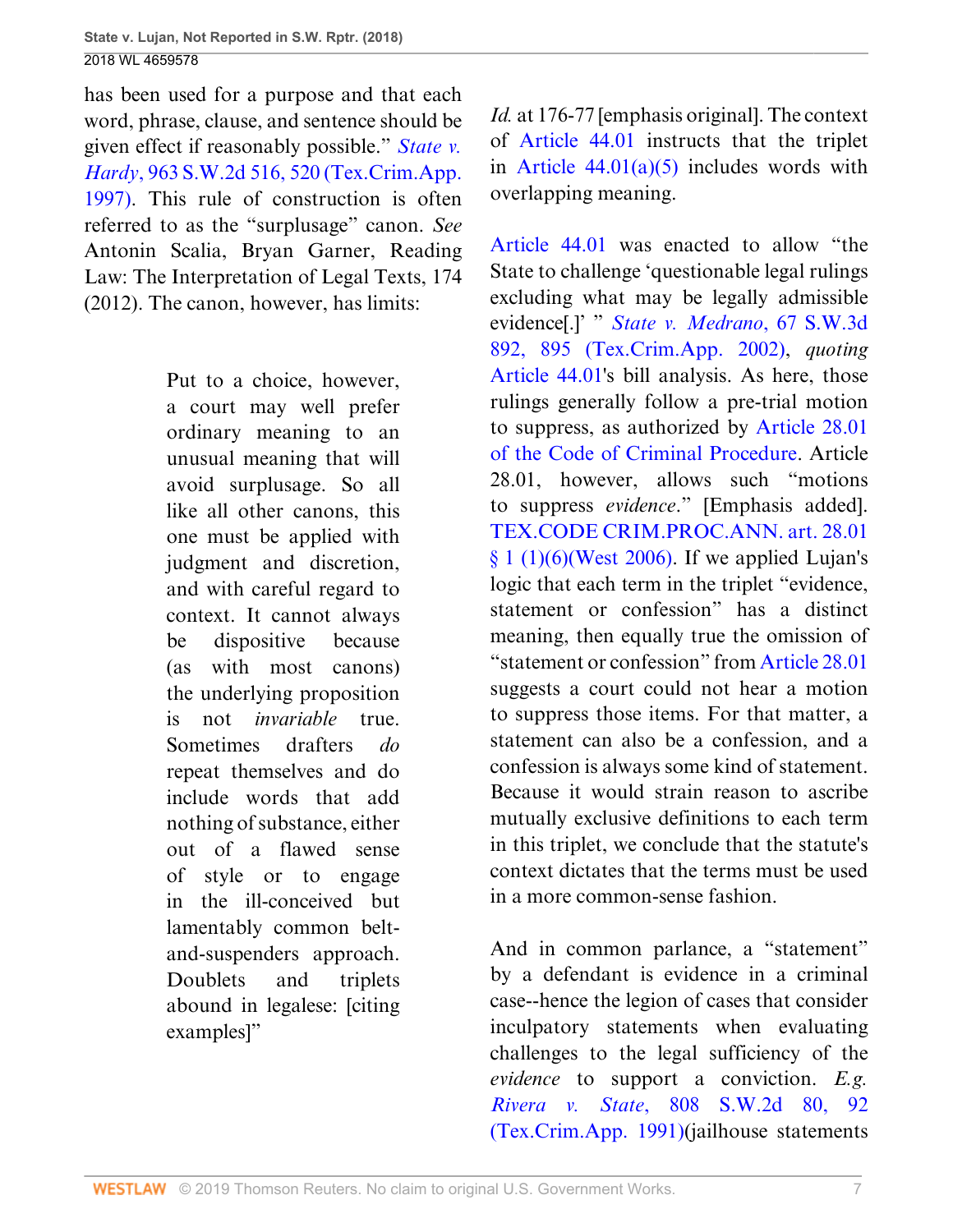has been used for a purpose and that each word, phrase, clause, and sentence should be given effect if reasonably possible." *[State v.](http://www.westlaw.com/Link/Document/FullText?findType=Y&serNum=1997229124&pubNum=0000713&originatingDoc=I0e3a6240c39911e88037ff68a1223ab1&refType=RP&fi=co_pp_sp_713_520&originationContext=document&vr=3.0&rs=cblt1.0&transitionType=DocumentItem&contextData=(sc.UserEnteredCitation)#co_pp_sp_713_520) Hardy*[, 963 S.W.2d 516, 520 \(Tex.Crim.App.](http://www.westlaw.com/Link/Document/FullText?findType=Y&serNum=1997229124&pubNum=0000713&originatingDoc=I0e3a6240c39911e88037ff68a1223ab1&refType=RP&fi=co_pp_sp_713_520&originationContext=document&vr=3.0&rs=cblt1.0&transitionType=DocumentItem&contextData=(sc.UserEnteredCitation)#co_pp_sp_713_520) [1997\)](http://www.westlaw.com/Link/Document/FullText?findType=Y&serNum=1997229124&pubNum=0000713&originatingDoc=I0e3a6240c39911e88037ff68a1223ab1&refType=RP&fi=co_pp_sp_713_520&originationContext=document&vr=3.0&rs=cblt1.0&transitionType=DocumentItem&contextData=(sc.UserEnteredCitation)#co_pp_sp_713_520). This rule of construction is often referred to as the "surplusage" canon. *See* Antonin Scalia, Bryan Garner, Reading Law: The Interpretation of Legal Texts, 174 (2012). The canon, however, has limits:

> Put to a choice, however, a court may well prefer ordinary meaning to an unusual meaning that will avoid surplusage. So all like all other canons, this one must be applied with judgment and discretion, and with careful regard to context. It cannot always be dispositive because (as with most canons) the underlying proposition is not *invariable* true. Sometimes drafters *do* repeat themselves and do include words that add nothing of substance, either out of a flawed sense of style or to engage in the ill-conceived but lamentably common beltand-suspenders approach. Doublets and triplets abound in legalese: [citing examples]"

*Id.* at 176-77 [emphasis original]. The context of [Article 44.01](http://www.westlaw.com/Link/Document/FullText?findType=L&pubNum=1000172&cite=TXCMART44.01&originatingDoc=I0e3a6240c39911e88037ff68a1223ab1&refType=LQ&originationContext=document&vr=3.0&rs=cblt1.0&transitionType=DocumentItem&contextData=(sc.UserEnteredCitation)) instructs that the triplet in Article  $44.01(a)(5)$  includes words with overlapping meaning.

[Article 44.01](http://www.westlaw.com/Link/Document/FullText?findType=L&pubNum=1000172&cite=TXCMART44.01&originatingDoc=I0e3a6240c39911e88037ff68a1223ab1&refType=LQ&originationContext=document&vr=3.0&rs=cblt1.0&transitionType=DocumentItem&contextData=(sc.UserEnteredCitation)) was enacted to allow "the State to challenge 'questionable legal rulings excluding what may be legally admissible evidence[.]' " *[State v. Medrano](http://www.westlaw.com/Link/Document/FullText?findType=Y&serNum=2002110973&pubNum=0004644&originatingDoc=I0e3a6240c39911e88037ff68a1223ab1&refType=RP&fi=co_pp_sp_4644_895&originationContext=document&vr=3.0&rs=cblt1.0&transitionType=DocumentItem&contextData=(sc.UserEnteredCitation)#co_pp_sp_4644_895)*, 67 S.W.3d [892, 895 \(Tex.Crim.App. 2002\),](http://www.westlaw.com/Link/Document/FullText?findType=Y&serNum=2002110973&pubNum=0004644&originatingDoc=I0e3a6240c39911e88037ff68a1223ab1&refType=RP&fi=co_pp_sp_4644_895&originationContext=document&vr=3.0&rs=cblt1.0&transitionType=DocumentItem&contextData=(sc.UserEnteredCitation)#co_pp_sp_4644_895) *quoting* [Article 44.01](http://www.westlaw.com/Link/Document/FullText?findType=L&pubNum=1000172&cite=TXCMART44.01&originatingDoc=I0e3a6240c39911e88037ff68a1223ab1&refType=LQ&originationContext=document&vr=3.0&rs=cblt1.0&transitionType=DocumentItem&contextData=(sc.UserEnteredCitation))'s bill analysis. As here, those rulings generally follow a pre-trial motion to suppress, as authorized by [Article 28.01](http://www.westlaw.com/Link/Document/FullText?findType=L&pubNum=1000172&cite=TXCMART28.01&originatingDoc=I0e3a6240c39911e88037ff68a1223ab1&refType=LQ&originationContext=document&vr=3.0&rs=cblt1.0&transitionType=DocumentItem&contextData=(sc.UserEnteredCitation)) [of the Code of Criminal Procedure](http://www.westlaw.com/Link/Document/FullText?findType=L&pubNum=1000172&cite=TXCMART28.01&originatingDoc=I0e3a6240c39911e88037ff68a1223ab1&refType=LQ&originationContext=document&vr=3.0&rs=cblt1.0&transitionType=DocumentItem&contextData=(sc.UserEnteredCitation)). Article 28.01, however, allows such "motions to suppress *evidence*." [Emphasis added]. [TEX.CODE CRIM.PROC.ANN. art. 28.01](http://www.westlaw.com/Link/Document/FullText?findType=L&pubNum=1000172&cite=TXCMART28.01&originatingDoc=I0e3a6240c39911e88037ff68a1223ab1&refType=LQ&originationContext=document&vr=3.0&rs=cblt1.0&transitionType=DocumentItem&contextData=(sc.UserEnteredCitation))  $§ 1 (1)(6)$ (West 2006). If we applied Lujan's logic that each term in the triplet "evidence, statement or confession" has a distinct meaning, then equally true the omission of "statement or confession" from [Article 28.01](http://www.westlaw.com/Link/Document/FullText?findType=L&pubNum=1000172&cite=TXCMART28.01&originatingDoc=I0e3a6240c39911e88037ff68a1223ab1&refType=LQ&originationContext=document&vr=3.0&rs=cblt1.0&transitionType=DocumentItem&contextData=(sc.UserEnteredCitation)) suggests a court could not hear a motion to suppress those items. For that matter, a statement can also be a confession, and a confession is always some kind of statement. Because it would strain reason to ascribe mutually exclusive definitions to each term in this triplet, we conclude that the statute's context dictates that the terms must be used in a more common-sense fashion.

And in common parlance, a "statement" by a defendant is evidence in a criminal case--hence the legion of cases that consider inculpatory statements when evaluating challenges to the legal sufficiency of the *evidence* to support a conviction. *E.g. Rivera v. State*[, 808 S.W.2d 80, 92](http://www.westlaw.com/Link/Document/FullText?findType=Y&serNum=1991041449&pubNum=0000713&originatingDoc=I0e3a6240c39911e88037ff68a1223ab1&refType=RP&fi=co_pp_sp_713_92&originationContext=document&vr=3.0&rs=cblt1.0&transitionType=DocumentItem&contextData=(sc.UserEnteredCitation)#co_pp_sp_713_92) [\(Tex.Crim.App. 1991\)\(](http://www.westlaw.com/Link/Document/FullText?findType=Y&serNum=1991041449&pubNum=0000713&originatingDoc=I0e3a6240c39911e88037ff68a1223ab1&refType=RP&fi=co_pp_sp_713_92&originationContext=document&vr=3.0&rs=cblt1.0&transitionType=DocumentItem&contextData=(sc.UserEnteredCitation)#co_pp_sp_713_92)jailhouse statements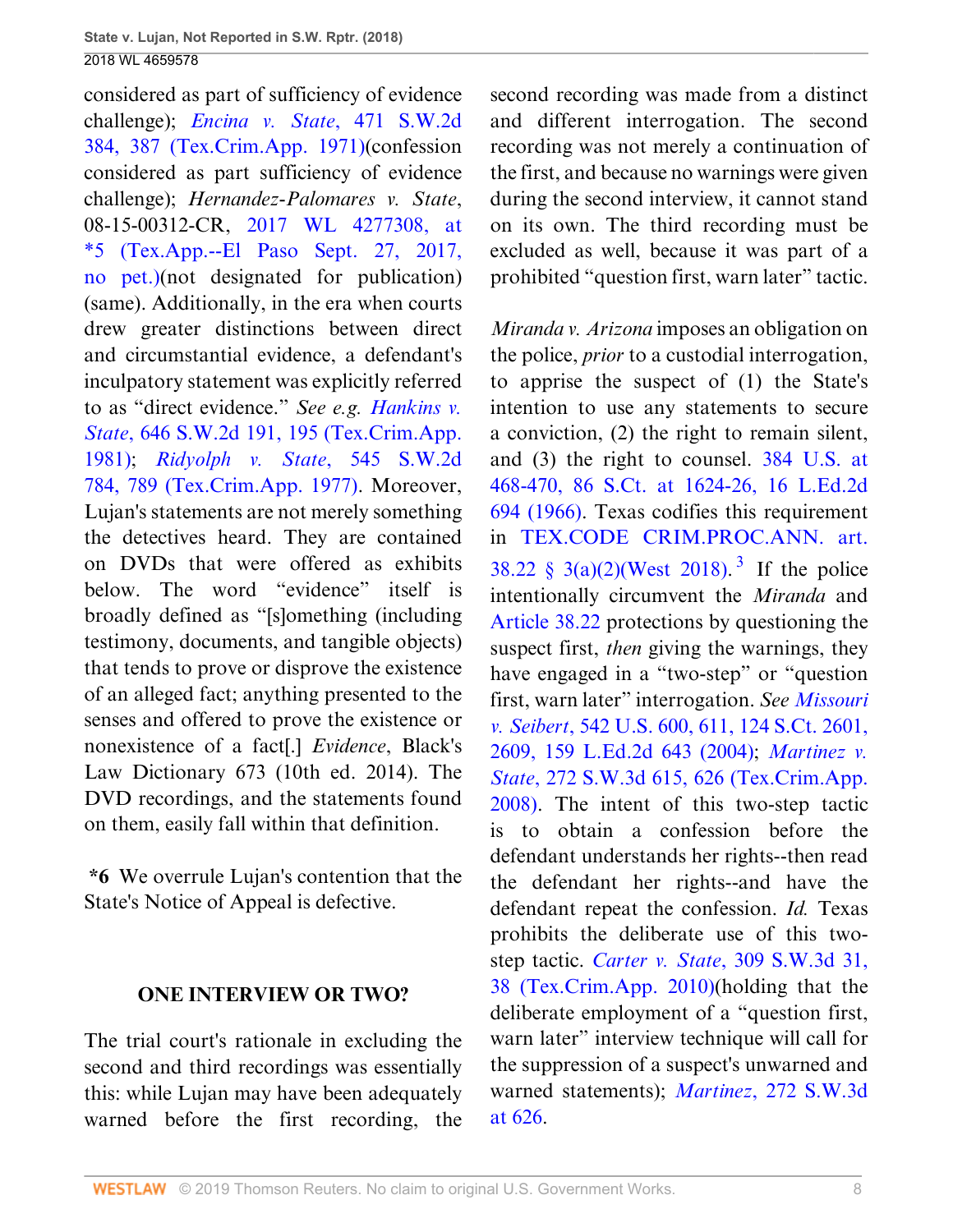considered as part of sufficiency of evidence challenge); *[Encina v. State](http://www.westlaw.com/Link/Document/FullText?findType=Y&serNum=1971131769&pubNum=0000713&originatingDoc=I0e3a6240c39911e88037ff68a1223ab1&refType=RP&fi=co_pp_sp_713_387&originationContext=document&vr=3.0&rs=cblt1.0&transitionType=DocumentItem&contextData=(sc.UserEnteredCitation)#co_pp_sp_713_387)*, 471 S.W.2d [384, 387 \(Tex.Crim.App. 1971\)\(](http://www.westlaw.com/Link/Document/FullText?findType=Y&serNum=1971131769&pubNum=0000713&originatingDoc=I0e3a6240c39911e88037ff68a1223ab1&refType=RP&fi=co_pp_sp_713_387&originationContext=document&vr=3.0&rs=cblt1.0&transitionType=DocumentItem&contextData=(sc.UserEnteredCitation)#co_pp_sp_713_387)confession considered as part sufficiency of evidence challenge); *Hernandez-Palomares v. State*, 08-15-00312-CR, [2017 WL 4277308, at](http://www.westlaw.com/Link/Document/FullText?findType=Y&serNum=2042743319&pubNum=0000999&originatingDoc=I0e3a6240c39911e88037ff68a1223ab1&refType=RP&originationContext=document&vr=3.0&rs=cblt1.0&transitionType=DocumentItem&contextData=(sc.UserEnteredCitation)) [\\*5 \(Tex.App.--El Paso Sept. 27, 2017,](http://www.westlaw.com/Link/Document/FullText?findType=Y&serNum=2042743319&pubNum=0000999&originatingDoc=I0e3a6240c39911e88037ff68a1223ab1&refType=RP&originationContext=document&vr=3.0&rs=cblt1.0&transitionType=DocumentItem&contextData=(sc.UserEnteredCitation)) [no pet.\)\(](http://www.westlaw.com/Link/Document/FullText?findType=Y&serNum=2042743319&pubNum=0000999&originatingDoc=I0e3a6240c39911e88037ff68a1223ab1&refType=RP&originationContext=document&vr=3.0&rs=cblt1.0&transitionType=DocumentItem&contextData=(sc.UserEnteredCitation))not designated for publication) (same). Additionally, in the era when courts drew greater distinctions between direct and circumstantial evidence, a defendant's inculpatory statement was explicitly referred to as "direct evidence." *See e.g. [Hankins v.](http://www.westlaw.com/Link/Document/FullText?findType=Y&serNum=1981148112&pubNum=0000713&originatingDoc=I0e3a6240c39911e88037ff68a1223ab1&refType=RP&fi=co_pp_sp_713_195&originationContext=document&vr=3.0&rs=cblt1.0&transitionType=DocumentItem&contextData=(sc.UserEnteredCitation)#co_pp_sp_713_195) State*[, 646 S.W.2d 191, 195 \(Tex.Crim.App.](http://www.westlaw.com/Link/Document/FullText?findType=Y&serNum=1981148112&pubNum=0000713&originatingDoc=I0e3a6240c39911e88037ff68a1223ab1&refType=RP&fi=co_pp_sp_713_195&originationContext=document&vr=3.0&rs=cblt1.0&transitionType=DocumentItem&contextData=(sc.UserEnteredCitation)#co_pp_sp_713_195) [1981\)](http://www.westlaw.com/Link/Document/FullText?findType=Y&serNum=1981148112&pubNum=0000713&originatingDoc=I0e3a6240c39911e88037ff68a1223ab1&refType=RP&fi=co_pp_sp_713_195&originationContext=document&vr=3.0&rs=cblt1.0&transitionType=DocumentItem&contextData=(sc.UserEnteredCitation)#co_pp_sp_713_195); *[Ridyolph v. State](http://www.westlaw.com/Link/Document/FullText?findType=Y&serNum=1977114827&pubNum=0000713&originatingDoc=I0e3a6240c39911e88037ff68a1223ab1&refType=RP&fi=co_pp_sp_713_789&originationContext=document&vr=3.0&rs=cblt1.0&transitionType=DocumentItem&contextData=(sc.UserEnteredCitation)#co_pp_sp_713_789)*, 545 S.W.2d [784, 789 \(Tex.Crim.App. 1977\)](http://www.westlaw.com/Link/Document/FullText?findType=Y&serNum=1977114827&pubNum=0000713&originatingDoc=I0e3a6240c39911e88037ff68a1223ab1&refType=RP&fi=co_pp_sp_713_789&originationContext=document&vr=3.0&rs=cblt1.0&transitionType=DocumentItem&contextData=(sc.UserEnteredCitation)#co_pp_sp_713_789). Moreover, Lujan's statements are not merely something the detectives heard. They are contained on DVDs that were offered as exhibits below. The word "evidence" itself is broadly defined as "[s]omething (including testimony, documents, and tangible objects) that tends to prove or disprove the existence of an alleged fact; anything presented to the senses and offered to prove the existence or nonexistence of a fact[.] *Evidence*, Black's Law Dictionary 673 (10th ed. 2014). The DVD recordings, and the statements found on them, easily fall within that definition.

**\*6** We overrule Lujan's contention that the State's Notice of Appeal is defective.

#### **ONE INTERVIEW OR TWO?**

The trial court's rationale in excluding the second and third recordings was essentially this: while Lujan may have been adequately warned before the first recording, the second recording was made from a distinct and different interrogation. The second recording was not merely a continuation of the first, and because no warnings were given during the second interview, it cannot stand on its own. The third recording must be excluded as well, because it was part of a prohibited "question first, warn later" tactic.

<span id="page-38-0"></span>*Miranda v. Arizona* imposes an obligation on the police, *prior* to a custodial interrogation, to apprise the suspect of (1) the State's intention to use any statements to secure a conviction, (2) the right to remain silent, and (3) the right to counsel. [384 U.S. at](http://www.westlaw.com/Link/Document/FullText?findType=Y&serNum=1966131580&pubNum=0000708&originatingDoc=I0e3a6240c39911e88037ff68a1223ab1&refType=RP&fi=co_pp_sp_708_1624&originationContext=document&vr=3.0&rs=cblt1.0&transitionType=DocumentItem&contextData=(sc.UserEnteredCitation)#co_pp_sp_708_1624) [468-470, 86 S.Ct. at 1624-26, 16 L.Ed.2d](http://www.westlaw.com/Link/Document/FullText?findType=Y&serNum=1966131580&pubNum=0000708&originatingDoc=I0e3a6240c39911e88037ff68a1223ab1&refType=RP&fi=co_pp_sp_708_1624&originationContext=document&vr=3.0&rs=cblt1.0&transitionType=DocumentItem&contextData=(sc.UserEnteredCitation)#co_pp_sp_708_1624) [694 \(1966\).](http://www.westlaw.com/Link/Document/FullText?findType=Y&serNum=1966131580&pubNum=0000708&originatingDoc=I0e3a6240c39911e88037ff68a1223ab1&refType=RP&fi=co_pp_sp_708_1624&originationContext=document&vr=3.0&rs=cblt1.0&transitionType=DocumentItem&contextData=(sc.UserEnteredCitation)#co_pp_sp_708_1624) Texas codifies this requirement in [TEX.CODE CRIM.PROC.ANN. art.](http://www.westlaw.com/Link/Document/FullText?findType=L&pubNum=1000172&cite=TXCMART38.22&originatingDoc=I0e3a6240c39911e88037ff68a1223ab1&refType=LQ&originationContext=document&vr=3.0&rs=cblt1.0&transitionType=DocumentItem&contextData=(sc.UserEnteredCitation)) [38.22 § 3\(a\)\(2\)\(West 2018\).](http://www.westlaw.com/Link/Document/FullText?findType=L&pubNum=1000172&cite=TXCMART38.22&originatingDoc=I0e3a6240c39911e88037ff68a1223ab1&refType=LQ&originationContext=document&vr=3.0&rs=cblt1.0&transitionType=DocumentItem&contextData=(sc.UserEnteredCitation))<sup>[3](#page-39-0)</sup> If the police intentionally circumvent the *Miranda* and [Article 38.22](http://www.westlaw.com/Link/Document/FullText?findType=L&pubNum=1000172&cite=TXCMART38.22&originatingDoc=I0e3a6240c39911e88037ff68a1223ab1&refType=LQ&originationContext=document&vr=3.0&rs=cblt1.0&transitionType=DocumentItem&contextData=(sc.UserEnteredCitation)) protections by questioning the suspect first, *then* giving the warnings, they have engaged in a "two-step" or "question first, warn later" interrogation. *See [Missouri](http://www.westlaw.com/Link/Document/FullText?findType=Y&serNum=2004633514&pubNum=0000708&originatingDoc=I0e3a6240c39911e88037ff68a1223ab1&refType=RP&fi=co_pp_sp_708_2609&originationContext=document&vr=3.0&rs=cblt1.0&transitionType=DocumentItem&contextData=(sc.UserEnteredCitation)#co_pp_sp_708_2609) v. Seibert*[, 542 U.S. 600, 611, 124 S.Ct. 2601,](http://www.westlaw.com/Link/Document/FullText?findType=Y&serNum=2004633514&pubNum=0000708&originatingDoc=I0e3a6240c39911e88037ff68a1223ab1&refType=RP&fi=co_pp_sp_708_2609&originationContext=document&vr=3.0&rs=cblt1.0&transitionType=DocumentItem&contextData=(sc.UserEnteredCitation)#co_pp_sp_708_2609) [2609, 159 L.Ed.2d 643 \(2004\);](http://www.westlaw.com/Link/Document/FullText?findType=Y&serNum=2004633514&pubNum=0000708&originatingDoc=I0e3a6240c39911e88037ff68a1223ab1&refType=RP&fi=co_pp_sp_708_2609&originationContext=document&vr=3.0&rs=cblt1.0&transitionType=DocumentItem&contextData=(sc.UserEnteredCitation)#co_pp_sp_708_2609) *[Martinez v.](http://www.westlaw.com/Link/Document/FullText?findType=Y&serNum=2017669804&pubNum=0004644&originatingDoc=I0e3a6240c39911e88037ff68a1223ab1&refType=RP&fi=co_pp_sp_4644_626&originationContext=document&vr=3.0&rs=cblt1.0&transitionType=DocumentItem&contextData=(sc.UserEnteredCitation)#co_pp_sp_4644_626) State*[, 272 S.W.3d 615, 626 \(Tex.Crim.App.](http://www.westlaw.com/Link/Document/FullText?findType=Y&serNum=2017669804&pubNum=0004644&originatingDoc=I0e3a6240c39911e88037ff68a1223ab1&refType=RP&fi=co_pp_sp_4644_626&originationContext=document&vr=3.0&rs=cblt1.0&transitionType=DocumentItem&contextData=(sc.UserEnteredCitation)#co_pp_sp_4644_626) [2008\)](http://www.westlaw.com/Link/Document/FullText?findType=Y&serNum=2017669804&pubNum=0004644&originatingDoc=I0e3a6240c39911e88037ff68a1223ab1&refType=RP&fi=co_pp_sp_4644_626&originationContext=document&vr=3.0&rs=cblt1.0&transitionType=DocumentItem&contextData=(sc.UserEnteredCitation)#co_pp_sp_4644_626). The intent of this two-step tactic is to obtain a confession before the defendant understands her rights--then read the defendant her rights--and have the defendant repeat the confession. *Id.* Texas prohibits the deliberate use of this twostep tactic. *Carter v. State*[, 309 S.W.3d 31,](http://www.westlaw.com/Link/Document/FullText?findType=Y&serNum=2021609345&pubNum=0004644&originatingDoc=I0e3a6240c39911e88037ff68a1223ab1&refType=RP&fi=co_pp_sp_4644_38&originationContext=document&vr=3.0&rs=cblt1.0&transitionType=DocumentItem&contextData=(sc.UserEnteredCitation)#co_pp_sp_4644_38) [38 \(Tex.Crim.App. 2010\)](http://www.westlaw.com/Link/Document/FullText?findType=Y&serNum=2021609345&pubNum=0004644&originatingDoc=I0e3a6240c39911e88037ff68a1223ab1&refType=RP&fi=co_pp_sp_4644_38&originationContext=document&vr=3.0&rs=cblt1.0&transitionType=DocumentItem&contextData=(sc.UserEnteredCitation)#co_pp_sp_4644_38)(holding that the deliberate employment of a "question first, warn later" interview technique will call for the suppression of a suspect's unwarned and warned statements); *Martinez*[, 272 S.W.3d](http://www.westlaw.com/Link/Document/FullText?findType=Y&serNum=2017669804&pubNum=0004644&originatingDoc=I0e3a6240c39911e88037ff68a1223ab1&refType=RP&fi=co_pp_sp_4644_626&originationContext=document&vr=3.0&rs=cblt1.0&transitionType=DocumentItem&contextData=(sc.UserEnteredCitation)#co_pp_sp_4644_626) [at 626.](http://www.westlaw.com/Link/Document/FullText?findType=Y&serNum=2017669804&pubNum=0004644&originatingDoc=I0e3a6240c39911e88037ff68a1223ab1&refType=RP&fi=co_pp_sp_4644_626&originationContext=document&vr=3.0&rs=cblt1.0&transitionType=DocumentItem&contextData=(sc.UserEnteredCitation)#co_pp_sp_4644_626)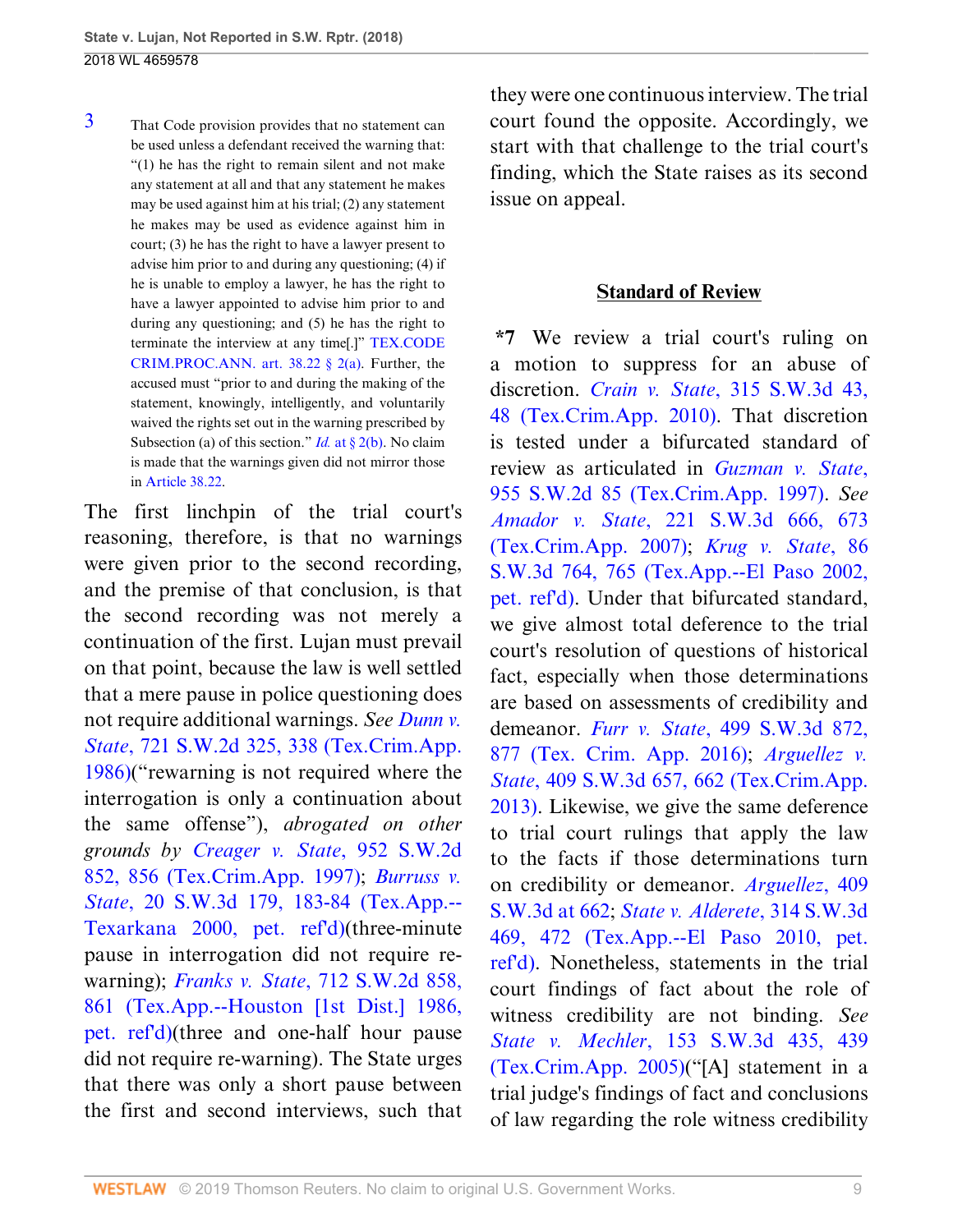<span id="page-39-0"></span>[3](#page-38-0) That Code provision provides that no statement can be used unless a defendant received the warning that: "(1) he has the right to remain silent and not make any statement at all and that any statement he makes may be used against him at his trial; (2) any statement he makes may be used as evidence against him in court; (3) he has the right to have a lawyer present to advise him prior to and during any questioning; (4) if he is unable to employ a lawyer, he has the right to have a lawyer appointed to advise him prior to and during any questioning; and (5) he has the right to terminate the interview at any time[.]" [TEX.CODE](http://www.westlaw.com/Link/Document/FullText?findType=L&pubNum=1000172&cite=TXCMART38.22&originatingDoc=I0e3a6240c39911e88037ff68a1223ab1&refType=LQ&originationContext=document&vr=3.0&rs=cblt1.0&transitionType=DocumentItem&contextData=(sc.UserEnteredCitation)) CRIM.PROC.ANN. art.  $38.22 \& 2(a)$ . Further, the accused must "prior to and during the making of the statement, knowingly, intelligently, and voluntarily waived the rights set out in the warning prescribed by Subsection (a) of this section." *Id.* at  $\frac{82(b)}{b}$ . No claim is made that the warnings given did not mirror those in [Article 38.22.](http://www.westlaw.com/Link/Document/FullText?findType=L&pubNum=1000172&cite=TXCMART38.22&originatingDoc=I0e3a6240c39911e88037ff68a1223ab1&refType=LQ&originationContext=document&vr=3.0&rs=cblt1.0&transitionType=DocumentItem&contextData=(sc.UserEnteredCitation))

The first linchpin of the trial court's reasoning, therefore, is that no warnings were given prior to the second recording, and the premise of that conclusion, is that the second recording was not merely a continuation of the first. Lujan must prevail on that point, because the law is well settled that a mere pause in police questioning does not require additional warnings. *See [Dunn v.](http://www.westlaw.com/Link/Document/FullText?findType=Y&serNum=1986154568&pubNum=0000713&originatingDoc=I0e3a6240c39911e88037ff68a1223ab1&refType=RP&fi=co_pp_sp_713_338&originationContext=document&vr=3.0&rs=cblt1.0&transitionType=DocumentItem&contextData=(sc.UserEnteredCitation)#co_pp_sp_713_338) State*[, 721 S.W.2d 325, 338 \(Tex.Crim.App.](http://www.westlaw.com/Link/Document/FullText?findType=Y&serNum=1986154568&pubNum=0000713&originatingDoc=I0e3a6240c39911e88037ff68a1223ab1&refType=RP&fi=co_pp_sp_713_338&originationContext=document&vr=3.0&rs=cblt1.0&transitionType=DocumentItem&contextData=(sc.UserEnteredCitation)#co_pp_sp_713_338) [1986\)](http://www.westlaw.com/Link/Document/FullText?findType=Y&serNum=1986154568&pubNum=0000713&originatingDoc=I0e3a6240c39911e88037ff68a1223ab1&refType=RP&fi=co_pp_sp_713_338&originationContext=document&vr=3.0&rs=cblt1.0&transitionType=DocumentItem&contextData=(sc.UserEnteredCitation)#co_pp_sp_713_338)("rewarning is not required where the interrogation is only a continuation about the same offense"), *abrogated on other grounds by [Creager v. State](http://www.westlaw.com/Link/Document/FullText?findType=Y&serNum=1997186422&pubNum=0000713&originatingDoc=I0e3a6240c39911e88037ff68a1223ab1&refType=RP&fi=co_pp_sp_713_856&originationContext=document&vr=3.0&rs=cblt1.0&transitionType=DocumentItem&contextData=(sc.UserEnteredCitation)#co_pp_sp_713_856)*, 952 S.W.2d [852, 856 \(Tex.Crim.App. 1997\);](http://www.westlaw.com/Link/Document/FullText?findType=Y&serNum=1997186422&pubNum=0000713&originatingDoc=I0e3a6240c39911e88037ff68a1223ab1&refType=RP&fi=co_pp_sp_713_856&originationContext=document&vr=3.0&rs=cblt1.0&transitionType=DocumentItem&contextData=(sc.UserEnteredCitation)#co_pp_sp_713_856) *[Burruss v.](http://www.westlaw.com/Link/Document/FullText?findType=Y&serNum=2000116128&pubNum=0004644&originatingDoc=I0e3a6240c39911e88037ff68a1223ab1&refType=RP&fi=co_pp_sp_4644_183&originationContext=document&vr=3.0&rs=cblt1.0&transitionType=DocumentItem&contextData=(sc.UserEnteredCitation)#co_pp_sp_4644_183) State*[, 20 S.W.3d 179, 183-84 \(Tex.App.--](http://www.westlaw.com/Link/Document/FullText?findType=Y&serNum=2000116128&pubNum=0004644&originatingDoc=I0e3a6240c39911e88037ff68a1223ab1&refType=RP&fi=co_pp_sp_4644_183&originationContext=document&vr=3.0&rs=cblt1.0&transitionType=DocumentItem&contextData=(sc.UserEnteredCitation)#co_pp_sp_4644_183) [Texarkana 2000, pet. ref'd\)\(](http://www.westlaw.com/Link/Document/FullText?findType=Y&serNum=2000116128&pubNum=0004644&originatingDoc=I0e3a6240c39911e88037ff68a1223ab1&refType=RP&fi=co_pp_sp_4644_183&originationContext=document&vr=3.0&rs=cblt1.0&transitionType=DocumentItem&contextData=(sc.UserEnteredCitation)#co_pp_sp_4644_183)three-minute pause in interrogation did not require rewarning); *Franks v. State*[, 712 S.W.2d 858,](http://www.westlaw.com/Link/Document/FullText?findType=Y&serNum=1986132004&pubNum=0000713&originatingDoc=I0e3a6240c39911e88037ff68a1223ab1&refType=RP&fi=co_pp_sp_713_861&originationContext=document&vr=3.0&rs=cblt1.0&transitionType=DocumentItem&contextData=(sc.UserEnteredCitation)#co_pp_sp_713_861) [861 \(Tex.App.--Houston \[1st Dist.\] 1986,](http://www.westlaw.com/Link/Document/FullText?findType=Y&serNum=1986132004&pubNum=0000713&originatingDoc=I0e3a6240c39911e88037ff68a1223ab1&refType=RP&fi=co_pp_sp_713_861&originationContext=document&vr=3.0&rs=cblt1.0&transitionType=DocumentItem&contextData=(sc.UserEnteredCitation)#co_pp_sp_713_861) [pet. ref'd\)\(](http://www.westlaw.com/Link/Document/FullText?findType=Y&serNum=1986132004&pubNum=0000713&originatingDoc=I0e3a6240c39911e88037ff68a1223ab1&refType=RP&fi=co_pp_sp_713_861&originationContext=document&vr=3.0&rs=cblt1.0&transitionType=DocumentItem&contextData=(sc.UserEnteredCitation)#co_pp_sp_713_861)three and one-half hour pause did not require re-warning). The State urges that there was only a short pause between the first and second interviews, such that they were one continuous interview. The trial court found the opposite. Accordingly, we start with that challenge to the trial court's finding, which the State raises as its second issue on appeal.

#### **Standard of Review**

**\*7** We review a trial court's ruling on a motion to suppress for an abuse of discretion. *Crain v. State*[, 315 S.W.3d 43,](http://www.westlaw.com/Link/Document/FullText?findType=Y&serNum=2022422552&pubNum=0004644&originatingDoc=I0e3a6240c39911e88037ff68a1223ab1&refType=RP&fi=co_pp_sp_4644_48&originationContext=document&vr=3.0&rs=cblt1.0&transitionType=DocumentItem&contextData=(sc.UserEnteredCitation)#co_pp_sp_4644_48) [48 \(Tex.Crim.App. 2010\)](http://www.westlaw.com/Link/Document/FullText?findType=Y&serNum=2022422552&pubNum=0004644&originatingDoc=I0e3a6240c39911e88037ff68a1223ab1&refType=RP&fi=co_pp_sp_4644_48&originationContext=document&vr=3.0&rs=cblt1.0&transitionType=DocumentItem&contextData=(sc.UserEnteredCitation)#co_pp_sp_4644_48). That discretion is tested under a bifurcated standard of review as articulated in *[Guzman v. State](http://www.westlaw.com/Link/Document/FullText?findType=Y&serNum=1997195043&pubNum=0000713&originatingDoc=I0e3a6240c39911e88037ff68a1223ab1&refType=RP&originationContext=document&vr=3.0&rs=cblt1.0&transitionType=DocumentItem&contextData=(sc.UserEnteredCitation))*, [955 S.W.2d 85 \(Tex.Crim.App. 1997\).](http://www.westlaw.com/Link/Document/FullText?findType=Y&serNum=1997195043&pubNum=0000713&originatingDoc=I0e3a6240c39911e88037ff68a1223ab1&refType=RP&originationContext=document&vr=3.0&rs=cblt1.0&transitionType=DocumentItem&contextData=(sc.UserEnteredCitation)) *See Amador v. State*[, 221 S.W.3d 666, 673](http://www.westlaw.com/Link/Document/FullText?findType=Y&serNum=2012108276&pubNum=0004644&originatingDoc=I0e3a6240c39911e88037ff68a1223ab1&refType=RP&fi=co_pp_sp_4644_673&originationContext=document&vr=3.0&rs=cblt1.0&transitionType=DocumentItem&contextData=(sc.UserEnteredCitation)#co_pp_sp_4644_673) [\(Tex.Crim.App. 2007\);](http://www.westlaw.com/Link/Document/FullText?findType=Y&serNum=2012108276&pubNum=0004644&originatingDoc=I0e3a6240c39911e88037ff68a1223ab1&refType=RP&fi=co_pp_sp_4644_673&originationContext=document&vr=3.0&rs=cblt1.0&transitionType=DocumentItem&contextData=(sc.UserEnteredCitation)#co_pp_sp_4644_673) *[Krug v. State](http://www.westlaw.com/Link/Document/FullText?findType=Y&serNum=2002550315&pubNum=0004644&originatingDoc=I0e3a6240c39911e88037ff68a1223ab1&refType=RP&fi=co_pp_sp_4644_765&originationContext=document&vr=3.0&rs=cblt1.0&transitionType=DocumentItem&contextData=(sc.UserEnteredCitation)#co_pp_sp_4644_765)*, 86 [S.W.3d 764, 765 \(Tex.App.--El Paso 2002,](http://www.westlaw.com/Link/Document/FullText?findType=Y&serNum=2002550315&pubNum=0004644&originatingDoc=I0e3a6240c39911e88037ff68a1223ab1&refType=RP&fi=co_pp_sp_4644_765&originationContext=document&vr=3.0&rs=cblt1.0&transitionType=DocumentItem&contextData=(sc.UserEnteredCitation)#co_pp_sp_4644_765) [pet. ref'd\)](http://www.westlaw.com/Link/Document/FullText?findType=Y&serNum=2002550315&pubNum=0004644&originatingDoc=I0e3a6240c39911e88037ff68a1223ab1&refType=RP&fi=co_pp_sp_4644_765&originationContext=document&vr=3.0&rs=cblt1.0&transitionType=DocumentItem&contextData=(sc.UserEnteredCitation)#co_pp_sp_4644_765). Under that bifurcated standard, we give almost total deference to the trial court's resolution of questions of historical fact, especially when those determinations are based on assessments of credibility and demeanor. *Furr v. State*[, 499 S.W.3d 872,](http://www.westlaw.com/Link/Document/FullText?findType=Y&serNum=2039824649&pubNum=0004644&originatingDoc=I0e3a6240c39911e88037ff68a1223ab1&refType=RP&fi=co_pp_sp_4644_877&originationContext=document&vr=3.0&rs=cblt1.0&transitionType=DocumentItem&contextData=(sc.UserEnteredCitation)#co_pp_sp_4644_877) [877 \(Tex. Crim. App. 2016\)](http://www.westlaw.com/Link/Document/FullText?findType=Y&serNum=2039824649&pubNum=0004644&originatingDoc=I0e3a6240c39911e88037ff68a1223ab1&refType=RP&fi=co_pp_sp_4644_877&originationContext=document&vr=3.0&rs=cblt1.0&transitionType=DocumentItem&contextData=(sc.UserEnteredCitation)#co_pp_sp_4644_877); *[Arguellez v.](http://www.westlaw.com/Link/Document/FullText?findType=Y&serNum=2031583344&pubNum=0004644&originatingDoc=I0e3a6240c39911e88037ff68a1223ab1&refType=RP&fi=co_pp_sp_4644_662&originationContext=document&vr=3.0&rs=cblt1.0&transitionType=DocumentItem&contextData=(sc.UserEnteredCitation)#co_pp_sp_4644_662) State*[, 409 S.W.3d 657, 662 \(Tex.Crim.App.](http://www.westlaw.com/Link/Document/FullText?findType=Y&serNum=2031583344&pubNum=0004644&originatingDoc=I0e3a6240c39911e88037ff68a1223ab1&refType=RP&fi=co_pp_sp_4644_662&originationContext=document&vr=3.0&rs=cblt1.0&transitionType=DocumentItem&contextData=(sc.UserEnteredCitation)#co_pp_sp_4644_662) [2013\)](http://www.westlaw.com/Link/Document/FullText?findType=Y&serNum=2031583344&pubNum=0004644&originatingDoc=I0e3a6240c39911e88037ff68a1223ab1&refType=RP&fi=co_pp_sp_4644_662&originationContext=document&vr=3.0&rs=cblt1.0&transitionType=DocumentItem&contextData=(sc.UserEnteredCitation)#co_pp_sp_4644_662). Likewise, we give the same deference to trial court rulings that apply the law to the facts if those determinations turn on credibility or demeanor. *[Arguellez](http://www.westlaw.com/Link/Document/FullText?findType=Y&serNum=2031583344&pubNum=0004644&originatingDoc=I0e3a6240c39911e88037ff68a1223ab1&refType=RP&fi=co_pp_sp_4644_662&originationContext=document&vr=3.0&rs=cblt1.0&transitionType=DocumentItem&contextData=(sc.UserEnteredCitation)#co_pp_sp_4644_662)*, 409 [S.W.3d at 662](http://www.westlaw.com/Link/Document/FullText?findType=Y&serNum=2031583344&pubNum=0004644&originatingDoc=I0e3a6240c39911e88037ff68a1223ab1&refType=RP&fi=co_pp_sp_4644_662&originationContext=document&vr=3.0&rs=cblt1.0&transitionType=DocumentItem&contextData=(sc.UserEnteredCitation)#co_pp_sp_4644_662); *[State v. Alderete](http://www.westlaw.com/Link/Document/FullText?findType=Y&serNum=2021830699&pubNum=0004644&originatingDoc=I0e3a6240c39911e88037ff68a1223ab1&refType=RP&fi=co_pp_sp_4644_472&originationContext=document&vr=3.0&rs=cblt1.0&transitionType=DocumentItem&contextData=(sc.UserEnteredCitation)#co_pp_sp_4644_472)*, 314 S.W.3d [469, 472 \(Tex.App.--El Paso 2010, pet.](http://www.westlaw.com/Link/Document/FullText?findType=Y&serNum=2021830699&pubNum=0004644&originatingDoc=I0e3a6240c39911e88037ff68a1223ab1&refType=RP&fi=co_pp_sp_4644_472&originationContext=document&vr=3.0&rs=cblt1.0&transitionType=DocumentItem&contextData=(sc.UserEnteredCitation)#co_pp_sp_4644_472) [ref'd\).](http://www.westlaw.com/Link/Document/FullText?findType=Y&serNum=2021830699&pubNum=0004644&originatingDoc=I0e3a6240c39911e88037ff68a1223ab1&refType=RP&fi=co_pp_sp_4644_472&originationContext=document&vr=3.0&rs=cblt1.0&transitionType=DocumentItem&contextData=(sc.UserEnteredCitation)#co_pp_sp_4644_472) Nonetheless, statements in the trial court findings of fact about the role of witness credibility are not binding. *See State v. Mechler*[, 153 S.W.3d 435, 439](http://www.westlaw.com/Link/Document/FullText?findType=Y&serNum=2005966665&pubNum=0004644&originatingDoc=I0e3a6240c39911e88037ff68a1223ab1&refType=RP&fi=co_pp_sp_4644_439&originationContext=document&vr=3.0&rs=cblt1.0&transitionType=DocumentItem&contextData=(sc.UserEnteredCitation)#co_pp_sp_4644_439) [\(Tex.Crim.App. 2005\)](http://www.westlaw.com/Link/Document/FullText?findType=Y&serNum=2005966665&pubNum=0004644&originatingDoc=I0e3a6240c39911e88037ff68a1223ab1&refType=RP&fi=co_pp_sp_4644_439&originationContext=document&vr=3.0&rs=cblt1.0&transitionType=DocumentItem&contextData=(sc.UserEnteredCitation)#co_pp_sp_4644_439)("[A] statement in a trial judge's findings of fact and conclusions of law regarding the role witness credibility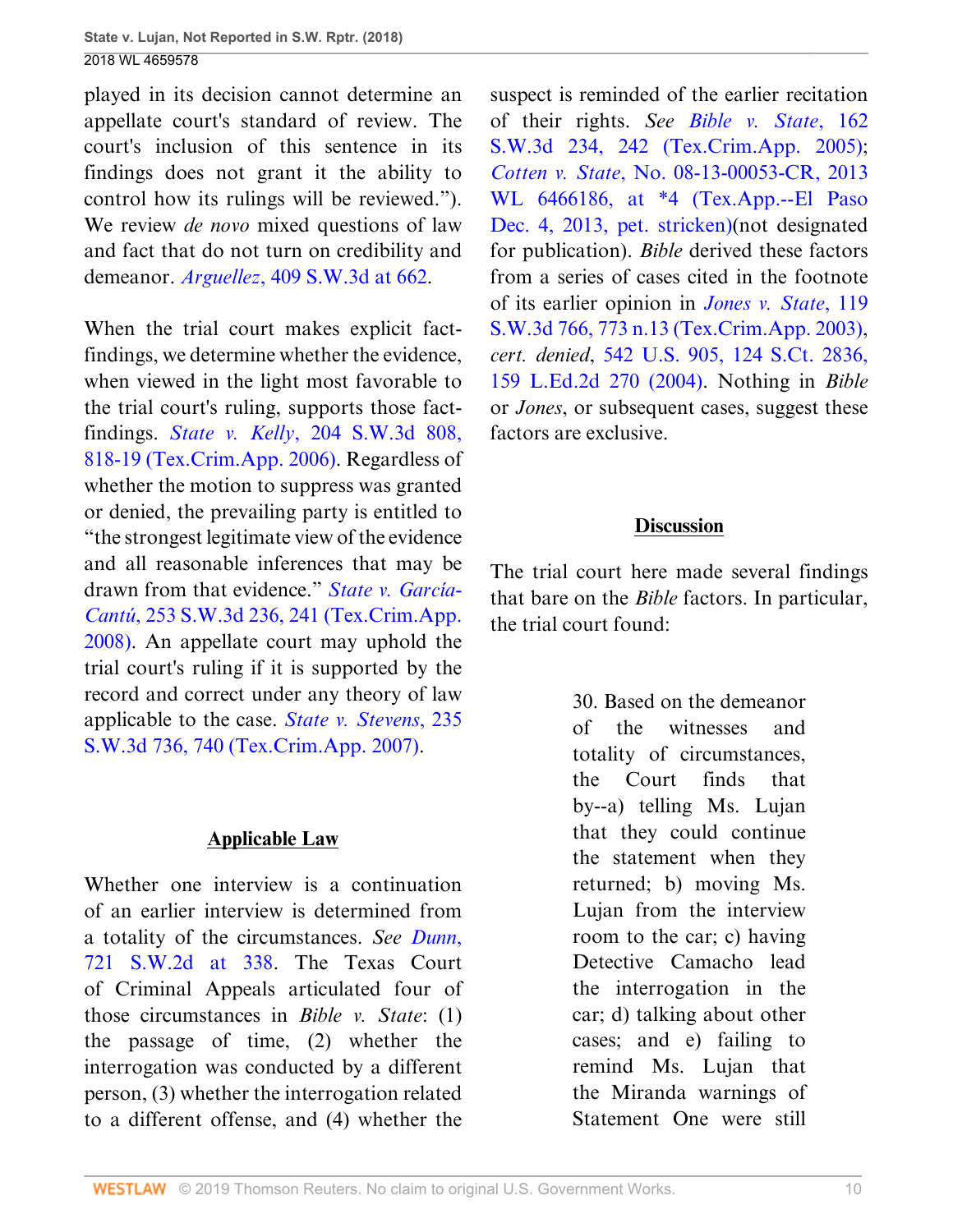played in its decision cannot determine an appellate court's standard of review. The court's inclusion of this sentence in its findings does not grant it the ability to control how its rulings will be reviewed."). We review *de novo* mixed questions of law and fact that do not turn on credibility and demeanor. *Arguellez*[, 409 S.W.3d at 662](http://www.westlaw.com/Link/Document/FullText?findType=Y&serNum=2031583344&pubNum=0004644&originatingDoc=I0e3a6240c39911e88037ff68a1223ab1&refType=RP&fi=co_pp_sp_4644_662&originationContext=document&vr=3.0&rs=cblt1.0&transitionType=DocumentItem&contextData=(sc.UserEnteredCitation)#co_pp_sp_4644_662).

When the trial court makes explicit factfindings, we determine whether the evidence, when viewed in the light most favorable to the trial court's ruling, supports those factfindings. *State v. Kelly*[, 204 S.W.3d 808,](http://www.westlaw.com/Link/Document/FullText?findType=Y&serNum=2010513795&pubNum=0004644&originatingDoc=I0e3a6240c39911e88037ff68a1223ab1&refType=RP&fi=co_pp_sp_4644_818&originationContext=document&vr=3.0&rs=cblt1.0&transitionType=DocumentItem&contextData=(sc.UserEnteredCitation)#co_pp_sp_4644_818) [818-19 \(Tex.Crim.App. 2006\).](http://www.westlaw.com/Link/Document/FullText?findType=Y&serNum=2010513795&pubNum=0004644&originatingDoc=I0e3a6240c39911e88037ff68a1223ab1&refType=RP&fi=co_pp_sp_4644_818&originationContext=document&vr=3.0&rs=cblt1.0&transitionType=DocumentItem&contextData=(sc.UserEnteredCitation)#co_pp_sp_4644_818) Regardless of whether the motion to suppress was granted or denied, the prevailing party is entitled to "the strongest legitimate view of the evidence and all reasonable inferences that may be drawn from that evidence." *[State v. García-](http://www.westlaw.com/Link/Document/FullText?findType=Y&serNum=2015961783&pubNum=0004644&originatingDoc=I0e3a6240c39911e88037ff68a1223ab1&refType=RP&fi=co_pp_sp_4644_241&originationContext=document&vr=3.0&rs=cblt1.0&transitionType=DocumentItem&contextData=(sc.UserEnteredCitation)#co_pp_sp_4644_241)Cantú*[, 253 S.W.3d 236, 241 \(Tex.Crim.App.](http://www.westlaw.com/Link/Document/FullText?findType=Y&serNum=2015961783&pubNum=0004644&originatingDoc=I0e3a6240c39911e88037ff68a1223ab1&refType=RP&fi=co_pp_sp_4644_241&originationContext=document&vr=3.0&rs=cblt1.0&transitionType=DocumentItem&contextData=(sc.UserEnteredCitation)#co_pp_sp_4644_241) [2008\)](http://www.westlaw.com/Link/Document/FullText?findType=Y&serNum=2015961783&pubNum=0004644&originatingDoc=I0e3a6240c39911e88037ff68a1223ab1&refType=RP&fi=co_pp_sp_4644_241&originationContext=document&vr=3.0&rs=cblt1.0&transitionType=DocumentItem&contextData=(sc.UserEnteredCitation)#co_pp_sp_4644_241). An appellate court may uphold the trial court's ruling if it is supported by the record and correct under any theory of law applicable to the case. *[State v. Stevens](http://www.westlaw.com/Link/Document/FullText?findType=Y&serNum=2013371461&pubNum=0004644&originatingDoc=I0e3a6240c39911e88037ff68a1223ab1&refType=RP&fi=co_pp_sp_4644_740&originationContext=document&vr=3.0&rs=cblt1.0&transitionType=DocumentItem&contextData=(sc.UserEnteredCitation)#co_pp_sp_4644_740)*, 235 [S.W.3d 736, 740 \(Tex.Crim.App. 2007\)](http://www.westlaw.com/Link/Document/FullText?findType=Y&serNum=2013371461&pubNum=0004644&originatingDoc=I0e3a6240c39911e88037ff68a1223ab1&refType=RP&fi=co_pp_sp_4644_740&originationContext=document&vr=3.0&rs=cblt1.0&transitionType=DocumentItem&contextData=(sc.UserEnteredCitation)#co_pp_sp_4644_740).

#### **Applicable Law**

Whether one interview is a continuation of an earlier interview is determined from a totality of the circumstances. *See [Dunn](http://www.westlaw.com/Link/Document/FullText?findType=Y&serNum=1986154568&pubNum=0000713&originatingDoc=I0e3a6240c39911e88037ff68a1223ab1&refType=RP&fi=co_pp_sp_713_338&originationContext=document&vr=3.0&rs=cblt1.0&transitionType=DocumentItem&contextData=(sc.UserEnteredCitation)#co_pp_sp_713_338)*, [721 S.W.2d at 338.](http://www.westlaw.com/Link/Document/FullText?findType=Y&serNum=1986154568&pubNum=0000713&originatingDoc=I0e3a6240c39911e88037ff68a1223ab1&refType=RP&fi=co_pp_sp_713_338&originationContext=document&vr=3.0&rs=cblt1.0&transitionType=DocumentItem&contextData=(sc.UserEnteredCitation)#co_pp_sp_713_338) The Texas Court of Criminal Appeals articulated four of those circumstances in *Bible v. State*: (1) the passage of time, (2) whether the interrogation was conducted by a different person, (3) whether the interrogation related to a different offense, and (4) whether the

suspect is reminded of the earlier recitation of their rights. *See [Bible v. State](http://www.westlaw.com/Link/Document/FullText?findType=Y&serNum=2006550757&pubNum=0004644&originatingDoc=I0e3a6240c39911e88037ff68a1223ab1&refType=RP&fi=co_pp_sp_4644_242&originationContext=document&vr=3.0&rs=cblt1.0&transitionType=DocumentItem&contextData=(sc.UserEnteredCitation)#co_pp_sp_4644_242)*, 162 [S.W.3d 234, 242 \(Tex.Crim.App. 2005\)](http://www.westlaw.com/Link/Document/FullText?findType=Y&serNum=2006550757&pubNum=0004644&originatingDoc=I0e3a6240c39911e88037ff68a1223ab1&refType=RP&fi=co_pp_sp_4644_242&originationContext=document&vr=3.0&rs=cblt1.0&transitionType=DocumentItem&contextData=(sc.UserEnteredCitation)#co_pp_sp_4644_242); *Cotten v. State*[, No. 08-13-00053-CR, 2013](http://www.westlaw.com/Link/Document/FullText?findType=Y&serNum=2032262361&pubNum=0000999&originatingDoc=I0e3a6240c39911e88037ff68a1223ab1&refType=RP&originationContext=document&vr=3.0&rs=cblt1.0&transitionType=DocumentItem&contextData=(sc.UserEnteredCitation)) [WL 6466186, at \\*4 \(Tex.App.--El Paso](http://www.westlaw.com/Link/Document/FullText?findType=Y&serNum=2032262361&pubNum=0000999&originatingDoc=I0e3a6240c39911e88037ff68a1223ab1&refType=RP&originationContext=document&vr=3.0&rs=cblt1.0&transitionType=DocumentItem&contextData=(sc.UserEnteredCitation)) [Dec. 4, 2013, pet. stricken\)\(](http://www.westlaw.com/Link/Document/FullText?findType=Y&serNum=2032262361&pubNum=0000999&originatingDoc=I0e3a6240c39911e88037ff68a1223ab1&refType=RP&originationContext=document&vr=3.0&rs=cblt1.0&transitionType=DocumentItem&contextData=(sc.UserEnteredCitation))not designated for publication). *Bible* derived these factors from a series of cases cited in the footnote of its earlier opinion in *[Jones v. State](http://www.westlaw.com/Link/Document/FullText?findType=Y&serNum=2003754069&pubNum=0004644&originatingDoc=I0e3a6240c39911e88037ff68a1223ab1&refType=RP&fi=co_pp_sp_4644_773&originationContext=document&vr=3.0&rs=cblt1.0&transitionType=DocumentItem&contextData=(sc.UserEnteredCitation)#co_pp_sp_4644_773)*, 119 [S.W.3d 766, 773 n.13 \(Tex.Crim.App. 2003\)](http://www.westlaw.com/Link/Document/FullText?findType=Y&serNum=2003754069&pubNum=0004644&originatingDoc=I0e3a6240c39911e88037ff68a1223ab1&refType=RP&fi=co_pp_sp_4644_773&originationContext=document&vr=3.0&rs=cblt1.0&transitionType=DocumentItem&contextData=(sc.UserEnteredCitation)#co_pp_sp_4644_773), *cert. denied*, [542 U.S. 905, 124 S.Ct. 2836,](http://www.westlaw.com/Link/Document/FullText?findType=Y&serNum=2004121736&pubNum=0000708&originatingDoc=I0e3a6240c39911e88037ff68a1223ab1&refType=RP&originationContext=document&vr=3.0&rs=cblt1.0&transitionType=DocumentItem&contextData=(sc.UserEnteredCitation)) [159 L.Ed.2d 270 \(2004\).](http://www.westlaw.com/Link/Document/FullText?findType=Y&serNum=2004121736&pubNum=0000708&originatingDoc=I0e3a6240c39911e88037ff68a1223ab1&refType=RP&originationContext=document&vr=3.0&rs=cblt1.0&transitionType=DocumentItem&contextData=(sc.UserEnteredCitation)) Nothing in *Bible* or *Jones*, or subsequent cases, suggest these factors are exclusive.

## **Discussion**

The trial court here made several findings that bare on the *Bible* factors. In particular, the trial court found:

> 30. Based on the demeanor of the witnesses and totality of circumstances, the Court finds that by--a) telling Ms. Lujan that they could continue the statement when they returned; b) moving Ms. Lujan from the interview room to the car; c) having Detective Camacho lead the interrogation in the car; d) talking about other cases; and e) failing to remind Ms. Lujan that the Miranda warnings of Statement One were still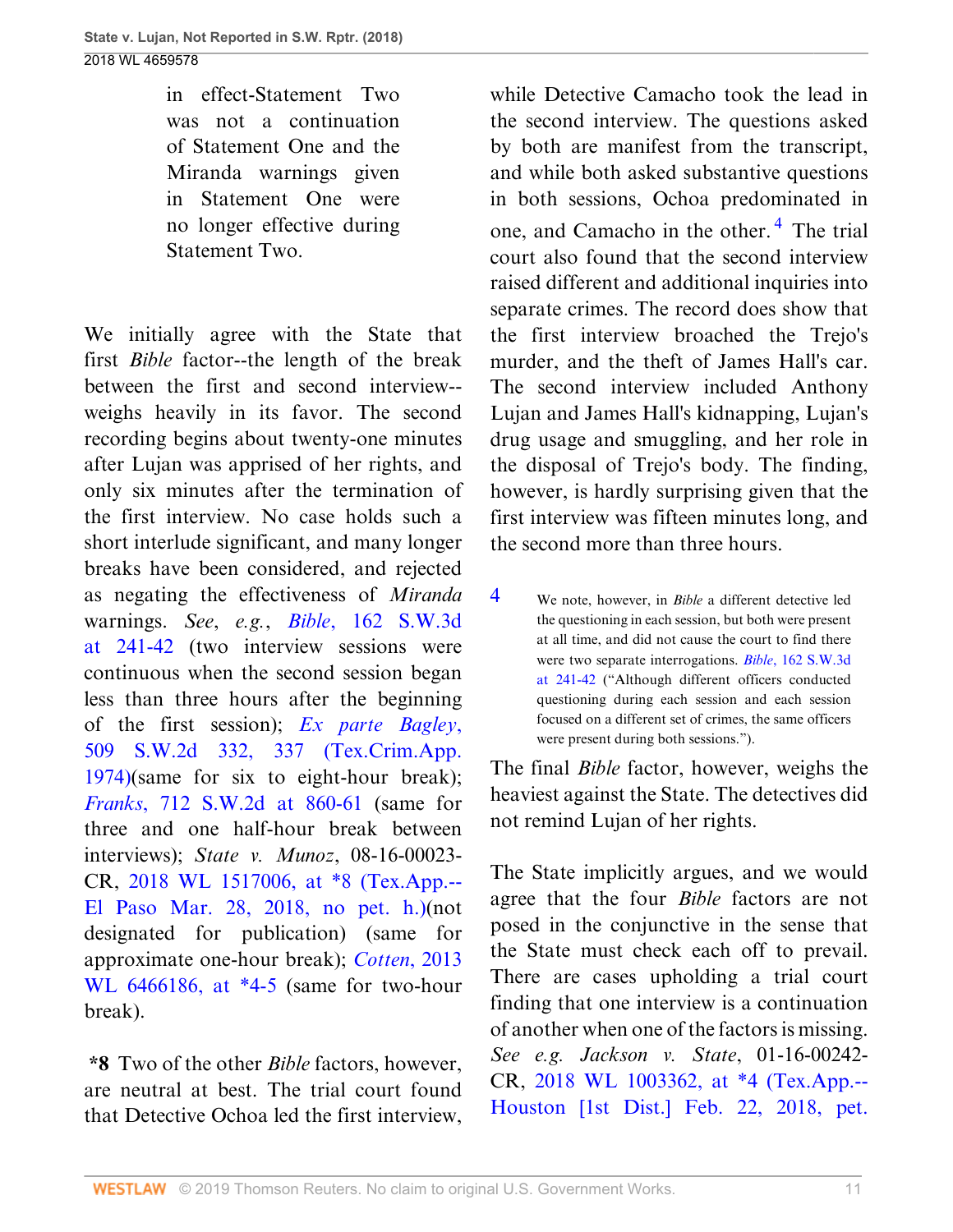in effect-Statement Two was not a continuation of Statement One and the Miranda warnings given in Statement One were no longer effective during Statement Two.

We initially agree with the State that first *Bible* factor--the length of the break between the first and second interview- weighs heavily in its favor. The second recording begins about twenty-one minutes after Lujan was apprised of her rights, and only six minutes after the termination of the first interview. No case holds such a short interlude significant, and many longer breaks have been considered, and rejected as negating the effectiveness of *Miranda* warnings. *See*, *e.g.*, *Bible*[, 162 S.W.3d](http://www.westlaw.com/Link/Document/FullText?findType=Y&serNum=2006550757&pubNum=0004644&originatingDoc=I0e3a6240c39911e88037ff68a1223ab1&refType=RP&fi=co_pp_sp_4644_241&originationContext=document&vr=3.0&rs=cblt1.0&transitionType=DocumentItem&contextData=(sc.UserEnteredCitation)#co_pp_sp_4644_241) [at 241-42](http://www.westlaw.com/Link/Document/FullText?findType=Y&serNum=2006550757&pubNum=0004644&originatingDoc=I0e3a6240c39911e88037ff68a1223ab1&refType=RP&fi=co_pp_sp_4644_241&originationContext=document&vr=3.0&rs=cblt1.0&transitionType=DocumentItem&contextData=(sc.UserEnteredCitation)#co_pp_sp_4644_241) (two interview sessions were continuous when the second session began less than three hours after the beginning of the first session); *[Ex parte Bagley](http://www.westlaw.com/Link/Document/FullText?findType=Y&serNum=1974131391&pubNum=0000713&originatingDoc=I0e3a6240c39911e88037ff68a1223ab1&refType=RP&fi=co_pp_sp_713_337&originationContext=document&vr=3.0&rs=cblt1.0&transitionType=DocumentItem&contextData=(sc.UserEnteredCitation)#co_pp_sp_713_337)*, [509 S.W.2d 332, 337 \(Tex.Crim.App.](http://www.westlaw.com/Link/Document/FullText?findType=Y&serNum=1974131391&pubNum=0000713&originatingDoc=I0e3a6240c39911e88037ff68a1223ab1&refType=RP&fi=co_pp_sp_713_337&originationContext=document&vr=3.0&rs=cblt1.0&transitionType=DocumentItem&contextData=(sc.UserEnteredCitation)#co_pp_sp_713_337) [1974\)](http://www.westlaw.com/Link/Document/FullText?findType=Y&serNum=1974131391&pubNum=0000713&originatingDoc=I0e3a6240c39911e88037ff68a1223ab1&refType=RP&fi=co_pp_sp_713_337&originationContext=document&vr=3.0&rs=cblt1.0&transitionType=DocumentItem&contextData=(sc.UserEnteredCitation)#co_pp_sp_713_337)(same for six to eight-hour break); *Franks*[, 712 S.W.2d at 860-61](http://www.westlaw.com/Link/Document/FullText?findType=Y&serNum=1986132004&pubNum=0000713&originatingDoc=I0e3a6240c39911e88037ff68a1223ab1&refType=RP&fi=co_pp_sp_713_860&originationContext=document&vr=3.0&rs=cblt1.0&transitionType=DocumentItem&contextData=(sc.UserEnteredCitation)#co_pp_sp_713_860) (same for three and one half-hour break between interviews); *State v. Munoz*, 08-16-00023- CR, [2018 WL 1517006, at \\*8 \(Tex.App.--](http://www.westlaw.com/Link/Document/FullText?findType=Y&serNum=2044170663&pubNum=0000999&originatingDoc=I0e3a6240c39911e88037ff68a1223ab1&refType=RP&originationContext=document&vr=3.0&rs=cblt1.0&transitionType=DocumentItem&contextData=(sc.UserEnteredCitation)) [El Paso Mar. 28, 2018, no pet. h.\)\(](http://www.westlaw.com/Link/Document/FullText?findType=Y&serNum=2044170663&pubNum=0000999&originatingDoc=I0e3a6240c39911e88037ff68a1223ab1&refType=RP&originationContext=document&vr=3.0&rs=cblt1.0&transitionType=DocumentItem&contextData=(sc.UserEnteredCitation))not designated for publication) (same for approximate one-hour break); *[Cotten](http://www.westlaw.com/Link/Document/FullText?findType=Y&serNum=2032262361&pubNum=0000999&originatingDoc=I0e3a6240c39911e88037ff68a1223ab1&refType=RP&originationContext=document&vr=3.0&rs=cblt1.0&transitionType=DocumentItem&contextData=(sc.UserEnteredCitation))*, 2013 [WL 6466186, at \\*4-5](http://www.westlaw.com/Link/Document/FullText?findType=Y&serNum=2032262361&pubNum=0000999&originatingDoc=I0e3a6240c39911e88037ff68a1223ab1&refType=RP&originationContext=document&vr=3.0&rs=cblt1.0&transitionType=DocumentItem&contextData=(sc.UserEnteredCitation)) (same for two-hour break).

**\*8** Two of the other *Bible* factors, however, are neutral at best. The trial court found that Detective Ochoa led the first interview, <span id="page-41-1"></span>while Detective Camacho took the lead in the second interview. The questions asked by both are manifest from the transcript, and while both asked substantive questions in both sessions, Ochoa predominated in one, and Camacho in the other.<sup>[4](#page-41-0)</sup> The trial court also found that the second interview raised different and additional inquiries into separate crimes. The record does show that the first interview broached the Trejo's murder, and the theft of James Hall's car. The second interview included Anthony Lujan and James Hall's kidnapping, Lujan's drug usage and smuggling, and her role in the disposal of Trejo's body. The finding, however, is hardly surprising given that the first interview was fifteen minutes long, and the second more than three hours.

<span id="page-41-0"></span>[4](#page-41-1) We note, however, in *Bible* a different detective led the questioning in each session, but both were present at all time, and did not cause the court to find there were two separate interrogations. *Bible*[, 162 S.W.3d](http://www.westlaw.com/Link/Document/FullText?findType=Y&serNum=2006550757&pubNum=0004644&originatingDoc=I0e3a6240c39911e88037ff68a1223ab1&refType=RP&fi=co_pp_sp_4644_241&originationContext=document&vr=3.0&rs=cblt1.0&transitionType=DocumentItem&contextData=(sc.UserEnteredCitation)#co_pp_sp_4644_241) [at 241-42](http://www.westlaw.com/Link/Document/FullText?findType=Y&serNum=2006550757&pubNum=0004644&originatingDoc=I0e3a6240c39911e88037ff68a1223ab1&refType=RP&fi=co_pp_sp_4644_241&originationContext=document&vr=3.0&rs=cblt1.0&transitionType=DocumentItem&contextData=(sc.UserEnteredCitation)#co_pp_sp_4644_241) ("Although different officers conducted questioning during each session and each session focused on a different set of crimes, the same officers were present during both sessions.").

The final *Bible* factor, however, weighs the heaviest against the State. The detectives did not remind Lujan of her rights.

The State implicitly argues, and we would agree that the four *Bible* factors are not posed in the conjunctive in the sense that the State must check each off to prevail. There are cases upholding a trial court finding that one interview is a continuation of another when one of the factors is missing. *See e.g. Jackson v. State*, 01-16-00242- CR, [2018 WL 1003362, at \\*4 \(Tex.App.--](http://www.westlaw.com/Link/Document/FullText?findType=Y&serNum=2043869901&pubNum=0000999&originatingDoc=I0e3a6240c39911e88037ff68a1223ab1&refType=RP&originationContext=document&vr=3.0&rs=cblt1.0&transitionType=DocumentItem&contextData=(sc.UserEnteredCitation)) [Houston \[1st Dist.\] Feb. 22, 2018, pet.](http://www.westlaw.com/Link/Document/FullText?findType=Y&serNum=2043869901&pubNum=0000999&originatingDoc=I0e3a6240c39911e88037ff68a1223ab1&refType=RP&originationContext=document&vr=3.0&rs=cblt1.0&transitionType=DocumentItem&contextData=(sc.UserEnteredCitation))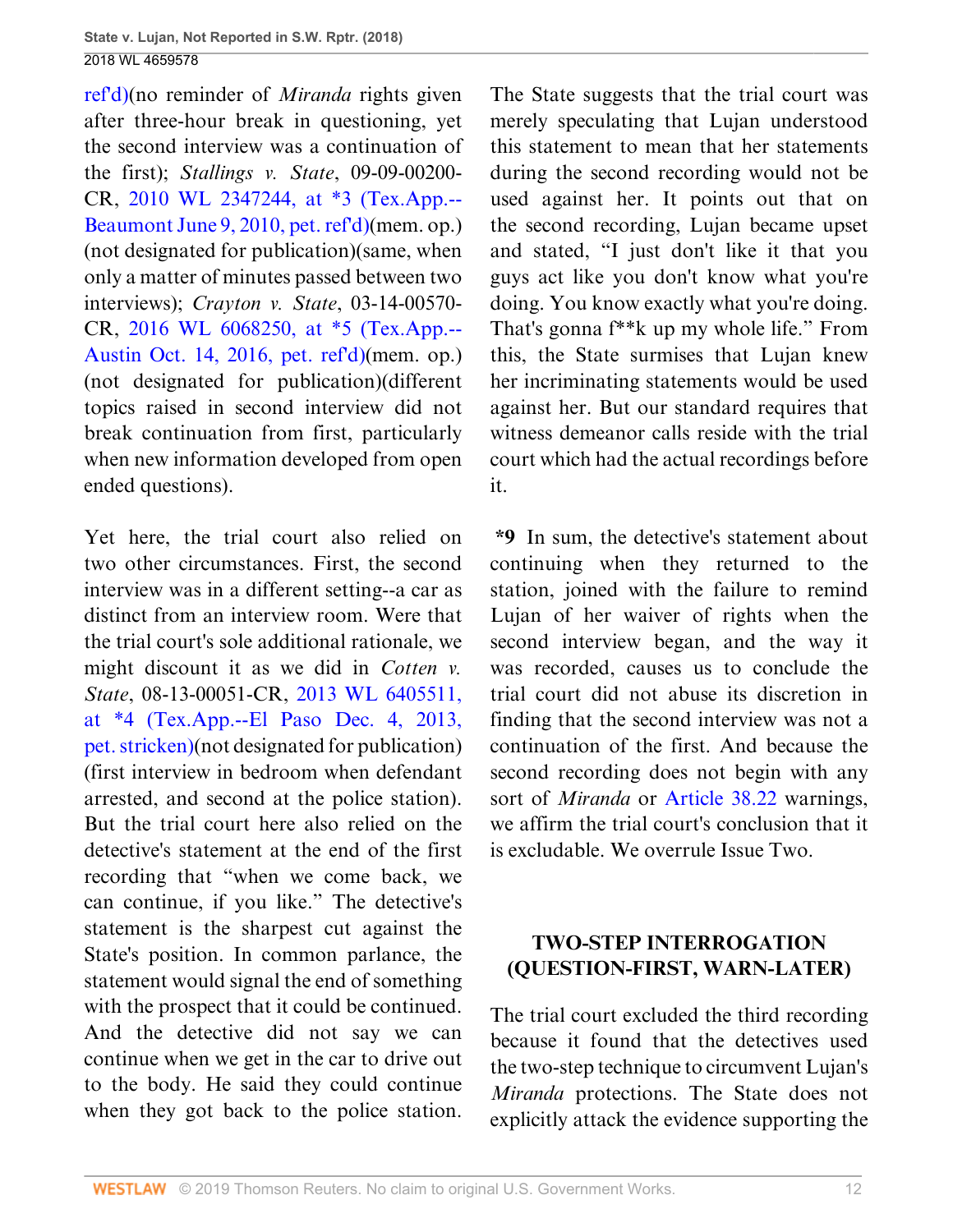[ref'd\)\(](http://www.westlaw.com/Link/Document/FullText?findType=Y&serNum=2043869901&pubNum=0000999&originatingDoc=I0e3a6240c39911e88037ff68a1223ab1&refType=RP&originationContext=document&vr=3.0&rs=cblt1.0&transitionType=DocumentItem&contextData=(sc.UserEnteredCitation))no reminder of *Miranda* rights given after three-hour break in questioning, yet the second interview was a continuation of the first); *Stallings v. State*, 09-09-00200- CR, [2010 WL 2347244, at \\*3 \(Tex.App.--](http://www.westlaw.com/Link/Document/FullText?findType=Y&serNum=2022293155&pubNum=0000999&originatingDoc=I0e3a6240c39911e88037ff68a1223ab1&refType=RP&originationContext=document&vr=3.0&rs=cblt1.0&transitionType=DocumentItem&contextData=(sc.UserEnteredCitation)) [Beaumont June 9, 2010, pet. ref'd\)\(](http://www.westlaw.com/Link/Document/FullText?findType=Y&serNum=2022293155&pubNum=0000999&originatingDoc=I0e3a6240c39911e88037ff68a1223ab1&refType=RP&originationContext=document&vr=3.0&rs=cblt1.0&transitionType=DocumentItem&contextData=(sc.UserEnteredCitation))mem. op.) (not designated for publication)(same, when only a matter of minutes passed between two interviews); *Crayton v. State*, 03-14-00570- CR, [2016 WL 6068250, at \\*5 \(Tex.App.--](http://www.westlaw.com/Link/Document/FullText?findType=Y&serNum=2040081576&pubNum=0000999&originatingDoc=I0e3a6240c39911e88037ff68a1223ab1&refType=RP&originationContext=document&vr=3.0&rs=cblt1.0&transitionType=DocumentItem&contextData=(sc.UserEnteredCitation)) [Austin Oct. 14, 2016, pet. ref'd\)\(](http://www.westlaw.com/Link/Document/FullText?findType=Y&serNum=2040081576&pubNum=0000999&originatingDoc=I0e3a6240c39911e88037ff68a1223ab1&refType=RP&originationContext=document&vr=3.0&rs=cblt1.0&transitionType=DocumentItem&contextData=(sc.UserEnteredCitation))mem. op.) (not designated for publication)(different topics raised in second interview did not break continuation from first, particularly when new information developed from open ended questions).

Yet here, the trial court also relied on two other circumstances. First, the second interview was in a different setting--a car as distinct from an interview room. Were that the trial court's sole additional rationale, we might discount it as we did in *Cotten v. State*, 08-13-00051-CR, [2013 WL 6405511,](http://www.westlaw.com/Link/Document/FullText?findType=Y&serNum=2032241373&pubNum=0000999&originatingDoc=I0e3a6240c39911e88037ff68a1223ab1&refType=RP&originationContext=document&vr=3.0&rs=cblt1.0&transitionType=DocumentItem&contextData=(sc.UserEnteredCitation)) [at \\*4 \(Tex.App.--El Paso Dec. 4, 2013,](http://www.westlaw.com/Link/Document/FullText?findType=Y&serNum=2032241373&pubNum=0000999&originatingDoc=I0e3a6240c39911e88037ff68a1223ab1&refType=RP&originationContext=document&vr=3.0&rs=cblt1.0&transitionType=DocumentItem&contextData=(sc.UserEnteredCitation)) [pet. stricken\)\(](http://www.westlaw.com/Link/Document/FullText?findType=Y&serNum=2032241373&pubNum=0000999&originatingDoc=I0e3a6240c39911e88037ff68a1223ab1&refType=RP&originationContext=document&vr=3.0&rs=cblt1.0&transitionType=DocumentItem&contextData=(sc.UserEnteredCitation))not designated for publication) (first interview in bedroom when defendant arrested, and second at the police station). But the trial court here also relied on the detective's statement at the end of the first recording that "when we come back, we can continue, if you like." The detective's statement is the sharpest cut against the State's position. In common parlance, the statement would signal the end of something with the prospect that it could be continued. And the detective did not say we can continue when we get in the car to drive out to the body. He said they could continue when they got back to the police station.

The State suggests that the trial court was merely speculating that Lujan understood this statement to mean that her statements during the second recording would not be used against her. It points out that on the second recording, Lujan became upset and stated, "I just don't like it that you guys act like you don't know what you're doing. You know exactly what you're doing. That's gonna f\*\*k up my whole life." From this, the State surmises that Lujan knew her incriminating statements would be used against her. But our standard requires that witness demeanor calls reside with the trial court which had the actual recordings before it.

**\*9** In sum, the detective's statement about continuing when they returned to the station, joined with the failure to remind Lujan of her waiver of rights when the second interview began, and the way it was recorded, causes us to conclude the trial court did not abuse its discretion in finding that the second interview was not a continuation of the first. And because the second recording does not begin with any sort of *Miranda* or [Article 38.22](http://www.westlaw.com/Link/Document/FullText?findType=L&pubNum=1000172&cite=TXCMART38.22&originatingDoc=I0e3a6240c39911e88037ff68a1223ab1&refType=LQ&originationContext=document&vr=3.0&rs=cblt1.0&transitionType=DocumentItem&contextData=(sc.UserEnteredCitation)) warnings, we affirm the trial court's conclusion that it is excludable. We overrule Issue Two.

## **TWO-STEP INTERROGATION (QUESTION-FIRST, WARN-LATER)**

The trial court excluded the third recording because it found that the detectives used the two-step technique to circumvent Lujan's *Miranda* protections. The State does not explicitly attack the evidence supporting the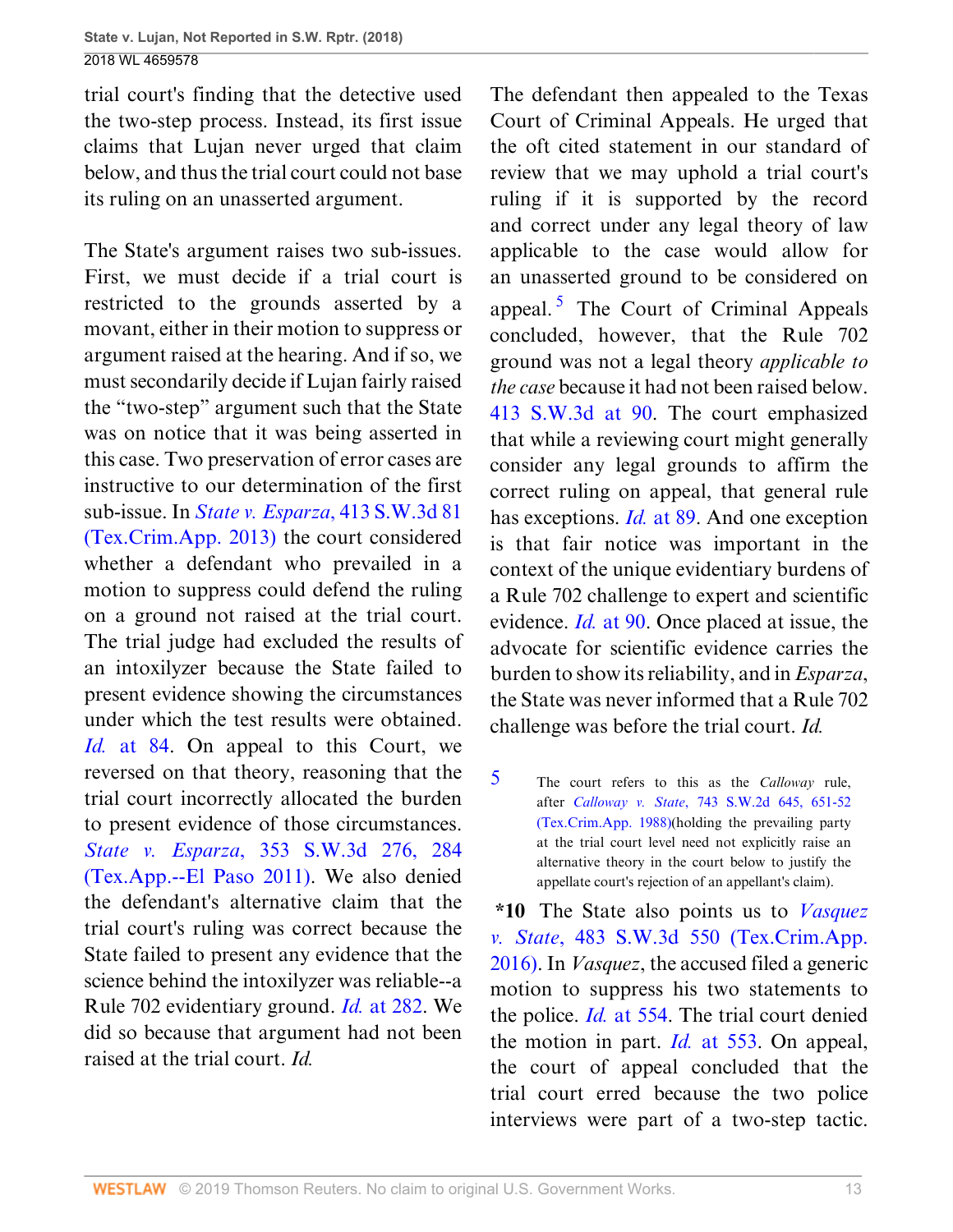trial court's finding that the detective used the two-step process. Instead, its first issue claims that Lujan never urged that claim below, and thus the trial court could not base its ruling on an unasserted argument.

The State's argument raises two sub-issues. First, we must decide if a trial court is restricted to the grounds asserted by a movant, either in their motion to suppress or argument raised at the hearing. And if so, we must secondarily decide if Lujan fairly raised the "two-step" argument such that the State was on notice that it was being asserted in this case. Two preservation of error cases are instructive to our determination of the first sub-issue. In *[State v. Esparza](http://www.westlaw.com/Link/Document/FullText?findType=Y&serNum=2031867486&pubNum=0004644&originatingDoc=I0e3a6240c39911e88037ff68a1223ab1&refType=RP&originationContext=document&vr=3.0&rs=cblt1.0&transitionType=DocumentItem&contextData=(sc.UserEnteredCitation))*, 413 S.W.3d 81 [\(Tex.Crim.App. 2013\)](http://www.westlaw.com/Link/Document/FullText?findType=Y&serNum=2031867486&pubNum=0004644&originatingDoc=I0e3a6240c39911e88037ff68a1223ab1&refType=RP&originationContext=document&vr=3.0&rs=cblt1.0&transitionType=DocumentItem&contextData=(sc.UserEnteredCitation)) the court considered whether a defendant who prevailed in a motion to suppress could defend the ruling on a ground not raised at the trial court. The trial judge had excluded the results of an intoxilyzer because the State failed to present evidence showing the circumstances under which the test results were obtained. *Id.* [at 84.](http://www.westlaw.com/Link/Document/FullText?findType=Y&serNum=2031867486&pubNum=0004644&originatingDoc=I0e3a6240c39911e88037ff68a1223ab1&refType=RP&fi=co_pp_sp_4644_84&originationContext=document&vr=3.0&rs=cblt1.0&transitionType=DocumentItem&contextData=(sc.UserEnteredCitation)#co_pp_sp_4644_84) On appeal to this Court, we reversed on that theory, reasoning that the trial court incorrectly allocated the burden to present evidence of those circumstances. *State v. Esparza*[, 353 S.W.3d 276, 284](http://www.westlaw.com/Link/Document/FullText?findType=Y&serNum=2026427756&pubNum=0004644&originatingDoc=I0e3a6240c39911e88037ff68a1223ab1&refType=RP&fi=co_pp_sp_4644_284&originationContext=document&vr=3.0&rs=cblt1.0&transitionType=DocumentItem&contextData=(sc.UserEnteredCitation)#co_pp_sp_4644_284) [\(Tex.App.--El Paso 2011\).](http://www.westlaw.com/Link/Document/FullText?findType=Y&serNum=2026427756&pubNum=0004644&originatingDoc=I0e3a6240c39911e88037ff68a1223ab1&refType=RP&fi=co_pp_sp_4644_284&originationContext=document&vr=3.0&rs=cblt1.0&transitionType=DocumentItem&contextData=(sc.UserEnteredCitation)#co_pp_sp_4644_284) We also denied the defendant's alternative claim that the trial court's ruling was correct because the State failed to present any evidence that the science behind the intoxilyzer was reliable--a Rule 702 evidentiary ground. *Id.* [at 282](http://www.westlaw.com/Link/Document/FullText?findType=Y&serNum=2026427756&pubNum=0004644&originatingDoc=I0e3a6240c39911e88037ff68a1223ab1&refType=RP&fi=co_pp_sp_4644_282&originationContext=document&vr=3.0&rs=cblt1.0&transitionType=DocumentItem&contextData=(sc.UserEnteredCitation)#co_pp_sp_4644_282). We did so because that argument had not been raised at the trial court. *Id.*

<span id="page-43-1"></span>The defendant then appealed to the Texas Court of Criminal Appeals. He urged that the oft cited statement in our standard of review that we may uphold a trial court's ruling if it is supported by the record and correct under any legal theory of law applicable to the case would allow for an unasserted ground to be considered on appeal.<sup>[5](#page-43-0)</sup> The Court of Criminal Appeals concluded, however, that the Rule 702 ground was not a legal theory *applicable to the case* because it had not been raised below. [413 S.W.3d at 90](http://www.westlaw.com/Link/Document/FullText?findType=Y&serNum=2031867486&pubNum=0004644&originatingDoc=I0e3a6240c39911e88037ff68a1223ab1&refType=RP&fi=co_pp_sp_4644_90&originationContext=document&vr=3.0&rs=cblt1.0&transitionType=DocumentItem&contextData=(sc.UserEnteredCitation)#co_pp_sp_4644_90). The court emphasized that while a reviewing court might generally consider any legal grounds to affirm the correct ruling on appeal, that general rule has exceptions. *Id.* [at 89](http://www.westlaw.com/Link/Document/FullText?findType=Y&serNum=2031867486&pubNum=0004644&originatingDoc=I0e3a6240c39911e88037ff68a1223ab1&refType=RP&fi=co_pp_sp_4644_89&originationContext=document&vr=3.0&rs=cblt1.0&transitionType=DocumentItem&contextData=(sc.UserEnteredCitation)#co_pp_sp_4644_89). And one exception is that fair notice was important in the context of the unique evidentiary burdens of a Rule 702 challenge to expert and scientific evidence. *Id.* [at 90.](http://www.westlaw.com/Link/Document/FullText?findType=Y&serNum=2031867486&pubNum=0004644&originatingDoc=I0e3a6240c39911e88037ff68a1223ab1&refType=RP&fi=co_pp_sp_4644_90&originationContext=document&vr=3.0&rs=cblt1.0&transitionType=DocumentItem&contextData=(sc.UserEnteredCitation)#co_pp_sp_4644_90) Once placed at issue, the advocate for scientific evidence carries the burden to show its reliability, and in *Esparza*, the State was never informed that a Rule 702 challenge was before the trial court. *Id.*

<span id="page-43-0"></span>[5](#page-43-1) The court refers to this as the *Calloway* rule, after *Calloway v. State*[, 743 S.W.2d 645, 651-52](http://www.westlaw.com/Link/Document/FullText?findType=Y&serNum=1988014084&pubNum=0000713&originatingDoc=I0e3a6240c39911e88037ff68a1223ab1&refType=RP&fi=co_pp_sp_713_651&originationContext=document&vr=3.0&rs=cblt1.0&transitionType=DocumentItem&contextData=(sc.UserEnteredCitation)#co_pp_sp_713_651) [\(Tex.Crim.App. 1988\)\(](http://www.westlaw.com/Link/Document/FullText?findType=Y&serNum=1988014084&pubNum=0000713&originatingDoc=I0e3a6240c39911e88037ff68a1223ab1&refType=RP&fi=co_pp_sp_713_651&originationContext=document&vr=3.0&rs=cblt1.0&transitionType=DocumentItem&contextData=(sc.UserEnteredCitation)#co_pp_sp_713_651)holding the prevailing party at the trial court level need not explicitly raise an alternative theory in the court below to justify the appellate court's rejection of an appellant's claim).

**\*10** The State also points us to *[Vasquez](http://www.westlaw.com/Link/Document/FullText?findType=Y&serNum=2038352766&pubNum=0004644&originatingDoc=I0e3a6240c39911e88037ff68a1223ab1&refType=RP&originationContext=document&vr=3.0&rs=cblt1.0&transitionType=DocumentItem&contextData=(sc.UserEnteredCitation)) v. State*[, 483 S.W.3d 550 \(Tex.Crim.App.](http://www.westlaw.com/Link/Document/FullText?findType=Y&serNum=2038352766&pubNum=0004644&originatingDoc=I0e3a6240c39911e88037ff68a1223ab1&refType=RP&originationContext=document&vr=3.0&rs=cblt1.0&transitionType=DocumentItem&contextData=(sc.UserEnteredCitation)) [2016\)](http://www.westlaw.com/Link/Document/FullText?findType=Y&serNum=2038352766&pubNum=0004644&originatingDoc=I0e3a6240c39911e88037ff68a1223ab1&refType=RP&originationContext=document&vr=3.0&rs=cblt1.0&transitionType=DocumentItem&contextData=(sc.UserEnteredCitation)). In *Vasquez*, the accused filed a generic motion to suppress his two statements to the police. *Id.* [at 554](http://www.westlaw.com/Link/Document/FullText?findType=Y&serNum=2038352766&pubNum=0004644&originatingDoc=I0e3a6240c39911e88037ff68a1223ab1&refType=RP&fi=co_pp_sp_4644_554&originationContext=document&vr=3.0&rs=cblt1.0&transitionType=DocumentItem&contextData=(sc.UserEnteredCitation)#co_pp_sp_4644_554). The trial court denied the motion in part. *Id.* [at 553.](http://www.westlaw.com/Link/Document/FullText?findType=Y&serNum=2038352766&pubNum=0004644&originatingDoc=I0e3a6240c39911e88037ff68a1223ab1&refType=RP&fi=co_pp_sp_4644_553&originationContext=document&vr=3.0&rs=cblt1.0&transitionType=DocumentItem&contextData=(sc.UserEnteredCitation)#co_pp_sp_4644_553) On appeal, the court of appeal concluded that the trial court erred because the two police interviews were part of a two-step tactic.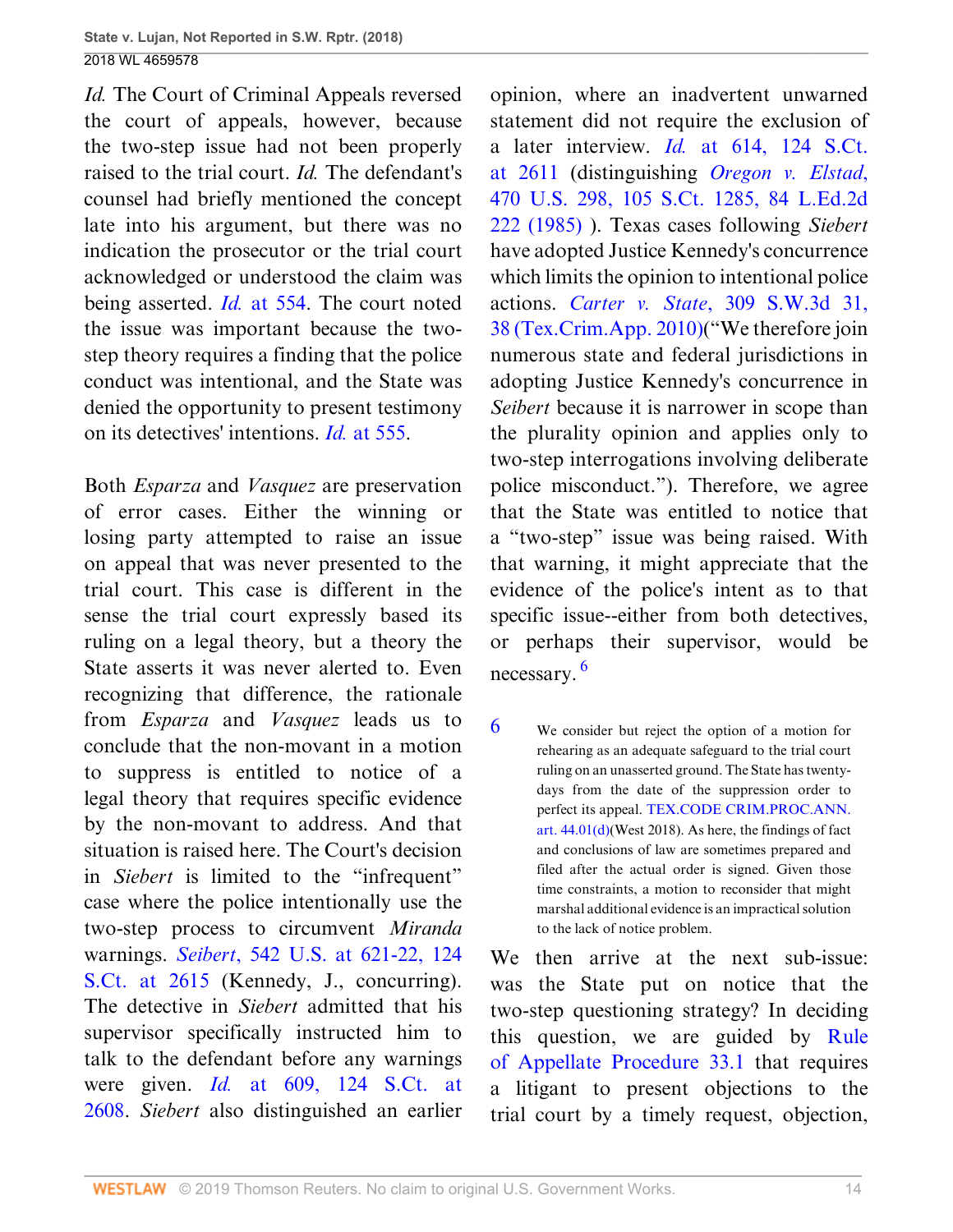*Id.* The Court of Criminal Appeals reversed the court of appeals, however, because the two-step issue had not been properly raised to the trial court. *Id.* The defendant's counsel had briefly mentioned the concept late into his argument, but there was no indication the prosecutor or the trial court acknowledged or understood the claim was being asserted. *Id.* [at 554.](http://www.westlaw.com/Link/Document/FullText?findType=Y&serNum=2038352766&pubNum=0004644&originatingDoc=I0e3a6240c39911e88037ff68a1223ab1&refType=RP&fi=co_pp_sp_4644_554&originationContext=document&vr=3.0&rs=cblt1.0&transitionType=DocumentItem&contextData=(sc.UserEnteredCitation)#co_pp_sp_4644_554) The court noted the issue was important because the twostep theory requires a finding that the police conduct was intentional, and the State was denied the opportunity to present testimony on its detectives' intentions. *Id.* [at 555.](http://www.westlaw.com/Link/Document/FullText?findType=Y&serNum=2038352766&pubNum=0004644&originatingDoc=I0e3a6240c39911e88037ff68a1223ab1&refType=RP&fi=co_pp_sp_4644_555&originationContext=document&vr=3.0&rs=cblt1.0&transitionType=DocumentItem&contextData=(sc.UserEnteredCitation)#co_pp_sp_4644_555)

Both *Esparza* and *Vasquez* are preservation of error cases. Either the winning or losing party attempted to raise an issue on appeal that was never presented to the trial court. This case is different in the sense the trial court expressly based its ruling on a legal theory, but a theory the State asserts it was never alerted to. Even recognizing that difference, the rationale from *Esparza* and *Vasquez* leads us to conclude that the non-movant in a motion to suppress is entitled to notice of a legal theory that requires specific evidence by the non-movant to address. And that situation is raised here. The Court's decision in *Siebert* is limited to the "infrequent" case where the police intentionally use the two-step process to circumvent *Miranda* warnings. *Seibert*[, 542 U.S. at 621-22, 124](http://www.westlaw.com/Link/Document/FullText?findType=Y&serNum=2004633514&pubNum=0000708&originatingDoc=I0e3a6240c39911e88037ff68a1223ab1&refType=RP&fi=co_pp_sp_708_2615&originationContext=document&vr=3.0&rs=cblt1.0&transitionType=DocumentItem&contextData=(sc.UserEnteredCitation)#co_pp_sp_708_2615) [S.Ct. at 2615](http://www.westlaw.com/Link/Document/FullText?findType=Y&serNum=2004633514&pubNum=0000708&originatingDoc=I0e3a6240c39911e88037ff68a1223ab1&refType=RP&fi=co_pp_sp_708_2615&originationContext=document&vr=3.0&rs=cblt1.0&transitionType=DocumentItem&contextData=(sc.UserEnteredCitation)#co_pp_sp_708_2615) (Kennedy, J., concurring). The detective in *Siebert* admitted that his supervisor specifically instructed him to talk to the defendant before any warnings were given. *Id.* [at 609, 124 S.Ct. at](http://www.westlaw.com/Link/Document/FullText?findType=Y&serNum=2004633514&pubNum=0000708&originatingDoc=I0e3a6240c39911e88037ff68a1223ab1&refType=RP&fi=co_pp_sp_708_2608&originationContext=document&vr=3.0&rs=cblt1.0&transitionType=DocumentItem&contextData=(sc.UserEnteredCitation)#co_pp_sp_708_2608) [2608](http://www.westlaw.com/Link/Document/FullText?findType=Y&serNum=2004633514&pubNum=0000708&originatingDoc=I0e3a6240c39911e88037ff68a1223ab1&refType=RP&fi=co_pp_sp_708_2608&originationContext=document&vr=3.0&rs=cblt1.0&transitionType=DocumentItem&contextData=(sc.UserEnteredCitation)#co_pp_sp_708_2608). *Siebert* also distinguished an earlier

opinion, where an inadvertent unwarned statement did not require the exclusion of a later interview. *Id.* [at 614, 124 S.Ct.](http://www.westlaw.com/Link/Document/FullText?findType=Y&serNum=2004633514&pubNum=0000708&originatingDoc=I0e3a6240c39911e88037ff68a1223ab1&refType=RP&fi=co_pp_sp_708_2611&originationContext=document&vr=3.0&rs=cblt1.0&transitionType=DocumentItem&contextData=(sc.UserEnteredCitation)#co_pp_sp_708_2611) [at 2611](http://www.westlaw.com/Link/Document/FullText?findType=Y&serNum=2004633514&pubNum=0000708&originatingDoc=I0e3a6240c39911e88037ff68a1223ab1&refType=RP&fi=co_pp_sp_708_2611&originationContext=document&vr=3.0&rs=cblt1.0&transitionType=DocumentItem&contextData=(sc.UserEnteredCitation)#co_pp_sp_708_2611) (distinguishing *[Oregon v. Elstad](http://www.westlaw.com/Link/Document/FullText?findType=Y&serNum=1985110911&pubNum=0000708&originatingDoc=I0e3a6240c39911e88037ff68a1223ab1&refType=RP&originationContext=document&vr=3.0&rs=cblt1.0&transitionType=DocumentItem&contextData=(sc.UserEnteredCitation))*, [470 U.S. 298, 105 S.Ct. 1285, 84 L.Ed.2d](http://www.westlaw.com/Link/Document/FullText?findType=Y&serNum=1985110911&pubNum=0000708&originatingDoc=I0e3a6240c39911e88037ff68a1223ab1&refType=RP&originationContext=document&vr=3.0&rs=cblt1.0&transitionType=DocumentItem&contextData=(sc.UserEnteredCitation)) [222 \(1985\)](http://www.westlaw.com/Link/Document/FullText?findType=Y&serNum=1985110911&pubNum=0000708&originatingDoc=I0e3a6240c39911e88037ff68a1223ab1&refType=RP&originationContext=document&vr=3.0&rs=cblt1.0&transitionType=DocumentItem&contextData=(sc.UserEnteredCitation)) ). Texas cases following *Siebert* have adopted Justice Kennedy's concurrence which limits the opinion to intentional police actions. *Carter v. State*[, 309 S.W.3d 31,](http://www.westlaw.com/Link/Document/FullText?findType=Y&serNum=2021609345&pubNum=0004644&originatingDoc=I0e3a6240c39911e88037ff68a1223ab1&refType=RP&fi=co_pp_sp_4644_38&originationContext=document&vr=3.0&rs=cblt1.0&transitionType=DocumentItem&contextData=(sc.UserEnteredCitation)#co_pp_sp_4644_38) [38 \(Tex.Crim.App. 2010\)](http://www.westlaw.com/Link/Document/FullText?findType=Y&serNum=2021609345&pubNum=0004644&originatingDoc=I0e3a6240c39911e88037ff68a1223ab1&refType=RP&fi=co_pp_sp_4644_38&originationContext=document&vr=3.0&rs=cblt1.0&transitionType=DocumentItem&contextData=(sc.UserEnteredCitation)#co_pp_sp_4644_38)("We therefore join numerous state and federal jurisdictions in adopting Justice Kennedy's concurrence in *Seibert* because it is narrower in scope than the plurality opinion and applies only to two-step interrogations involving deliberate police misconduct."). Therefore, we agree that the State was entitled to notice that a "two-step" issue was being raised. With that warning, it might appreciate that the evidence of the police's intent as to that specific issue--either from both detectives, or perhaps their supervisor, would be necessary. [6](#page-44-0)

<span id="page-44-1"></span><span id="page-44-0"></span>[6](#page-44-1) We consider but reject the option of a motion for rehearing as an adequate safeguard to the trial court ruling on an unasserted ground. The State has twentydays from the date of the suppression order to perfect its appeal. [TEX.CODE CRIM.PROC.ANN.](http://www.westlaw.com/Link/Document/FullText?findType=L&pubNum=1000172&cite=TXCMART44.01&originatingDoc=I0e3a6240c39911e88037ff68a1223ab1&refType=SP&originationContext=document&vr=3.0&rs=cblt1.0&transitionType=DocumentItem&contextData=(sc.UserEnteredCitation)#co_pp_5ba1000067d06) [art. 44.01\(d\)\(](http://www.westlaw.com/Link/Document/FullText?findType=L&pubNum=1000172&cite=TXCMART44.01&originatingDoc=I0e3a6240c39911e88037ff68a1223ab1&refType=SP&originationContext=document&vr=3.0&rs=cblt1.0&transitionType=DocumentItem&contextData=(sc.UserEnteredCitation)#co_pp_5ba1000067d06)West 2018). As here, the findings of fact and conclusions of law are sometimes prepared and filed after the actual order is signed. Given those time constraints, a motion to reconsider that might marshal additional evidence is an impractical solution to the lack of notice problem.

We then arrive at the next sub-issue: was the State put on notice that the two-step questioning strategy? In deciding this question, we are guided by [Rule](http://www.westlaw.com/Link/Document/FullText?findType=L&pubNum=1005293&cite=TXRRAPR33.1&originatingDoc=I0e3a6240c39911e88037ff68a1223ab1&refType=LQ&originationContext=document&vr=3.0&rs=cblt1.0&transitionType=DocumentItem&contextData=(sc.UserEnteredCitation)) [of Appellate Procedure 33.1](http://www.westlaw.com/Link/Document/FullText?findType=L&pubNum=1005293&cite=TXRRAPR33.1&originatingDoc=I0e3a6240c39911e88037ff68a1223ab1&refType=LQ&originationContext=document&vr=3.0&rs=cblt1.0&transitionType=DocumentItem&contextData=(sc.UserEnteredCitation)) that requires a litigant to present objections to the trial court by a timely request, objection,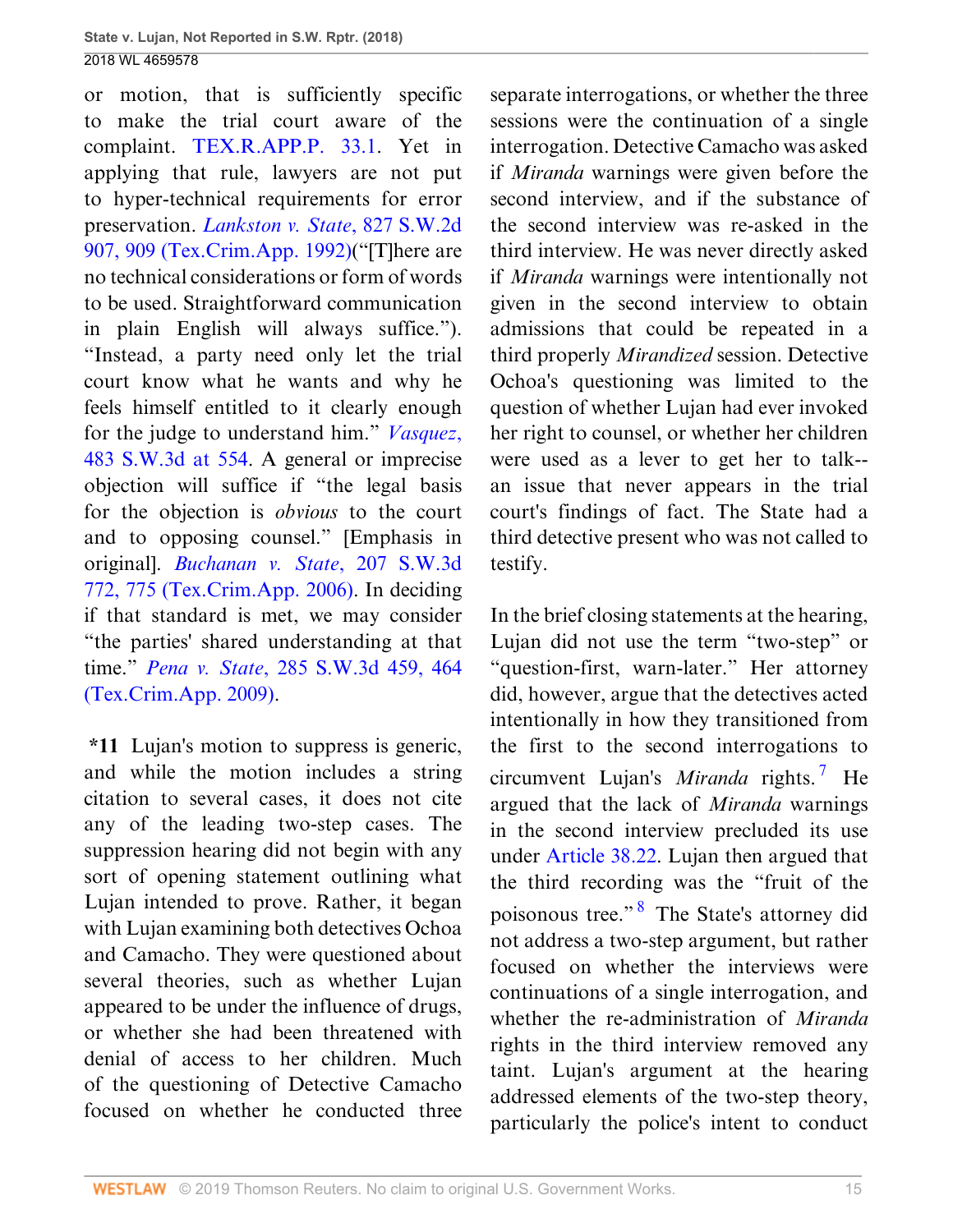or motion, that is sufficiently specific to make the trial court aware of the complaint. [TEX.R.APP.P. 33.1](http://www.westlaw.com/Link/Document/FullText?findType=L&pubNum=1005293&cite=TXRRAPR33.1&originatingDoc=I0e3a6240c39911e88037ff68a1223ab1&refType=LQ&originationContext=document&vr=3.0&rs=cblt1.0&transitionType=DocumentItem&contextData=(sc.UserEnteredCitation)). Yet in applying that rule, lawyers are not put to hyper-technical requirements for error preservation. *[Lankston v. State](http://www.westlaw.com/Link/Document/FullText?findType=Y&serNum=1992050763&pubNum=0000713&originatingDoc=I0e3a6240c39911e88037ff68a1223ab1&refType=RP&fi=co_pp_sp_713_909&originationContext=document&vr=3.0&rs=cblt1.0&transitionType=DocumentItem&contextData=(sc.UserEnteredCitation)#co_pp_sp_713_909)*, 827 S.W.2d [907, 909 \(Tex.Crim.App. 1992\)](http://www.westlaw.com/Link/Document/FullText?findType=Y&serNum=1992050763&pubNum=0000713&originatingDoc=I0e3a6240c39911e88037ff68a1223ab1&refType=RP&fi=co_pp_sp_713_909&originationContext=document&vr=3.0&rs=cblt1.0&transitionType=DocumentItem&contextData=(sc.UserEnteredCitation)#co_pp_sp_713_909)("[T]here are no technical considerations or form of words to be used. Straightforward communication in plain English will always suffice."). "Instead, a party need only let the trial court know what he wants and why he feels himself entitled to it clearly enough for the judge to understand him." *[Vasquez](http://www.westlaw.com/Link/Document/FullText?findType=Y&serNum=2038352766&pubNum=0004644&originatingDoc=I0e3a6240c39911e88037ff68a1223ab1&refType=RP&fi=co_pp_sp_4644_554&originationContext=document&vr=3.0&rs=cblt1.0&transitionType=DocumentItem&contextData=(sc.UserEnteredCitation)#co_pp_sp_4644_554)*, [483 S.W.3d at 554](http://www.westlaw.com/Link/Document/FullText?findType=Y&serNum=2038352766&pubNum=0004644&originatingDoc=I0e3a6240c39911e88037ff68a1223ab1&refType=RP&fi=co_pp_sp_4644_554&originationContext=document&vr=3.0&rs=cblt1.0&transitionType=DocumentItem&contextData=(sc.UserEnteredCitation)#co_pp_sp_4644_554). A general or imprecise objection will suffice if "the legal basis for the objection is *obvious* to the court and to opposing counsel." [Emphasis in original]. *[Buchanan v. State](http://www.westlaw.com/Link/Document/FullText?findType=Y&serNum=2010473887&pubNum=0004644&originatingDoc=I0e3a6240c39911e88037ff68a1223ab1&refType=RP&fi=co_pp_sp_4644_775&originationContext=document&vr=3.0&rs=cblt1.0&transitionType=DocumentItem&contextData=(sc.UserEnteredCitation)#co_pp_sp_4644_775)*, 207 S.W.3d [772, 775 \(Tex.Crim.App. 2006\)](http://www.westlaw.com/Link/Document/FullText?findType=Y&serNum=2010473887&pubNum=0004644&originatingDoc=I0e3a6240c39911e88037ff68a1223ab1&refType=RP&fi=co_pp_sp_4644_775&originationContext=document&vr=3.0&rs=cblt1.0&transitionType=DocumentItem&contextData=(sc.UserEnteredCitation)#co_pp_sp_4644_775). In deciding if that standard is met, we may consider "the parties' shared understanding at that time." *Pena v. State*[, 285 S.W.3d 459, 464](http://www.westlaw.com/Link/Document/FullText?findType=Y&serNum=2018560530&pubNum=0004644&originatingDoc=I0e3a6240c39911e88037ff68a1223ab1&refType=RP&fi=co_pp_sp_4644_464&originationContext=document&vr=3.0&rs=cblt1.0&transitionType=DocumentItem&contextData=(sc.UserEnteredCitation)#co_pp_sp_4644_464) [\(Tex.Crim.App. 2009\)](http://www.westlaw.com/Link/Document/FullText?findType=Y&serNum=2018560530&pubNum=0004644&originatingDoc=I0e3a6240c39911e88037ff68a1223ab1&refType=RP&fi=co_pp_sp_4644_464&originationContext=document&vr=3.0&rs=cblt1.0&transitionType=DocumentItem&contextData=(sc.UserEnteredCitation)#co_pp_sp_4644_464).

**\*11** Lujan's motion to suppress is generic, and while the motion includes a string citation to several cases, it does not cite any of the leading two-step cases. The suppression hearing did not begin with any sort of opening statement outlining what Lujan intended to prove. Rather, it began with Lujan examining both detectives Ochoa and Camacho. They were questioned about several theories, such as whether Lujan appeared to be under the influence of drugs, or whether she had been threatened with denial of access to her children. Much of the questioning of Detective Camacho focused on whether he conducted three

separate interrogations, or whether the three sessions were the continuation of a single interrogation. Detective Camacho was asked if *Miranda* warnings were given before the second interview, and if the substance of the second interview was re-asked in the third interview. He was never directly asked if *Miranda* warnings were intentionally not given in the second interview to obtain admissions that could be repeated in a third properly *Mirandized* session. Detective Ochoa's questioning was limited to the question of whether Lujan had ever invoked her right to counsel, or whether her children were used as a lever to get her to talk- an issue that never appears in the trial court's findings of fact. The State had a third detective present who was not called to testify.

<span id="page-45-1"></span><span id="page-45-0"></span>In the brief closing statements at the hearing, Lujan did not use the term "two-step" or "question-first, warn-later." Her attorney did, however, argue that the detectives acted intentionally in how they transitioned from the first to the second interrogations to circumvent Lujan's *Miranda* rights. [7](#page-46-0) He argued that the lack of *Miranda* warnings in the second interview precluded its use under [Article 38.22.](http://www.westlaw.com/Link/Document/FullText?findType=L&pubNum=1000172&cite=TXCMART38.22&originatingDoc=I0e3a6240c39911e88037ff68a1223ab1&refType=LQ&originationContext=document&vr=3.0&rs=cblt1.0&transitionType=DocumentItem&contextData=(sc.UserEnteredCitation)) Lujan then argued that the third recording was the "fruit of the poisonous tree."<sup>[8](#page-46-1)</sup> The State's attorney did not address a two-step argument, but rather focused on whether the interviews were continuations of a single interrogation, and whether the re-administration of *Miranda* rights in the third interview removed any taint. Lujan's argument at the hearing addressed elements of the two-step theory, particularly the police's intent to conduct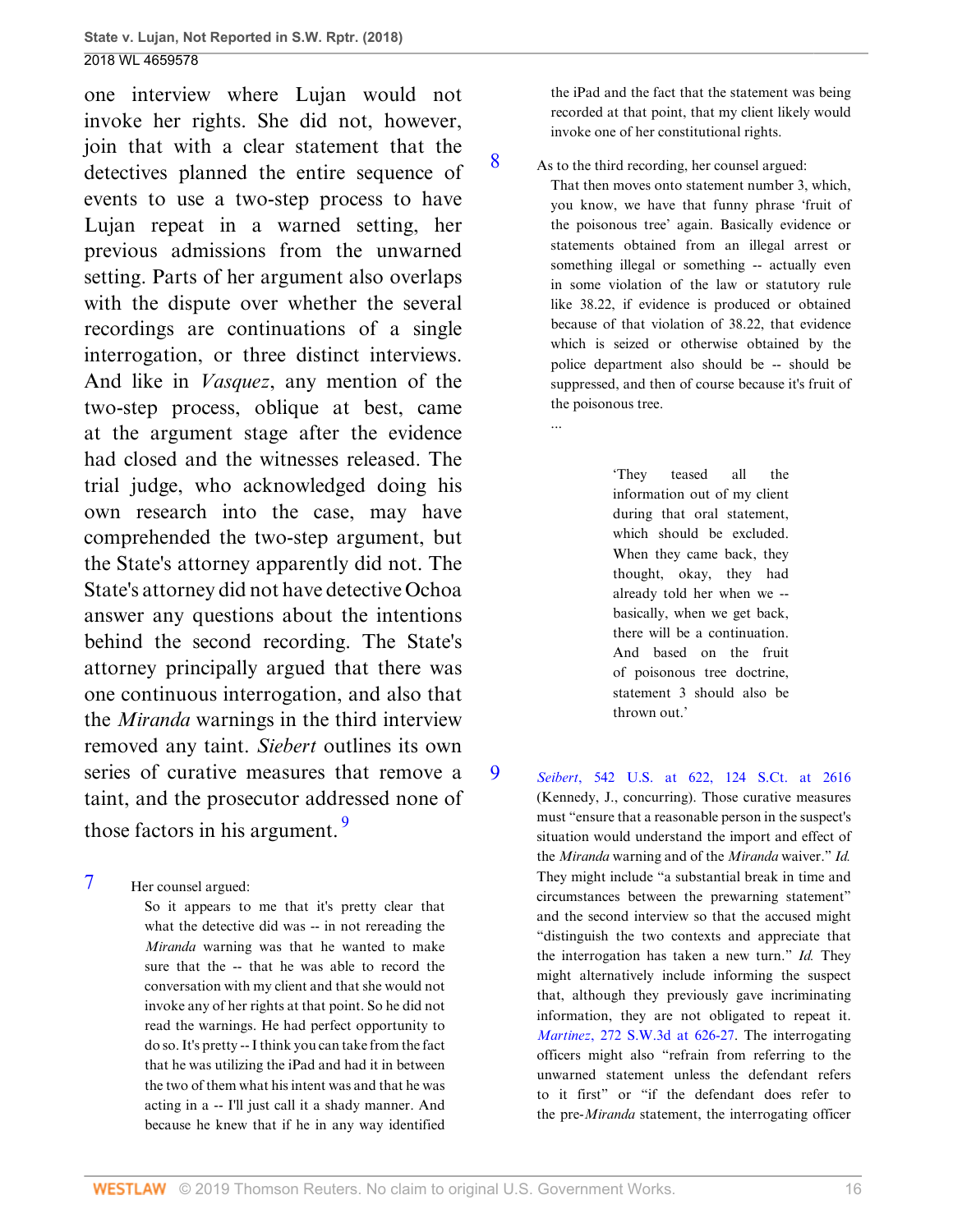one interview where Lujan would not invoke her rights. She did not, however, join that with a clear statement that the detectives planned the entire sequence of events to use a two-step process to have Lujan repeat in a warned setting, her previous admissions from the unwarned setting. Parts of her argument also overlaps with the dispute over whether the several recordings are continuations of a single interrogation, or three distinct interviews. And like in *Vasquez*, any mention of the two-step process, oblique at best, came at the argument stage after the evidence had closed and the witnesses released. The trial judge, who acknowledged doing his own research into the case, may have comprehended the two-step argument, but the State's attorney apparently did not. The State's attorney did not have detective Ochoa answer any questions about the intentions behind the second recording. The State's attorney principally argued that there was one continuous interrogation, and also that the *Miranda* warnings in the third interview removed any taint. *Siebert* outlines its own series of curative measures that remove a taint, and the prosecutor addressed none of those factors in his argument. [9](#page-46-2)

<span id="page-46-0"></span>[7](#page-45-0) Her counsel argued:

So it appears to me that it's pretty clear that what the detective did was -- in not rereading the *Miranda* warning was that he wanted to make sure that the -- that he was able to record the conversation with my client and that she would not invoke any of her rights at that point. So he did not read the warnings. He had perfect opportunity to do so. It's pretty -- I think you can take from the fact that he was utilizing the iPad and had it in between the two of them what his intent was and that he was acting in a -- I'll just call it a shady manner. And because he knew that if he in any way identified

the iPad and the fact that the statement was being recorded at that point, that my client likely would invoke one of her constitutional rights.

<span id="page-46-1"></span>[8](#page-45-1) As to the third recording, her counsel argued:

...

That then moves onto statement number 3, which, you know, we have that funny phrase 'fruit of the poisonous tree' again. Basically evidence or statements obtained from an illegal arrest or something illegal or something -- actually even in some violation of the law or statutory rule like 38.22, if evidence is produced or obtained because of that violation of 38.22, that evidence which is seized or otherwise obtained by the police department also should be -- should be suppressed, and then of course because it's fruit of the poisonous tree.

> 'They teased all the information out of my client during that oral statement, which should be excluded. When they came back, they thought, okay, they had already told her when we - basically, when we get back, there will be a continuation. And based on the fruit of poisonous tree doctrine, statement 3 should also be thrown out.'

#### <span id="page-46-3"></span><span id="page-46-2"></span>[9](#page-46-3) *Seibert*[, 542 U.S. at 622, 124 S.Ct. at 2616](http://www.westlaw.com/Link/Document/FullText?findType=Y&serNum=2004633514&pubNum=0000708&originatingDoc=I0e3a6240c39911e88037ff68a1223ab1&refType=RP&fi=co_pp_sp_708_2616&originationContext=document&vr=3.0&rs=cblt1.0&transitionType=DocumentItem&contextData=(sc.UserEnteredCitation)#co_pp_sp_708_2616)

(Kennedy, J., concurring). Those curative measures must "ensure that a reasonable person in the suspect's situation would understand the import and effect of the *Miranda* warning and of the *Miranda* waiver." *Id.* They might include "a substantial break in time and circumstances between the prewarning statement" and the second interview so that the accused might "distinguish the two contexts and appreciate that the interrogation has taken a new turn." *Id.* They might alternatively include informing the suspect that, although they previously gave incriminating information, they are not obligated to repeat it. *Martinez*[, 272 S.W.3d at 626-27.](http://www.westlaw.com/Link/Document/FullText?findType=Y&serNum=2017669804&pubNum=0004644&originatingDoc=I0e3a6240c39911e88037ff68a1223ab1&refType=RP&fi=co_pp_sp_4644_626&originationContext=document&vr=3.0&rs=cblt1.0&transitionType=DocumentItem&contextData=(sc.UserEnteredCitation)#co_pp_sp_4644_626) The interrogating officers might also "refrain from referring to the unwarned statement unless the defendant refers to it first" or "if the defendant does refer to the pre-*Miranda* statement, the interrogating officer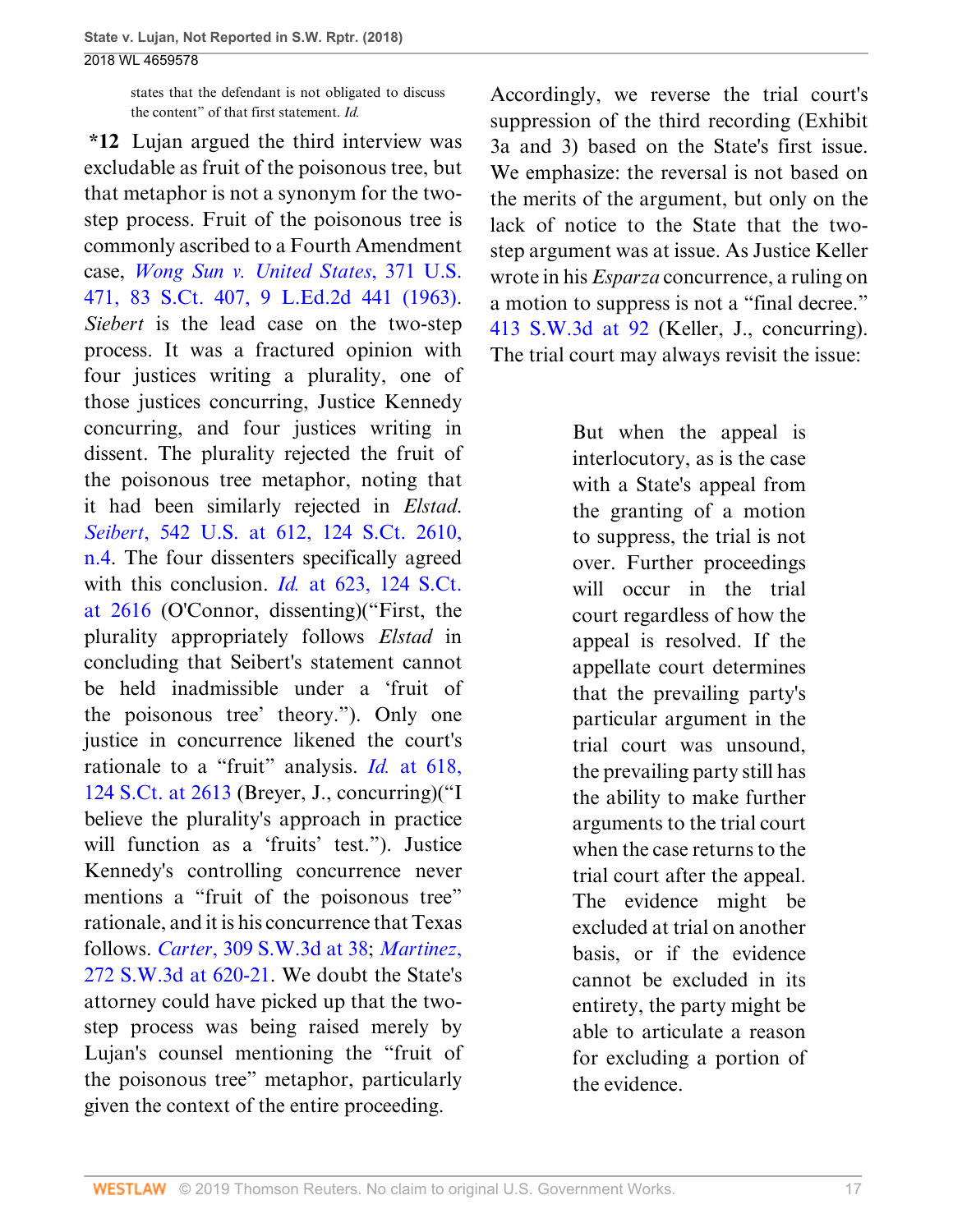states that the defendant is not obligated to discuss the content" of that first statement. *Id.*

**\*12** Lujan argued the third interview was excludable as fruit of the poisonous tree, but that metaphor is not a synonym for the twostep process. Fruit of the poisonous tree is commonly ascribed to a Fourth Amendment case, *[Wong Sun v. United States](http://www.westlaw.com/Link/Document/FullText?findType=Y&serNum=1963125280&pubNum=0000708&originatingDoc=I0e3a6240c39911e88037ff68a1223ab1&refType=RP&originationContext=document&vr=3.0&rs=cblt1.0&transitionType=DocumentItem&contextData=(sc.UserEnteredCitation))*, 371 U.S. [471, 83 S.Ct. 407, 9 L.Ed.2d 441 \(1963\)](http://www.westlaw.com/Link/Document/FullText?findType=Y&serNum=1963125280&pubNum=0000708&originatingDoc=I0e3a6240c39911e88037ff68a1223ab1&refType=RP&originationContext=document&vr=3.0&rs=cblt1.0&transitionType=DocumentItem&contextData=(sc.UserEnteredCitation)). *Siebert* is the lead case on the two-step process. It was a fractured opinion with four justices writing a plurality, one of those justices concurring, Justice Kennedy concurring, and four justices writing in dissent. The plurality rejected the fruit of the poisonous tree metaphor, noting that it had been similarly rejected in *Elstad*. *Seibert*[, 542 U.S. at 612, 124 S.Ct. 2610,](http://www.westlaw.com/Link/Document/FullText?findType=Y&serNum=2004633514&pubNum=0000780&originatingDoc=I0e3a6240c39911e88037ff68a1223ab1&refType=RP&fi=co_pp_sp_780_612&originationContext=document&vr=3.0&rs=cblt1.0&transitionType=DocumentItem&contextData=(sc.UserEnteredCitation)#co_pp_sp_780_612) [n.4](http://www.westlaw.com/Link/Document/FullText?findType=Y&serNum=2004633514&pubNum=0000780&originatingDoc=I0e3a6240c39911e88037ff68a1223ab1&refType=RP&fi=co_pp_sp_780_612&originationContext=document&vr=3.0&rs=cblt1.0&transitionType=DocumentItem&contextData=(sc.UserEnteredCitation)#co_pp_sp_780_612). The four dissenters specifically agreed with this conclusion. *Id.* [at 623, 124 S.Ct.](http://www.westlaw.com/Link/Document/FullText?findType=Y&serNum=2004633514&pubNum=0000708&originatingDoc=I0e3a6240c39911e88037ff68a1223ab1&refType=RP&fi=co_pp_sp_708_2616&originationContext=document&vr=3.0&rs=cblt1.0&transitionType=DocumentItem&contextData=(sc.UserEnteredCitation)#co_pp_sp_708_2616) [at 2616](http://www.westlaw.com/Link/Document/FullText?findType=Y&serNum=2004633514&pubNum=0000708&originatingDoc=I0e3a6240c39911e88037ff68a1223ab1&refType=RP&fi=co_pp_sp_708_2616&originationContext=document&vr=3.0&rs=cblt1.0&transitionType=DocumentItem&contextData=(sc.UserEnteredCitation)#co_pp_sp_708_2616) (O'Connor, dissenting)("First, the plurality appropriately follows *Elstad* in concluding that Seibert's statement cannot be held inadmissible under a 'fruit of the poisonous tree' theory."). Only one justice in concurrence likened the court's rationale to a "fruit" analysis. *Id.* [at 618,](http://www.westlaw.com/Link/Document/FullText?findType=Y&serNum=2004633514&pubNum=0000708&originatingDoc=I0e3a6240c39911e88037ff68a1223ab1&refType=RP&fi=co_pp_sp_708_2613&originationContext=document&vr=3.0&rs=cblt1.0&transitionType=DocumentItem&contextData=(sc.UserEnteredCitation)#co_pp_sp_708_2613) [124 S.Ct. at 2613](http://www.westlaw.com/Link/Document/FullText?findType=Y&serNum=2004633514&pubNum=0000708&originatingDoc=I0e3a6240c39911e88037ff68a1223ab1&refType=RP&fi=co_pp_sp_708_2613&originationContext=document&vr=3.0&rs=cblt1.0&transitionType=DocumentItem&contextData=(sc.UserEnteredCitation)#co_pp_sp_708_2613) (Breyer, J., concurring)("I believe the plurality's approach in practice will function as a 'fruits' test."). Justice Kennedy's controlling concurrence never mentions a "fruit of the poisonous tree" rationale, and it is his concurrence that Texas follows. *Carter*[, 309 S.W.3d at 38;](http://www.westlaw.com/Link/Document/FullText?findType=Y&serNum=2021609345&pubNum=0004644&originatingDoc=I0e3a6240c39911e88037ff68a1223ab1&refType=RP&fi=co_pp_sp_4644_38&originationContext=document&vr=3.0&rs=cblt1.0&transitionType=DocumentItem&contextData=(sc.UserEnteredCitation)#co_pp_sp_4644_38) *[Martinez](http://www.westlaw.com/Link/Document/FullText?findType=Y&serNum=2017669804&pubNum=0004644&originatingDoc=I0e3a6240c39911e88037ff68a1223ab1&refType=RP&fi=co_pp_sp_4644_620&originationContext=document&vr=3.0&rs=cblt1.0&transitionType=DocumentItem&contextData=(sc.UserEnteredCitation)#co_pp_sp_4644_620)*, [272 S.W.3d at 620-21.](http://www.westlaw.com/Link/Document/FullText?findType=Y&serNum=2017669804&pubNum=0004644&originatingDoc=I0e3a6240c39911e88037ff68a1223ab1&refType=RP&fi=co_pp_sp_4644_620&originationContext=document&vr=3.0&rs=cblt1.0&transitionType=DocumentItem&contextData=(sc.UserEnteredCitation)#co_pp_sp_4644_620) We doubt the State's attorney could have picked up that the twostep process was being raised merely by Lujan's counsel mentioning the "fruit of the poisonous tree" metaphor, particularly given the context of the entire proceeding.

Accordingly, we reverse the trial court's suppression of the third recording (Exhibit 3a and 3) based on the State's first issue. We emphasize: the reversal is not based on the merits of the argument, but only on the lack of notice to the State that the twostep argument was at issue. As Justice Keller wrote in his *Esparza* concurrence, a ruling on a motion to suppress is not a "final decree." [413 S.W.3d at 92](http://www.westlaw.com/Link/Document/FullText?findType=Y&serNum=2031867486&pubNum=0004644&originatingDoc=I0e3a6240c39911e88037ff68a1223ab1&refType=RP&fi=co_pp_sp_4644_92&originationContext=document&vr=3.0&rs=cblt1.0&transitionType=DocumentItem&contextData=(sc.UserEnteredCitation)#co_pp_sp_4644_92) (Keller, J., concurring). The trial court may always revisit the issue:

> But when the appeal is interlocutory, as is the case with a State's appeal from the granting of a motion to suppress, the trial is not over. Further proceedings will occur in the trial court regardless of how the appeal is resolved. If the appellate court determines that the prevailing party's particular argument in the trial court was unsound, the prevailing party still has the ability to make further arguments to the trial court when the case returns to the trial court after the appeal. The evidence might be excluded at trial on another basis, or if the evidence cannot be excluded in its entirety, the party might be able to articulate a reason for excluding a portion of the evidence.